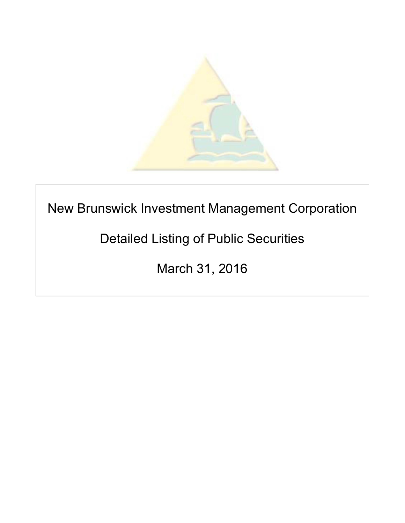

# New Brunswick Investment Management Corporation

# Detailed Listing of Public Securities

March 31, 2016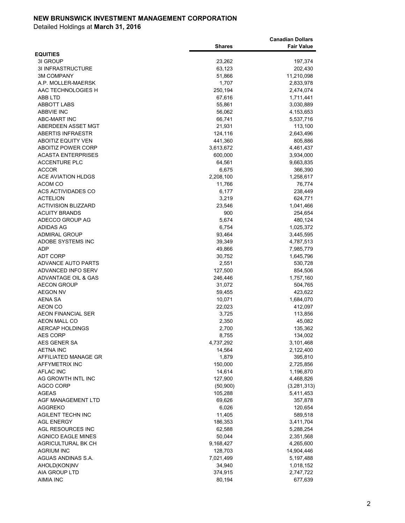|                                  |                     | <b>Canadian Dollars</b> |
|----------------------------------|---------------------|-------------------------|
| <b>EQUITIES</b>                  | <b>Shares</b>       | <b>Fair Value</b>       |
| 3I GROUP                         | 23,262              | 197,374                 |
| 3I INFRASTRUCTURE                | 63,123              | 202,430                 |
| <b>3M COMPANY</b>                | 51,866              | 11,210,098              |
| A.P. MOLLER-MAERSK               | 1,707               | 2,833,978               |
| AAC TECHNOLOGIES H               | 250,194             | 2,474,074               |
| ABB LTD                          | 67,616              | 1,711,441               |
| ABBOTT LABS                      | 55,861              | 3,030,889               |
| <b>ABBVIE INC</b>                | 56,062              | 4,153,653               |
| ABC-MART INC                     | 66,741              | 5,537,716               |
| ABERDEEN ASSET MGT               | 21,931              | 113,100                 |
| ABERTIS INFRAESTR                | 124,116             | 2,643,496               |
| <b>ABOITIZ EQUITY VEN</b>        | 441,360             | 805,886                 |
| <b>ABOITIZ POWER CORP</b>        | 3,613,672           | 4,461,437               |
| <b>ACASTA ENTERPRISES</b>        | 600,000             | 3,934,000               |
| <b>ACCENTURE PLC</b>             | 64,561              | 9,663,835               |
| <b>ACCOR</b>                     | 6,675               | 366,390                 |
| <b>ACE AVIATION HLDGS</b>        | 2,208,100           | 1,258,617               |
| ACOM CO                          | 11,766              | 76,774                  |
| ACS ACTIVIDADES CO               | 6,177               | 238,449                 |
| <b>ACTELION</b>                  | 3,219               | 624,771                 |
| <b>ACTIVISION BLIZZARD</b>       | 23,546              | 1,041,466               |
| <b>ACUITY BRANDS</b>             | 900                 | 254,654                 |
| ADECCO GROUP AG                  | 5,674               | 480,124                 |
| ADIDAS AG                        | 6,754               | 1,025,372               |
| <b>ADMIRAL GROUP</b>             | 93,464              | 3,445,595               |
| ADOBE SYSTEMS INC                | 39,349              | 4,787,513               |
| ADP                              | 49,866              | 7,985,779               |
| ADT CORP                         | 30,752              | 1,645,796               |
| ADVANCE AUTO PARTS               | 2,551               | 530,728                 |
| ADVANCED INFO SERV               | 127,500             | 854,506                 |
| ADVANTAGE OIL & GAS              | 246,446             | 1,757,160               |
| <b>AECON GROUP</b>               | 31,072              | 504,765                 |
| <b>AEGON NV</b>                  | 59,455              | 423,622                 |
| AENA SA                          | 10,071              | 1,684,070               |
| <b>AEON CO</b>                   | 22,023              | 412,097                 |
| <b>AEON FINANCIAL SER</b>        | 3,725               | 113,856                 |
| <b>AEON MALL CO</b>              | 2,350               | 45,082                  |
| AERCAP HOLDINGS                  | 2,700               | 135,362                 |
| AES CORP                         | 8,755               | 134,002                 |
| AES GENER SA<br><b>AETNA INC</b> | 4,737,292<br>14,564 | 3,101,468<br>2,122,400  |
| AFFILIATED MANAGE GR             | 1,879               | 395,810                 |
| AFFYMETRIX INC                   | 150,000             | 2,725,856               |
| <b>AFLAC INC</b>                 | 14,614              | 1,196,870               |
| AG GROWTH INTL INC               | 127,900             | 4,468,826               |
| <b>AGCO CORP</b>                 | (50,900)            | (3,281,313)             |
| AGEAS                            | 105,288             | 5,411,453               |
| AGF MANAGEMENT LTD               | 69,626              | 357,878                 |
| AGGREKO                          | 6,026               | 120,654                 |
| AGILENT TECHN INC                | 11,405              | 589,518                 |
| <b>AGL ENERGY</b>                | 186,353             | 3,411,704               |
| AGL RESOURCES INC                | 62,588              | 5,288,254               |
| AGNICO EAGLE MINES               | 50,044              | 2,351,568               |
| AGRICULTURAL BK CH               | 9,168,427           | 4,265,600               |
| AGRIUM INC                       | 128,703             | 14,904,446              |
| AGUAS ANDINAS S.A.               | 7,021,499           | 5,197,488               |
| AHOLD(KON)NV                     | 34,940              | 1,018,152               |
| AIA GROUP LTD                    | 374,915             | 2,747,722               |
| <b>AIMIA INC</b>                 | 80,194              | 677,639                 |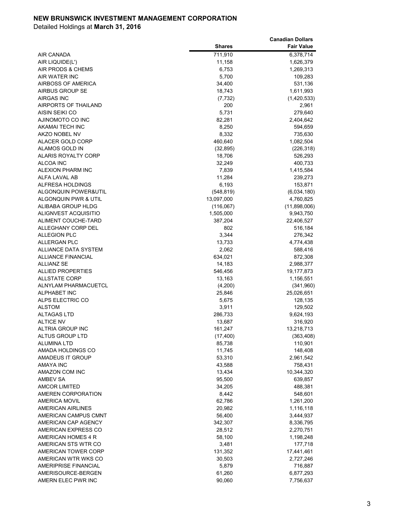|                           |               | <b>Canadian Dollars</b> |
|---------------------------|---------------|-------------------------|
|                           | <b>Shares</b> | <b>Fair Value</b>       |
| AIR CANADA                | 711,910       | 6,378,714               |
| AIR LIQUIDE(L')           | 11,158        | 1,626,379               |
| AIR PRODS & CHEMS         | 6,753         | 1,269,313               |
| AIR WATER INC             | 5,700         | 109,283                 |
| AIRBOSS OF AMERICA        | 34,400        | 531,136                 |
| AIRBUS GROUP SE           | 18,743        | 1,611,993               |
| AIRGAS INC                | (7, 732)      | (1,420,533)             |
| AIRPORTS OF THAILAND      | 200           | 2,961                   |
| AISIN SEIKI CO            | 5,731         | 279,640                 |
| AJINOMOTO CO INC          | 82,281        | 2,404,642               |
| AKAMAI TECH INC           | 8,250         | 594,659                 |
| AKZO NOBEL NV             | 8,332         | 735,630                 |
| ALACER GOLD CORP          | 460,640       | 1,082,504               |
| ALAMOS GOLD IN            | (32, 895)     | (226, 318)              |
| ALARIS ROYALTY CORP       | 18,706        | 526,293                 |
| ALCOA INC                 | 32,249        | 400,733                 |
| ALEXION PHARM INC         | 7,839         | 1,415,584               |
| ALFA LAVAL AB             | 11,284        | 239,273                 |
| <b>ALFRESA HOLDINGS</b>   | 6,193         | 153,871                 |
| ALGONQUIN POWER&UTIL      | (548, 819)    | (6,034,180)             |
| ALGONQUIN PWR & UTIL      | 13,097,000    | 4,760,825               |
| ALIBABA GROUP HLDG        | (116,067)     | (11,898,006)            |
| ALIGNVEST ACQUISITIO      | 1,505,000     | 9,943,750               |
| ALIMENT COUCHE-TARD       | 387,204       | 22,406,527              |
| ALLEGHANY CORP DEL        | 802           | 516,184                 |
| <b>ALLEGION PLC</b>       | 3,344         | 276,342                 |
| <b>ALLERGAN PLC</b>       | 13,733        | 4,774,438               |
| ALLIANCE DATA SYSTEM      | 2,062         | 588,416                 |
| <b>ALLIANCE FINANCIAL</b> | 634,021       | 872,308                 |
| <b>ALLIANZ SE</b>         | 14,183        | 2,988,377               |
| <b>ALLIED PROPERTIES</b>  | 546,456       | 19,177,873              |
| <b>ALLSTATE CORP</b>      | 13,163        | 1,156,551               |
| ALNYLAM PHARMACUETCL      | (4,200)       | (341,960)               |
| <b>ALPHABET INC</b>       | 25,846        | 25,026,651              |
| ALPS ELECTRIC CO          | 5,675         | 128,135                 |
| <b>ALSTOM</b>             | 3,911         | 129,502                 |
| <b>ALTAGAS LTD</b>        | 286,733       | 9,624,193               |
| <b>ALTICE NV</b>          | 13,687        | 316,920                 |
| ALTRIA GROUP INC          | 161,247       | 13,218,713              |
| ALTUS GROUP LTD           | (17, 400)     | (363, 408)              |
| ALUMINA LTD               | 85,738        | 110,901                 |
| AMADA HOLDINGS CO         | 11,745        | 148,408                 |
| AMADEUS IT GROUP          | 53,310        | 2,961,542               |
| AMAYA INC                 | 43,588        | 758,431                 |
| AMAZON COM INC            | 13,434        | 10,344,320              |
| AMBEV SA                  | 95,500        | 639,857                 |
| AMCOR LIMITED             | 34,205        | 488,381                 |
| AMEREN CORPORATION        | 8,442         | 548,601                 |
| AMERICA MOVIL             | 62,786        | 1,261,200               |
| AMERICAN AIRLINES         | 20,982        | 1,116,118               |
| AMERICAN CAMPUS CMNT      | 56,400        | 3,444,937               |
| AMERICAN CAP AGENCY       | 342,307       | 8,336,795               |
| AMERICAN EXPRESS CO       | 28,512        | 2,270,751               |
| AMERICAN HOMES 4 R        | 58,100        | 1,198,248               |
| AMERICAN STS WTR CO       | 3,481         | 177,718                 |
| AMERICAN TOWER CORP       | 131,352       | 17,441,461              |
| AMERICAN WTR WKS CO       | 30,503        | 2,727,246               |
| AMERIPRISE FINANCIAL      | 5,879         | 716,887                 |
| AMERISOURCE-BERGEN        | 61,260        | 6,877,293               |
| AMERN ELEC PWR INC        | 90,060        | 7,756,637               |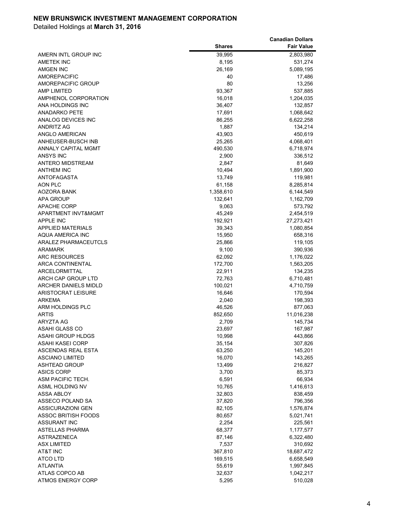|                                              |                 | <b>Canadian Dollars</b> |
|----------------------------------------------|-----------------|-------------------------|
|                                              | <b>Shares</b>   | <b>Fair Value</b>       |
| AMERN INTL GROUP INC                         | 39,995          | 2,803,980               |
| <b>AMETEK INC</b>                            | 8,195           | 531,274                 |
| AMGEN INC                                    | 26,169          | 5,089,195               |
| AMOREPACIFIC                                 | 40              | 17,486                  |
| <b>AMOREPACIFIC GROUP</b>                    | 80              | 13,256                  |
| AMP LIMITED                                  | 93,367          | 537,885                 |
| AMPHENOL CORPORATION                         | 16,018          | 1,204,035               |
| ANA HOLDINGS INC                             | 36,407          | 132,857                 |
| ANADARKO PETE                                | 17,691          | 1,068,642               |
| ANALOG DEVICES INC                           | 86,255          | 6,622,258               |
| ANDRITZ AG                                   | 1,887           | 134,214                 |
| ANGLO AMERICAN                               | 43,903          | 450,619                 |
| ANHEUSER-BUSCH INB                           | 25,265          | 4,068,401               |
| ANNALY CAPITAL MGMT                          | 490,530         | 6,718,974               |
| <b>ANSYS INC</b>                             | 2,900           | 336,512                 |
| ANTERO MIDSTREAM                             | 2,847           | 81,649                  |
| <b>ANTHEM INC</b>                            | 10,494          | 1,891,900               |
| <b>ANTOFAGASTA</b>                           | 13,749          | 119,981                 |
| AON PLC                                      | 61,158          | 8,285,814               |
| AOZORA BANK                                  | 1,358,610       | 6,144,549               |
| APA GROUP                                    | 132,641         | 1,162,709               |
| <b>APACHE CORP</b>                           | 9,063           | 573,792                 |
| APARTMENT INVT&MGMT                          | 45,249          | 2,454,519               |
| <b>APPLE INC</b>                             | 192,921         | 27,273,421              |
| <b>APPLIED MATERIALS</b><br>AQUA AMERICA INC | 39,343          | 1,080,854               |
|                                              | 15,950          | 658,316                 |
| <b>ARALEZ PHARMACEUTCLS</b>                  | 25,866<br>9,100 | 119,105                 |
| ARAMARK<br>ARC RESOURCES                     | 62,092          | 390,936<br>1,176,022    |
| <b>ARCA CONTINENTAL</b>                      | 172,700         | 1,563,205               |
| ARCELORMITTAL                                | 22,911          | 134,235                 |
| ARCH CAP GROUP LTD                           | 72,763          | 6,710,481               |
| ARCHER DANIELS MIDLD                         | 100,021         | 4,710,759               |
| ARISTOCRAT LEISURE                           | 16,646          | 170,594                 |
| <b>ARKEMA</b>                                | 2,040           | 198,393                 |
| ARM HOLDINGS PLC                             | 46,526          | 877,063                 |
| <b>ARTIS</b>                                 | 852,650         | 11,016,238              |
| ARYZTA AG                                    | 2,709           | 145,734                 |
| ASAHI GLASS CO                               | 23,697          | 167,987                 |
| <b>ASAHI GROUP HLDGS</b>                     | 10,998          | 443,866                 |
| <b>ASAHI KASEI CORP</b>                      | 35,154          | 307,826                 |
| ASCENDAS REAL ESTA                           | 63,250          | 145,201                 |
| ASCIANO LIMITED                              | 16,070          | 143,265                 |
| ASHTEAD GROUP                                | 13,499          | 216,827                 |
| <b>ASICS CORP</b>                            | 3,700           | 85,373                  |
| ASM PACIFIC TECH.                            | 6,591           | 66,934                  |
| ASML HOLDING NV                              | 10,765          | 1,416,613               |
| ASSA ABLOY                                   | 32,803          | 838,459                 |
| ASSECO POLAND SA                             | 37,820          | 796,356                 |
| ASSICURAZIONI GEN                            | 82,105          | 1,576,874               |
| ASSOC BRITISH FOODS                          | 80,657          | 5,021,741               |
| <b>ASSURANT INC</b>                          | 2,254           | 225,561                 |
| <b>ASTELLAS PHARMA</b>                       | 68,377          | 1,177,577               |
| ASTRAZENECA                                  | 87,146          | 6,322,480               |
| <b>ASX LIMITED</b>                           | 7,537           | 310,692                 |
| <b>AT&amp;T INC</b>                          | 367,810         | 18,687,472              |
| ATCO LTD                                     | 169,515         | 6,658,549               |
| ATLANTIA                                     | 55,619          | 1,997,845               |
| ATLAS COPCO AB                               | 32,637          | 1,042,217               |
| <b>ATMOS ENERGY CORP</b>                     | 5,295           | 510,028                 |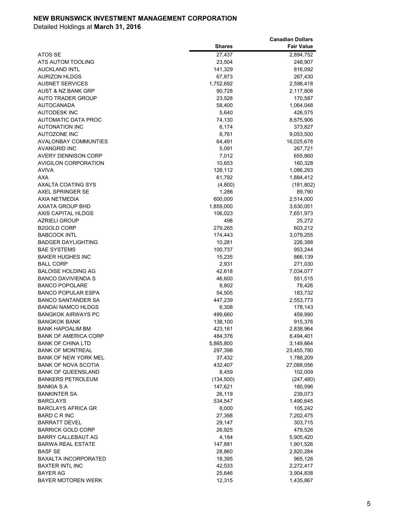|                                                       |                  | <b>Canadian Dollars</b> |
|-------------------------------------------------------|------------------|-------------------------|
|                                                       | <b>Shares</b>    | <b>Fair Value</b>       |
| ATOS SE                                               | 27,437           | 2,894,752               |
| ATS AUTOM TOOLING                                     | 23,504           | 248,907                 |
| <b>AUCKLAND INTL</b>                                  | 141,329          | 816,092                 |
| <b>AURIZON HLDGS</b>                                  | 67,873           | 267,430                 |
| <b>AUSNET SERVICES</b>                                | 1,752,692        | 2,598,418               |
| AUST & NZ BANK GRP                                    | 90,728           | 2,117,808               |
| AUTO TRADER GROUP                                     | 23,528           | 170,587                 |
| <b>AUTOCANADA</b>                                     | 58,400           | 1,064,048               |
| <b>AUTODESK INC</b>                                   | 5,640            | 426,575                 |
| AUTOMATIC DATA PROC                                   | 74,130           | 8,675,906               |
| <b>AUTONATION INC</b>                                 | 6,174            | 373,827                 |
| <b>AUTOZONE INC</b>                                   | 8,761            | 9,053,500               |
| <b>AVALONBAY COMMUNTIES</b>                           | 64,491           | 16,025,678              |
| <b>AVANGRID INC</b>                                   | 5,091            | 267,721                 |
| AVERY DENNISON CORP                                   | 7,012            | 655,860                 |
| AVIGILON CORPORATION                                  | 10,653           | 160,328                 |
| <b>AVIVA</b>                                          | 128,112          | 1,086,293               |
| <b>AXA</b>                                            | 61,792           | 1,884,412               |
| <b>AXALTA COATING SYS</b>                             | (4,800)          | (181, 802)              |
| AXEL SPRINGER SE                                      | 1,286            | 89,790                  |
| AXIA NETMEDIA                                         | 600,000          | 2,514,000               |
| <b>AXIATA GROUP BHD</b>                               | 1,859,000        | 3,630,051               |
| AXIS CAPITAL HLDGS                                    | 106,023          | 7,651,973               |
| <b>AZRIELI GROUP</b>                                  | 498              | 25,272                  |
| B2GOLD CORP                                           | 279,265          | 603,212                 |
| <b>BABCOCK INTL</b>                                   | 174,443          | 3,079,255               |
| <b>BADGER DAYLIGHTING</b>                             | 10,281           | 226,388                 |
| <b>BAE SYSTEMS</b>                                    | 100,737          | 953,244                 |
| <b>BAKER HUGHES INC</b>                               | 15,235           | 866,139                 |
| <b>BALL CORP</b>                                      | 2,931            | 271,030                 |
| <b>BALOISE HOLDING AG</b>                             | 42,618           | 7,034,077               |
| <b>BANCO DAVIVIENDA S</b>                             | 46,600           | 551,515                 |
| <b>BANCO POPOLARE</b>                                 | 8,802            | 78,426                  |
| <b>BANCO POPULAR ESPA</b>                             | 54,505           | 183,732                 |
| <b>BANCO SANTANDER SA</b>                             | 447,239          | 2,553,773               |
| <b>BANDAI NAMCO HLDGS</b>                             | 6,308            | 178,143                 |
| <b>BANGKOK AIRWAYS PC</b>                             | 499,660          | 459,990                 |
| <b>BANGKOK BANK</b>                                   | 138,100          | 915,376                 |
| <b>BANK HAPOALIM BM</b>                               | 423,161          | 2,838,964               |
| <b>BANK OF AMERICA CORP</b>                           | 484,376          | 8,494,401               |
| <b>BANK OF CHINA LTD</b>                              | 5,865,800        | 3,149,664               |
| <b>BANK OF MONTREAL</b>                               | 297,398          | 23,455,780              |
| <b>BANK OF NEW YORK MEL</b>                           | 37,432           | 1,788,209               |
| <b>BANK OF NOVA SCOTIA</b>                            | 432,407          | 27,088,056              |
| <b>BANK OF QUEENSLAND</b><br><b>BANKERS PETROLEUM</b> | 8,459            | 102,009                 |
|                                                       | (134, 500)       | (247, 480)              |
| BANKIA S.A                                            | 147,621          | 180,596                 |
| <b>BANKINTER SA</b><br><b>BARCLAYS</b>                | 26,119           | 239,073                 |
|                                                       | 534,547          | 1,490,645<br>105,242    |
| <b>BARCLAYS AFRICA GR</b>                             | 8,000            |                         |
| <b>BARD C R INC</b><br><b>BARRATT DEVEL</b>           | 27,398           | 7,202,475               |
| <b>BARRICK GOLD CORP</b>                              | 29,147           | 303,715<br>479,526      |
| <b>BARRY CALLEBAUT AG</b>                             | 26,925           |                         |
| <b>BARWA REAL ESTATE</b>                              | 4,184            | 5,905,420               |
| <b>BASF SE</b>                                        | 147,881          | 1,901,526               |
| BAXALTA INCORPORATED                                  | 28,860           | 2,820,284               |
| <b>BAXTER INTL INC</b>                                | 18,395<br>42,533 | 965,126<br>2,272,417    |
| <b>BAYER AG</b>                                       | 25,646           | 3,904,838               |
| BAYER MOTOREN WERK                                    | 12,315           | 1,435,867               |
|                                                       |                  |                         |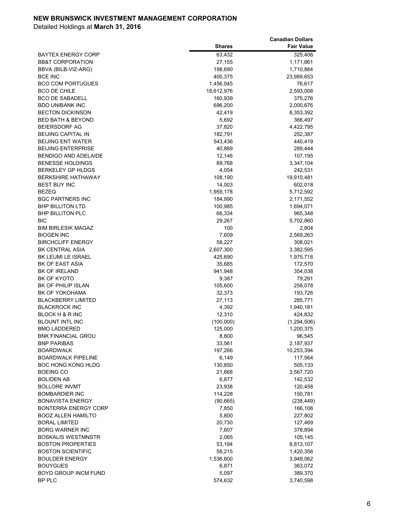|                                                  |                     | <b>Canadian Dollars</b> |
|--------------------------------------------------|---------------------|-------------------------|
|                                                  | <b>Shares</b>       | <b>Fair Value</b>       |
| <b>BAYTEX ENERGY CORP</b>                        | 63,432              | 325,406                 |
| <b>BB&amp;T CORPORATION</b>                      | 27,155              | 1,171,861               |
| BBVA (BILB-VIZ-ARG)                              | 198,690             | 1,710,884               |
| <b>BCE INC</b>                                   | 400,375             | 23,989,653              |
| <b>BCO COM PORTUGUES</b>                         | 1,456,045           | 76,617                  |
| <b>BCO DE CHILE</b>                              | 18,612,976          | 2,593,008               |
| <b>BCO DE SABADELL</b>                           | 160,939             | 375,276                 |
| <b>BDO UNIBANK INC</b>                           | 696,200             | 2,000,676               |
| <b>BECTON DICKINSON</b>                          | 42,419              | 8,353,392               |
| <b>BED BATH &amp; BEYOND</b>                     | 5,692               | 366,497                 |
| <b>BEIERSDORF AG</b>                             | 37,820              | 4,422,795               |
| <b>BEIJING CAPITAL IN</b>                        | 182,791             | 252,387                 |
| <b>BEIJING ENT WATER</b>                         | 543,436             | 440,419                 |
| <b>BEIJING ENTERPRISE</b>                        | 40,889              | 289,444                 |
| <b>BENDIGO AND ADELAIDE</b>                      | 12,146              | 107,195                 |
| <b>BENESSE HOLDINGS</b>                          | 89,768              | 3,347,104               |
| <b>BERKELEY GP HLDGS</b>                         | 4,054               | 242,531                 |
| <b>BERKSHIRE HATHAWAY</b>                        | 108,190             | 19,910,481              |
| <b>BEST BUY INC</b>                              | 14,003              | 602,018                 |
| <b>BEZEQ</b>                                     | 1,959,178           | 5,712,592               |
| <b>BGC PARTNERS INC</b>                          | 184,990             | 2,171,552               |
| <b>BHP BILLITON LTD</b>                          | 100,985             | 1,694,071               |
| <b>BHP BILLITON PLC</b>                          | 66,334              | 965,348                 |
| <b>BIC</b>                                       | 29,267              | 5,702,860               |
| <b>BIM BIRLESIK MAGAZ</b>                        | 100                 | 2,804                   |
| <b>BIOGEN INC</b>                                | 7,609               | 2,569,263               |
| <b>BIRCHCLIFF ENERGY</b>                         | 58,227              | 308,021                 |
| <b>BK CENTRAL ASIA</b>                           | 2,607,300           | 3,382,595               |
| BK LEUMI LE ISRAEL                               | 425,690             | 1,975,718               |
| BK OF EAST ASIA                                  | 35,685              | 172,570                 |
| <b>BK OF IRELAND</b>                             | 941,948             | 354,038                 |
| BK OF KYOTO                                      | 9,387               | 79,291                  |
| <b>BK OF PHILIP ISLAN</b>                        | 105,600             | 258,078                 |
| <b>BK OF YOKOHAMA</b>                            | 32,373              | 193,726                 |
| <b>BLACKBERRY LIMITED</b>                        | 27,113              | 285,771                 |
| <b>BLACKROCK INC</b>                             | 4,392               | 1,940,181               |
| BLOCK H & R INC                                  | 12,310              | 424,832                 |
| <b>BLOUNT INTL INC</b>                           | (100,000)           | (1,294,506)             |
| <b>BMO LADDERED</b>                              | 125,000             | 1,200,375               |
| <b>BNK FINANCIAL GROU</b>                        | 8,800               | 96,545                  |
| <b>BNP PARIBAS</b>                               | 33,561              | 2,187,937               |
| <b>BOARDWALK</b>                                 | 197,266             | 10,253,394              |
| <b>BOARDWALK PIPELINE</b>                        | 6,149               | 117,564                 |
| <b>BOC HONG KONG HLDG</b>                        | 130,850             | 505,133                 |
| <b>BOEING CO</b>                                 | 21,668              | 3,567,720               |
| <b>BOLIDEN AB</b>                                | 6,877               | 142,532                 |
| <b>BOLLORE INVMT</b>                             | 23,938              | 120,458                 |
| <b>BOMBARDIER INC</b><br><b>BONAVISTA ENERGY</b> | 114,228             | 150,781                 |
| <b>BONTERRA ENERGY CORP</b>                      | (90, 665)           | (238, 449)              |
| <b>BOOZ ALLEN HAMILTO</b>                        | 7,850<br>5,800      | 166,106                 |
|                                                  |                     | 227,802                 |
| <b>BORAL LIMITED</b><br><b>BORG WARNER INC</b>   | 20,730<br>7,607     | 127,469                 |
| <b>BOSKALIS WESTMNSTR</b>                        | 2,065               | 378,894<br>105,145      |
| <b>BOSTON PROPERTIES</b>                         |                     |                         |
| <b>BOSTON SCIENTIFIC</b>                         | 53,194              | 8,813,107               |
| <b>BOULDER ENERGY</b>                            | 58,215<br>1,536,600 | 1,420,356               |
| <b>BOUYGUES</b>                                  | 6,871               | 3,949,062<br>363,072    |
| BOYD GROUP INCM FUND                             | 5,097               | 389,370                 |
| BP PLC                                           | 574,632             | 3,740,598               |
|                                                  |                     |                         |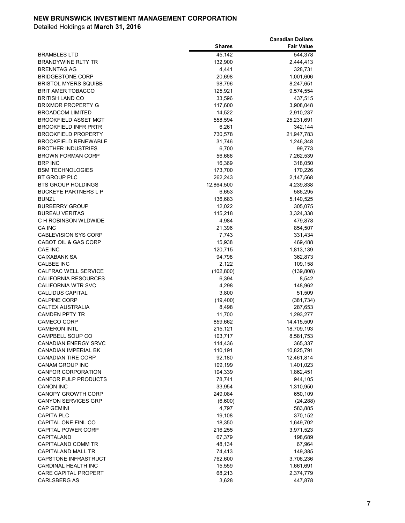| <b>Shares</b><br><b>Fair Value</b><br>45,142<br><b>BRAMBLES LTD</b><br>544,378<br>132,900<br><b>BRANDYWINE RLTY TR</b><br>2,444,413<br><b>BRENNTAG AG</b><br>4,441<br>328,731<br><b>BRIDGESTONE CORP</b><br>20,698<br>1,001,606<br><b>BRISTOL MYERS SQUIBB</b><br>98,796<br>8,247,651<br><b>BRIT AMER TOBACCO</b><br>125,921<br>9,574,554<br><b>BRITISH LAND CO</b><br>33,596<br>437,515<br><b>BRIXMOR PROPERTY G</b><br>117,600<br>3,908,048<br><b>BROADCOM LIMITED</b><br>14,522<br>2,910,237<br><b>BROOKFIELD ASSET MGT</b><br>558,594<br>25,231,691<br><b>BROOKFIELD INFR PRTR</b><br>6,261<br>342,144<br><b>BROOKFIELD PROPERTY</b><br>730,578<br>21,947,783<br><b>BROOKFIELD RENEWABLE</b><br>31,746<br>1,246,348<br><b>BROTHER INDUSTRIES</b><br>6,700<br>99,773<br><b>BROWN FORMAN CORP</b><br>56,666<br>7,262,539<br><b>BRP INC</b><br>16,369<br>318,050<br><b>BSM TECHNOLOGIES</b><br>173,700<br>170,226<br>BT GROUP PLC<br>262,243<br>2,147,568<br><b>BTS GROUP HOLDINGS</b><br>12,864,500<br>4,239,838<br><b>BUCKEYE PARTNERS L P</b><br>6,653<br>586,295<br><b>BUNZL</b><br>136,683<br>5,140,525<br><b>BURBERRY GROUP</b><br>12,022<br>305,075<br><b>BUREAU VERITAS</b><br>115,218<br>3,324,338<br>C H ROBINSON WLDWIDE<br>4,984<br>479,878<br>CA INC<br>21,396<br>854,507<br><b>CABLEVISION SYS CORP</b><br>7,743<br>331,434<br>CABOT OIL & GAS CORP<br>15,938<br>469,488<br>CAE INC<br>120,715<br>1,813,139<br><b>CAIXABANK SA</b><br>94,798<br>362,873<br><b>CALBEE INC</b><br>2,122<br>109,158<br>CALFRAC WELL SERVICE<br>(102, 800)<br>(139, 808)<br><b>CALIFORNIA RESOURCES</b><br>6,394<br>8,542<br><b>CALIFORNIA WTR SVC</b><br>148,962<br>4,298<br><b>CALLIDUS CAPITAL</b><br>3,800<br>51,509<br><b>CALPINE CORP</b><br>(19, 400)<br>(381, 734)<br><b>CALTEX AUSTRALIA</b><br>8,498<br>287,653<br><b>CAMDEN PPTY TR</b><br>11,700<br>1,293,277<br><b>CAMECO CORP</b><br>859,662<br>14,415,509<br><b>CAMERON INTL</b><br>215,121<br>18,709,193<br>CAMPBELL SOUP CO<br>103,717<br>8,581,753<br><b>CANADIAN ENERGY SRVC</b><br>114,436<br>365,337<br>CANADIAN IMPERIAL BK<br>110,191<br>10,825,791<br><b>CANADIAN TIRE CORP</b><br>92,180<br>12,461,814<br><b>CANAM GROUP INC</b><br>109,199<br>1,401,023<br><b>CANFOR CORPORATION</b><br>104,339<br>1,862,451<br><b>CANFOR PULP PRODUCTS</b><br>78,741<br>944,105<br><b>CANON INC</b><br>33,954<br>1,310,950<br><b>CANOPY GROWTH CORP</b><br>249,084<br>650,109<br><b>CANYON SERVICES GRP</b><br>(6,600)<br>(24, 288)<br><b>CAP GEMINI</b><br>4,797<br>583,885<br>370,152<br><b>CAPITA PLC</b><br>19,108<br>CAPITAL ONE FINL CO<br>18,350<br>1,649,702<br><b>CAPITAL POWER CORP</b><br>216,255<br>3,971,523<br>CAPITALAND<br>67,379<br>198,689<br>CAPITALAND COMM TR<br>48,134<br>67,964<br>CAPITALAND MALL TR<br>74,413<br>149,385<br>CAPSTONE INFRASTRUCT<br>762,600<br>3,706,236<br>CARDINAL HEALTH INC<br>15,559<br>1,661,691<br><b>CARE CAPITAL PROPERT</b><br>68,213<br>2,374,779<br><b>CARLSBERG AS</b><br>3,628<br>447,878 |  | <b>Canadian Dollars</b> |
|--------------------------------------------------------------------------------------------------------------------------------------------------------------------------------------------------------------------------------------------------------------------------------------------------------------------------------------------------------------------------------------------------------------------------------------------------------------------------------------------------------------------------------------------------------------------------------------------------------------------------------------------------------------------------------------------------------------------------------------------------------------------------------------------------------------------------------------------------------------------------------------------------------------------------------------------------------------------------------------------------------------------------------------------------------------------------------------------------------------------------------------------------------------------------------------------------------------------------------------------------------------------------------------------------------------------------------------------------------------------------------------------------------------------------------------------------------------------------------------------------------------------------------------------------------------------------------------------------------------------------------------------------------------------------------------------------------------------------------------------------------------------------------------------------------------------------------------------------------------------------------------------------------------------------------------------------------------------------------------------------------------------------------------------------------------------------------------------------------------------------------------------------------------------------------------------------------------------------------------------------------------------------------------------------------------------------------------------------------------------------------------------------------------------------------------------------------------------------------------------------------------------------------------------------------------------------------------------------------------------------------------------------------------------------------------------------------------------------------------------------------------------------------------------------------------------------------------------------------------------------------------------------------------------------------------------------------------------------------------------------------|--|-------------------------|
|                                                                                                                                                                                                                                                                                                                                                                                                                                                                                                                                                                                                                                                                                                                                                                                                                                                                                                                                                                                                                                                                                                                                                                                                                                                                                                                                                                                                                                                                                                                                                                                                                                                                                                                                                                                                                                                                                                                                                                                                                                                                                                                                                                                                                                                                                                                                                                                                                                                                                                                                                                                                                                                                                                                                                                                                                                                                                                                                                                                                        |  |                         |
|                                                                                                                                                                                                                                                                                                                                                                                                                                                                                                                                                                                                                                                                                                                                                                                                                                                                                                                                                                                                                                                                                                                                                                                                                                                                                                                                                                                                                                                                                                                                                                                                                                                                                                                                                                                                                                                                                                                                                                                                                                                                                                                                                                                                                                                                                                                                                                                                                                                                                                                                                                                                                                                                                                                                                                                                                                                                                                                                                                                                        |  |                         |
|                                                                                                                                                                                                                                                                                                                                                                                                                                                                                                                                                                                                                                                                                                                                                                                                                                                                                                                                                                                                                                                                                                                                                                                                                                                                                                                                                                                                                                                                                                                                                                                                                                                                                                                                                                                                                                                                                                                                                                                                                                                                                                                                                                                                                                                                                                                                                                                                                                                                                                                                                                                                                                                                                                                                                                                                                                                                                                                                                                                                        |  |                         |
|                                                                                                                                                                                                                                                                                                                                                                                                                                                                                                                                                                                                                                                                                                                                                                                                                                                                                                                                                                                                                                                                                                                                                                                                                                                                                                                                                                                                                                                                                                                                                                                                                                                                                                                                                                                                                                                                                                                                                                                                                                                                                                                                                                                                                                                                                                                                                                                                                                                                                                                                                                                                                                                                                                                                                                                                                                                                                                                                                                                                        |  |                         |
|                                                                                                                                                                                                                                                                                                                                                                                                                                                                                                                                                                                                                                                                                                                                                                                                                                                                                                                                                                                                                                                                                                                                                                                                                                                                                                                                                                                                                                                                                                                                                                                                                                                                                                                                                                                                                                                                                                                                                                                                                                                                                                                                                                                                                                                                                                                                                                                                                                                                                                                                                                                                                                                                                                                                                                                                                                                                                                                                                                                                        |  |                         |
|                                                                                                                                                                                                                                                                                                                                                                                                                                                                                                                                                                                                                                                                                                                                                                                                                                                                                                                                                                                                                                                                                                                                                                                                                                                                                                                                                                                                                                                                                                                                                                                                                                                                                                                                                                                                                                                                                                                                                                                                                                                                                                                                                                                                                                                                                                                                                                                                                                                                                                                                                                                                                                                                                                                                                                                                                                                                                                                                                                                                        |  |                         |
|                                                                                                                                                                                                                                                                                                                                                                                                                                                                                                                                                                                                                                                                                                                                                                                                                                                                                                                                                                                                                                                                                                                                                                                                                                                                                                                                                                                                                                                                                                                                                                                                                                                                                                                                                                                                                                                                                                                                                                                                                                                                                                                                                                                                                                                                                                                                                                                                                                                                                                                                                                                                                                                                                                                                                                                                                                                                                                                                                                                                        |  |                         |
|                                                                                                                                                                                                                                                                                                                                                                                                                                                                                                                                                                                                                                                                                                                                                                                                                                                                                                                                                                                                                                                                                                                                                                                                                                                                                                                                                                                                                                                                                                                                                                                                                                                                                                                                                                                                                                                                                                                                                                                                                                                                                                                                                                                                                                                                                                                                                                                                                                                                                                                                                                                                                                                                                                                                                                                                                                                                                                                                                                                                        |  |                         |
|                                                                                                                                                                                                                                                                                                                                                                                                                                                                                                                                                                                                                                                                                                                                                                                                                                                                                                                                                                                                                                                                                                                                                                                                                                                                                                                                                                                                                                                                                                                                                                                                                                                                                                                                                                                                                                                                                                                                                                                                                                                                                                                                                                                                                                                                                                                                                                                                                                                                                                                                                                                                                                                                                                                                                                                                                                                                                                                                                                                                        |  |                         |
|                                                                                                                                                                                                                                                                                                                                                                                                                                                                                                                                                                                                                                                                                                                                                                                                                                                                                                                                                                                                                                                                                                                                                                                                                                                                                                                                                                                                                                                                                                                                                                                                                                                                                                                                                                                                                                                                                                                                                                                                                                                                                                                                                                                                                                                                                                                                                                                                                                                                                                                                                                                                                                                                                                                                                                                                                                                                                                                                                                                                        |  |                         |
|                                                                                                                                                                                                                                                                                                                                                                                                                                                                                                                                                                                                                                                                                                                                                                                                                                                                                                                                                                                                                                                                                                                                                                                                                                                                                                                                                                                                                                                                                                                                                                                                                                                                                                                                                                                                                                                                                                                                                                                                                                                                                                                                                                                                                                                                                                                                                                                                                                                                                                                                                                                                                                                                                                                                                                                                                                                                                                                                                                                                        |  |                         |
|                                                                                                                                                                                                                                                                                                                                                                                                                                                                                                                                                                                                                                                                                                                                                                                                                                                                                                                                                                                                                                                                                                                                                                                                                                                                                                                                                                                                                                                                                                                                                                                                                                                                                                                                                                                                                                                                                                                                                                                                                                                                                                                                                                                                                                                                                                                                                                                                                                                                                                                                                                                                                                                                                                                                                                                                                                                                                                                                                                                                        |  |                         |
|                                                                                                                                                                                                                                                                                                                                                                                                                                                                                                                                                                                                                                                                                                                                                                                                                                                                                                                                                                                                                                                                                                                                                                                                                                                                                                                                                                                                                                                                                                                                                                                                                                                                                                                                                                                                                                                                                                                                                                                                                                                                                                                                                                                                                                                                                                                                                                                                                                                                                                                                                                                                                                                                                                                                                                                                                                                                                                                                                                                                        |  |                         |
|                                                                                                                                                                                                                                                                                                                                                                                                                                                                                                                                                                                                                                                                                                                                                                                                                                                                                                                                                                                                                                                                                                                                                                                                                                                                                                                                                                                                                                                                                                                                                                                                                                                                                                                                                                                                                                                                                                                                                                                                                                                                                                                                                                                                                                                                                                                                                                                                                                                                                                                                                                                                                                                                                                                                                                                                                                                                                                                                                                                                        |  |                         |
|                                                                                                                                                                                                                                                                                                                                                                                                                                                                                                                                                                                                                                                                                                                                                                                                                                                                                                                                                                                                                                                                                                                                                                                                                                                                                                                                                                                                                                                                                                                                                                                                                                                                                                                                                                                                                                                                                                                                                                                                                                                                                                                                                                                                                                                                                                                                                                                                                                                                                                                                                                                                                                                                                                                                                                                                                                                                                                                                                                                                        |  |                         |
|                                                                                                                                                                                                                                                                                                                                                                                                                                                                                                                                                                                                                                                                                                                                                                                                                                                                                                                                                                                                                                                                                                                                                                                                                                                                                                                                                                                                                                                                                                                                                                                                                                                                                                                                                                                                                                                                                                                                                                                                                                                                                                                                                                                                                                                                                                                                                                                                                                                                                                                                                                                                                                                                                                                                                                                                                                                                                                                                                                                                        |  |                         |
|                                                                                                                                                                                                                                                                                                                                                                                                                                                                                                                                                                                                                                                                                                                                                                                                                                                                                                                                                                                                                                                                                                                                                                                                                                                                                                                                                                                                                                                                                                                                                                                                                                                                                                                                                                                                                                                                                                                                                                                                                                                                                                                                                                                                                                                                                                                                                                                                                                                                                                                                                                                                                                                                                                                                                                                                                                                                                                                                                                                                        |  |                         |
|                                                                                                                                                                                                                                                                                                                                                                                                                                                                                                                                                                                                                                                                                                                                                                                                                                                                                                                                                                                                                                                                                                                                                                                                                                                                                                                                                                                                                                                                                                                                                                                                                                                                                                                                                                                                                                                                                                                                                                                                                                                                                                                                                                                                                                                                                                                                                                                                                                                                                                                                                                                                                                                                                                                                                                                                                                                                                                                                                                                                        |  |                         |
|                                                                                                                                                                                                                                                                                                                                                                                                                                                                                                                                                                                                                                                                                                                                                                                                                                                                                                                                                                                                                                                                                                                                                                                                                                                                                                                                                                                                                                                                                                                                                                                                                                                                                                                                                                                                                                                                                                                                                                                                                                                                                                                                                                                                                                                                                                                                                                                                                                                                                                                                                                                                                                                                                                                                                                                                                                                                                                                                                                                                        |  |                         |
|                                                                                                                                                                                                                                                                                                                                                                                                                                                                                                                                                                                                                                                                                                                                                                                                                                                                                                                                                                                                                                                                                                                                                                                                                                                                                                                                                                                                                                                                                                                                                                                                                                                                                                                                                                                                                                                                                                                                                                                                                                                                                                                                                                                                                                                                                                                                                                                                                                                                                                                                                                                                                                                                                                                                                                                                                                                                                                                                                                                                        |  |                         |
|                                                                                                                                                                                                                                                                                                                                                                                                                                                                                                                                                                                                                                                                                                                                                                                                                                                                                                                                                                                                                                                                                                                                                                                                                                                                                                                                                                                                                                                                                                                                                                                                                                                                                                                                                                                                                                                                                                                                                                                                                                                                                                                                                                                                                                                                                                                                                                                                                                                                                                                                                                                                                                                                                                                                                                                                                                                                                                                                                                                                        |  |                         |
|                                                                                                                                                                                                                                                                                                                                                                                                                                                                                                                                                                                                                                                                                                                                                                                                                                                                                                                                                                                                                                                                                                                                                                                                                                                                                                                                                                                                                                                                                                                                                                                                                                                                                                                                                                                                                                                                                                                                                                                                                                                                                                                                                                                                                                                                                                                                                                                                                                                                                                                                                                                                                                                                                                                                                                                                                                                                                                                                                                                                        |  |                         |
|                                                                                                                                                                                                                                                                                                                                                                                                                                                                                                                                                                                                                                                                                                                                                                                                                                                                                                                                                                                                                                                                                                                                                                                                                                                                                                                                                                                                                                                                                                                                                                                                                                                                                                                                                                                                                                                                                                                                                                                                                                                                                                                                                                                                                                                                                                                                                                                                                                                                                                                                                                                                                                                                                                                                                                                                                                                                                                                                                                                                        |  |                         |
|                                                                                                                                                                                                                                                                                                                                                                                                                                                                                                                                                                                                                                                                                                                                                                                                                                                                                                                                                                                                                                                                                                                                                                                                                                                                                                                                                                                                                                                                                                                                                                                                                                                                                                                                                                                                                                                                                                                                                                                                                                                                                                                                                                                                                                                                                                                                                                                                                                                                                                                                                                                                                                                                                                                                                                                                                                                                                                                                                                                                        |  |                         |
|                                                                                                                                                                                                                                                                                                                                                                                                                                                                                                                                                                                                                                                                                                                                                                                                                                                                                                                                                                                                                                                                                                                                                                                                                                                                                                                                                                                                                                                                                                                                                                                                                                                                                                                                                                                                                                                                                                                                                                                                                                                                                                                                                                                                                                                                                                                                                                                                                                                                                                                                                                                                                                                                                                                                                                                                                                                                                                                                                                                                        |  |                         |
|                                                                                                                                                                                                                                                                                                                                                                                                                                                                                                                                                                                                                                                                                                                                                                                                                                                                                                                                                                                                                                                                                                                                                                                                                                                                                                                                                                                                                                                                                                                                                                                                                                                                                                                                                                                                                                                                                                                                                                                                                                                                                                                                                                                                                                                                                                                                                                                                                                                                                                                                                                                                                                                                                                                                                                                                                                                                                                                                                                                                        |  |                         |
|                                                                                                                                                                                                                                                                                                                                                                                                                                                                                                                                                                                                                                                                                                                                                                                                                                                                                                                                                                                                                                                                                                                                                                                                                                                                                                                                                                                                                                                                                                                                                                                                                                                                                                                                                                                                                                                                                                                                                                                                                                                                                                                                                                                                                                                                                                                                                                                                                                                                                                                                                                                                                                                                                                                                                                                                                                                                                                                                                                                                        |  |                         |
|                                                                                                                                                                                                                                                                                                                                                                                                                                                                                                                                                                                                                                                                                                                                                                                                                                                                                                                                                                                                                                                                                                                                                                                                                                                                                                                                                                                                                                                                                                                                                                                                                                                                                                                                                                                                                                                                                                                                                                                                                                                                                                                                                                                                                                                                                                                                                                                                                                                                                                                                                                                                                                                                                                                                                                                                                                                                                                                                                                                                        |  |                         |
|                                                                                                                                                                                                                                                                                                                                                                                                                                                                                                                                                                                                                                                                                                                                                                                                                                                                                                                                                                                                                                                                                                                                                                                                                                                                                                                                                                                                                                                                                                                                                                                                                                                                                                                                                                                                                                                                                                                                                                                                                                                                                                                                                                                                                                                                                                                                                                                                                                                                                                                                                                                                                                                                                                                                                                                                                                                                                                                                                                                                        |  |                         |
|                                                                                                                                                                                                                                                                                                                                                                                                                                                                                                                                                                                                                                                                                                                                                                                                                                                                                                                                                                                                                                                                                                                                                                                                                                                                                                                                                                                                                                                                                                                                                                                                                                                                                                                                                                                                                                                                                                                                                                                                                                                                                                                                                                                                                                                                                                                                                                                                                                                                                                                                                                                                                                                                                                                                                                                                                                                                                                                                                                                                        |  |                         |
|                                                                                                                                                                                                                                                                                                                                                                                                                                                                                                                                                                                                                                                                                                                                                                                                                                                                                                                                                                                                                                                                                                                                                                                                                                                                                                                                                                                                                                                                                                                                                                                                                                                                                                                                                                                                                                                                                                                                                                                                                                                                                                                                                                                                                                                                                                                                                                                                                                                                                                                                                                                                                                                                                                                                                                                                                                                                                                                                                                                                        |  |                         |
|                                                                                                                                                                                                                                                                                                                                                                                                                                                                                                                                                                                                                                                                                                                                                                                                                                                                                                                                                                                                                                                                                                                                                                                                                                                                                                                                                                                                                                                                                                                                                                                                                                                                                                                                                                                                                                                                                                                                                                                                                                                                                                                                                                                                                                                                                                                                                                                                                                                                                                                                                                                                                                                                                                                                                                                                                                                                                                                                                                                                        |  |                         |
|                                                                                                                                                                                                                                                                                                                                                                                                                                                                                                                                                                                                                                                                                                                                                                                                                                                                                                                                                                                                                                                                                                                                                                                                                                                                                                                                                                                                                                                                                                                                                                                                                                                                                                                                                                                                                                                                                                                                                                                                                                                                                                                                                                                                                                                                                                                                                                                                                                                                                                                                                                                                                                                                                                                                                                                                                                                                                                                                                                                                        |  |                         |
|                                                                                                                                                                                                                                                                                                                                                                                                                                                                                                                                                                                                                                                                                                                                                                                                                                                                                                                                                                                                                                                                                                                                                                                                                                                                                                                                                                                                                                                                                                                                                                                                                                                                                                                                                                                                                                                                                                                                                                                                                                                                                                                                                                                                                                                                                                                                                                                                                                                                                                                                                                                                                                                                                                                                                                                                                                                                                                                                                                                                        |  |                         |
|                                                                                                                                                                                                                                                                                                                                                                                                                                                                                                                                                                                                                                                                                                                                                                                                                                                                                                                                                                                                                                                                                                                                                                                                                                                                                                                                                                                                                                                                                                                                                                                                                                                                                                                                                                                                                                                                                                                                                                                                                                                                                                                                                                                                                                                                                                                                                                                                                                                                                                                                                                                                                                                                                                                                                                                                                                                                                                                                                                                                        |  |                         |
|                                                                                                                                                                                                                                                                                                                                                                                                                                                                                                                                                                                                                                                                                                                                                                                                                                                                                                                                                                                                                                                                                                                                                                                                                                                                                                                                                                                                                                                                                                                                                                                                                                                                                                                                                                                                                                                                                                                                                                                                                                                                                                                                                                                                                                                                                                                                                                                                                                                                                                                                                                                                                                                                                                                                                                                                                                                                                                                                                                                                        |  |                         |
|                                                                                                                                                                                                                                                                                                                                                                                                                                                                                                                                                                                                                                                                                                                                                                                                                                                                                                                                                                                                                                                                                                                                                                                                                                                                                                                                                                                                                                                                                                                                                                                                                                                                                                                                                                                                                                                                                                                                                                                                                                                                                                                                                                                                                                                                                                                                                                                                                                                                                                                                                                                                                                                                                                                                                                                                                                                                                                                                                                                                        |  |                         |
|                                                                                                                                                                                                                                                                                                                                                                                                                                                                                                                                                                                                                                                                                                                                                                                                                                                                                                                                                                                                                                                                                                                                                                                                                                                                                                                                                                                                                                                                                                                                                                                                                                                                                                                                                                                                                                                                                                                                                                                                                                                                                                                                                                                                                                                                                                                                                                                                                                                                                                                                                                                                                                                                                                                                                                                                                                                                                                                                                                                                        |  |                         |
|                                                                                                                                                                                                                                                                                                                                                                                                                                                                                                                                                                                                                                                                                                                                                                                                                                                                                                                                                                                                                                                                                                                                                                                                                                                                                                                                                                                                                                                                                                                                                                                                                                                                                                                                                                                                                                                                                                                                                                                                                                                                                                                                                                                                                                                                                                                                                                                                                                                                                                                                                                                                                                                                                                                                                                                                                                                                                                                                                                                                        |  |                         |
|                                                                                                                                                                                                                                                                                                                                                                                                                                                                                                                                                                                                                                                                                                                                                                                                                                                                                                                                                                                                                                                                                                                                                                                                                                                                                                                                                                                                                                                                                                                                                                                                                                                                                                                                                                                                                                                                                                                                                                                                                                                                                                                                                                                                                                                                                                                                                                                                                                                                                                                                                                                                                                                                                                                                                                                                                                                                                                                                                                                                        |  |                         |
|                                                                                                                                                                                                                                                                                                                                                                                                                                                                                                                                                                                                                                                                                                                                                                                                                                                                                                                                                                                                                                                                                                                                                                                                                                                                                                                                                                                                                                                                                                                                                                                                                                                                                                                                                                                                                                                                                                                                                                                                                                                                                                                                                                                                                                                                                                                                                                                                                                                                                                                                                                                                                                                                                                                                                                                                                                                                                                                                                                                                        |  |                         |
|                                                                                                                                                                                                                                                                                                                                                                                                                                                                                                                                                                                                                                                                                                                                                                                                                                                                                                                                                                                                                                                                                                                                                                                                                                                                                                                                                                                                                                                                                                                                                                                                                                                                                                                                                                                                                                                                                                                                                                                                                                                                                                                                                                                                                                                                                                                                                                                                                                                                                                                                                                                                                                                                                                                                                                                                                                                                                                                                                                                                        |  |                         |
|                                                                                                                                                                                                                                                                                                                                                                                                                                                                                                                                                                                                                                                                                                                                                                                                                                                                                                                                                                                                                                                                                                                                                                                                                                                                                                                                                                                                                                                                                                                                                                                                                                                                                                                                                                                                                                                                                                                                                                                                                                                                                                                                                                                                                                                                                                                                                                                                                                                                                                                                                                                                                                                                                                                                                                                                                                                                                                                                                                                                        |  |                         |
|                                                                                                                                                                                                                                                                                                                                                                                                                                                                                                                                                                                                                                                                                                                                                                                                                                                                                                                                                                                                                                                                                                                                                                                                                                                                                                                                                                                                                                                                                                                                                                                                                                                                                                                                                                                                                                                                                                                                                                                                                                                                                                                                                                                                                                                                                                                                                                                                                                                                                                                                                                                                                                                                                                                                                                                                                                                                                                                                                                                                        |  |                         |
|                                                                                                                                                                                                                                                                                                                                                                                                                                                                                                                                                                                                                                                                                                                                                                                                                                                                                                                                                                                                                                                                                                                                                                                                                                                                                                                                                                                                                                                                                                                                                                                                                                                                                                                                                                                                                                                                                                                                                                                                                                                                                                                                                                                                                                                                                                                                                                                                                                                                                                                                                                                                                                                                                                                                                                                                                                                                                                                                                                                                        |  |                         |
|                                                                                                                                                                                                                                                                                                                                                                                                                                                                                                                                                                                                                                                                                                                                                                                                                                                                                                                                                                                                                                                                                                                                                                                                                                                                                                                                                                                                                                                                                                                                                                                                                                                                                                                                                                                                                                                                                                                                                                                                                                                                                                                                                                                                                                                                                                                                                                                                                                                                                                                                                                                                                                                                                                                                                                                                                                                                                                                                                                                                        |  |                         |
|                                                                                                                                                                                                                                                                                                                                                                                                                                                                                                                                                                                                                                                                                                                                                                                                                                                                                                                                                                                                                                                                                                                                                                                                                                                                                                                                                                                                                                                                                                                                                                                                                                                                                                                                                                                                                                                                                                                                                                                                                                                                                                                                                                                                                                                                                                                                                                                                                                                                                                                                                                                                                                                                                                                                                                                                                                                                                                                                                                                                        |  |                         |
|                                                                                                                                                                                                                                                                                                                                                                                                                                                                                                                                                                                                                                                                                                                                                                                                                                                                                                                                                                                                                                                                                                                                                                                                                                                                                                                                                                                                                                                                                                                                                                                                                                                                                                                                                                                                                                                                                                                                                                                                                                                                                                                                                                                                                                                                                                                                                                                                                                                                                                                                                                                                                                                                                                                                                                                                                                                                                                                                                                                                        |  |                         |
|                                                                                                                                                                                                                                                                                                                                                                                                                                                                                                                                                                                                                                                                                                                                                                                                                                                                                                                                                                                                                                                                                                                                                                                                                                                                                                                                                                                                                                                                                                                                                                                                                                                                                                                                                                                                                                                                                                                                                                                                                                                                                                                                                                                                                                                                                                                                                                                                                                                                                                                                                                                                                                                                                                                                                                                                                                                                                                                                                                                                        |  |                         |
|                                                                                                                                                                                                                                                                                                                                                                                                                                                                                                                                                                                                                                                                                                                                                                                                                                                                                                                                                                                                                                                                                                                                                                                                                                                                                                                                                                                                                                                                                                                                                                                                                                                                                                                                                                                                                                                                                                                                                                                                                                                                                                                                                                                                                                                                                                                                                                                                                                                                                                                                                                                                                                                                                                                                                                                                                                                                                                                                                                                                        |  |                         |
|                                                                                                                                                                                                                                                                                                                                                                                                                                                                                                                                                                                                                                                                                                                                                                                                                                                                                                                                                                                                                                                                                                                                                                                                                                                                                                                                                                                                                                                                                                                                                                                                                                                                                                                                                                                                                                                                                                                                                                                                                                                                                                                                                                                                                                                                                                                                                                                                                                                                                                                                                                                                                                                                                                                                                                                                                                                                                                                                                                                                        |  |                         |
|                                                                                                                                                                                                                                                                                                                                                                                                                                                                                                                                                                                                                                                                                                                                                                                                                                                                                                                                                                                                                                                                                                                                                                                                                                                                                                                                                                                                                                                                                                                                                                                                                                                                                                                                                                                                                                                                                                                                                                                                                                                                                                                                                                                                                                                                                                                                                                                                                                                                                                                                                                                                                                                                                                                                                                                                                                                                                                                                                                                                        |  |                         |
|                                                                                                                                                                                                                                                                                                                                                                                                                                                                                                                                                                                                                                                                                                                                                                                                                                                                                                                                                                                                                                                                                                                                                                                                                                                                                                                                                                                                                                                                                                                                                                                                                                                                                                                                                                                                                                                                                                                                                                                                                                                                                                                                                                                                                                                                                                                                                                                                                                                                                                                                                                                                                                                                                                                                                                                                                                                                                                                                                                                                        |  |                         |
|                                                                                                                                                                                                                                                                                                                                                                                                                                                                                                                                                                                                                                                                                                                                                                                                                                                                                                                                                                                                                                                                                                                                                                                                                                                                                                                                                                                                                                                                                                                                                                                                                                                                                                                                                                                                                                                                                                                                                                                                                                                                                                                                                                                                                                                                                                                                                                                                                                                                                                                                                                                                                                                                                                                                                                                                                                                                                                                                                                                                        |  |                         |
|                                                                                                                                                                                                                                                                                                                                                                                                                                                                                                                                                                                                                                                                                                                                                                                                                                                                                                                                                                                                                                                                                                                                                                                                                                                                                                                                                                                                                                                                                                                                                                                                                                                                                                                                                                                                                                                                                                                                                                                                                                                                                                                                                                                                                                                                                                                                                                                                                                                                                                                                                                                                                                                                                                                                                                                                                                                                                                                                                                                                        |  |                         |
|                                                                                                                                                                                                                                                                                                                                                                                                                                                                                                                                                                                                                                                                                                                                                                                                                                                                                                                                                                                                                                                                                                                                                                                                                                                                                                                                                                                                                                                                                                                                                                                                                                                                                                                                                                                                                                                                                                                                                                                                                                                                                                                                                                                                                                                                                                                                                                                                                                                                                                                                                                                                                                                                                                                                                                                                                                                                                                                                                                                                        |  |                         |
|                                                                                                                                                                                                                                                                                                                                                                                                                                                                                                                                                                                                                                                                                                                                                                                                                                                                                                                                                                                                                                                                                                                                                                                                                                                                                                                                                                                                                                                                                                                                                                                                                                                                                                                                                                                                                                                                                                                                                                                                                                                                                                                                                                                                                                                                                                                                                                                                                                                                                                                                                                                                                                                                                                                                                                                                                                                                                                                                                                                                        |  |                         |
|                                                                                                                                                                                                                                                                                                                                                                                                                                                                                                                                                                                                                                                                                                                                                                                                                                                                                                                                                                                                                                                                                                                                                                                                                                                                                                                                                                                                                                                                                                                                                                                                                                                                                                                                                                                                                                                                                                                                                                                                                                                                                                                                                                                                                                                                                                                                                                                                                                                                                                                                                                                                                                                                                                                                                                                                                                                                                                                                                                                                        |  |                         |
|                                                                                                                                                                                                                                                                                                                                                                                                                                                                                                                                                                                                                                                                                                                                                                                                                                                                                                                                                                                                                                                                                                                                                                                                                                                                                                                                                                                                                                                                                                                                                                                                                                                                                                                                                                                                                                                                                                                                                                                                                                                                                                                                                                                                                                                                                                                                                                                                                                                                                                                                                                                                                                                                                                                                                                                                                                                                                                                                                                                                        |  |                         |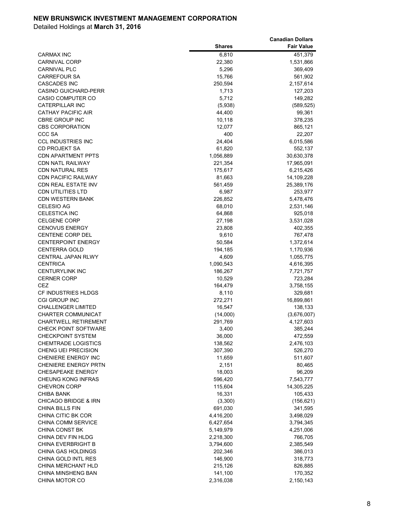|                                 |               | <b>Canadian Dollars</b> |
|---------------------------------|---------------|-------------------------|
|                                 | <b>Shares</b> | <b>Fair Value</b>       |
| <b>CARMAX INC</b>               | 6,810         | 451,379                 |
| <b>CARNIVAL CORP</b>            | 22,380        | 1,531,866               |
| <b>CARNIVAL PLC</b>             | 5,296         | 369,409                 |
| <b>CARREFOUR SA</b>             | 15,766        | 561,902                 |
| <b>CASCADES INC</b>             | 250,594       | 2,157,614               |
| <b>CASINO GUICHARD-PERR</b>     | 1,713         | 127,203                 |
| <b>CASIO COMPUTER CO</b>        | 5,712         | 149,282                 |
| CATERPILLAR INC                 | (5,938)       | (589, 525)              |
| <b>CATHAY PACIFIC AIR</b>       | 44,400        | 99,361                  |
| <b>CBRE GROUP INC</b>           | 10,118        | 378,235                 |
| <b>CBS CORPORATION</b>          | 12,077        | 865,121                 |
| CCC SA                          | 400           | 22,207                  |
| <b>CCL INDUSTRIES INC</b>       | 24,404        | 6,015,586               |
| <b>CD PROJEKT SA</b>            | 61,820        | 552,137                 |
| <b>CDN APARTMENT PPTS</b>       | 1,056,889     | 30,630,378              |
| <b>CDN NATL RAILWAY</b>         | 221,354       | 17,965,091              |
| <b>CDN NATURAL RES</b>          | 175,617       | 6,215,426               |
| <b>CDN PACIFIC RAILWAY</b>      | 81,663        | 14,109,228              |
| <b>CDN REAL ESTATE INV</b>      | 561,459       | 25,389,176              |
| <b>CDN UTILITIES LTD</b>        | 6,987         | 253,977                 |
| <b>CDN WESTERN BANK</b>         | 226,852       | 5,478,476               |
| <b>CELESIO AG</b>               | 68,010        | 2,531,146               |
| <b>CELESTICA INC</b>            | 64,868        | 925,018                 |
| <b>CELGENE CORP</b>             | 27,198        | 3,531,028               |
| <b>CENOVUS ENERGY</b>           | 23,808        | 402,355                 |
| <b>CENTENE CORP DEL</b>         | 9,610         | 767,478                 |
| <b>CENTERPOINT ENERGY</b>       | 50,584        | 1,372,614               |
| <b>CENTERRA GOLD</b>            | 194,185       | 1,170,936               |
| CENTRAL JAPAN RLWY              | 4,609         | 1,055,775               |
| <b>CENTRICA</b>                 | 1,090,543     | 4,616,395               |
| <b>CENTURYLINK INC</b>          | 186,267       | 7,721,757               |
| <b>CERNER CORP</b>              | 10,529        | 723,284                 |
| CEZ                             | 164,479       | 3,758,155               |
| CF INDUSTRIES HLDGS             | 8,110         | 329,681                 |
| CGI GROUP INC                   | 272,271       | 16,899,861              |
| <b>CHALLENGER LIMITED</b>       | 16,547        | 138,133                 |
| <b>CHARTER COMMUNICAT</b>       | (14,000)      | (3,676,007)             |
| <b>CHARTWELL RETIREMENT</b>     | 291,769       | 4,127,603               |
| <b>CHECK POINT SOFTWARE</b>     | 3,400         | 385,244                 |
| <b>CHECKPOINT SYSTEM</b>        | 36,000        | 472,559                 |
| <b>CHEMTRADE LOGISTICS</b>      | 138,562       | 2,476,103               |
| CHENG UEI PRECISION             | 307,390       | 526,270                 |
| <b>CHENIERE ENERGY INC</b>      | 11,659        | 511,607                 |
| <b>CHENIERE ENERGY PRTN</b>     | 2,151         | 80,465                  |
| <b>CHESAPEAKE ENERGY</b>        | 18,003        | 96,209                  |
| CHEUNG KONG INFRAS              | 596,420       | 7,543,777               |
| <b>CHEVRON CORP</b>             | 115,604       | 14,305,225              |
| CHIBA BANK                      | 16,331        | 105,433                 |
| <b>CHICAGO BRIDGE &amp; IRN</b> | (3,300)       | (156, 621)              |
| CHINA BILLS FIN                 | 691,030       | 341,595                 |
| CHINA CITIC BK COR              | 4,416,200     | 3,498,029               |
| CHINA COMM SERVICE              | 6,427,654     | 3,794,345               |
| <b>CHINA CONST BK</b>           | 5,149,979     | 4,251,006               |
| CHINA DEV FIN HLDG              | 2,218,300     | 766,705                 |
| <b>CHINA EVERBRIGHT B</b>       | 3,794,600     | 2,385,549               |
| CHINA GAS HOLDINGS              | 202,346       | 386,013                 |
| CHINA GOLD INTL RES             | 146,900       | 318,773                 |
| CHINA MERCHANT HLD              | 215,126       | 826,885                 |
| CHINA MINSHENG BAN              | 141,100       | 170,352                 |
| CHINA MOTOR CO                  | 2,316,038     | 2,150,143               |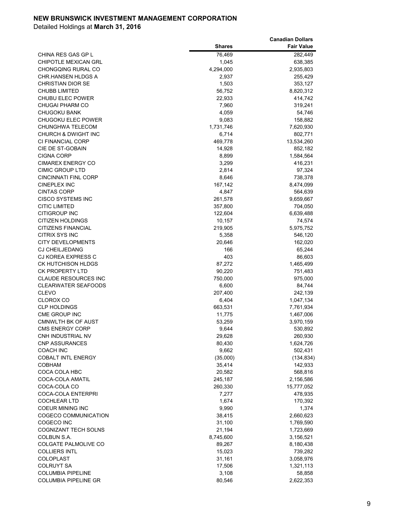|                             |               | <b>Canadian Dollars</b> |
|-----------------------------|---------------|-------------------------|
|                             | <b>Shares</b> | <b>Fair Value</b>       |
| CHINA RES GAS GP L          | 76,469        | 282,449                 |
| <b>CHIPOTLE MEXICAN GRL</b> | 1,045         | 638,385                 |
| CHONGQING RURAL CO          | 4,294,000     | 2,935,803               |
| CHR.HANSEN HLDGS A          | 2,937         | 255,429                 |
| <b>CHRISTIAN DIOR SE</b>    | 1,503         | 353,127                 |
| <b>CHUBB LIMITED</b>        | 56,752        | 8,820,312               |
| <b>CHUBU ELEC POWER</b>     | 22,933        | 414,742                 |
| <b>CHUGAI PHARM CO</b>      | 7,960         | 319,241                 |
| <b>CHUGOKU BANK</b>         | 4,059         | 54,746                  |
| CHUGOKU ELEC POWER          | 9,083         | 158,882                 |
| CHUNGHWA TELECOM            | 1,731,746     | 7,620,930               |
| CHURCH & DWIGHT INC         | 6,714         | 802,771                 |
| CI FINANCIAL CORP           | 469,778       | 13,534,260              |
| CIE DE ST-GOBAIN            | 14,928        | 852,182                 |
| <b>CIGNA CORP</b>           | 8,899         | 1,584,564               |
| <b>CIMAREX ENERGY CO</b>    | 3,299         | 416,231                 |
| <b>CIMIC GROUP LTD</b>      | 2,814         | 97,324                  |
| <b>CINCINNATI FINL CORP</b> | 8,646         | 738,378                 |
| <b>CINEPLEX INC</b>         | 167,142       | 8,474,099               |
| <b>CINTAS CORP</b>          | 4,847         | 564,639                 |
| <b>CISCO SYSTEMS INC</b>    | 261,578       | 9,659,667               |
| <b>CITIC LIMITED</b>        | 357,800       | 704,050                 |
| <b>CITIGROUP INC</b>        | 122,604       | 6,639,488               |
| <b>CITIZEN HOLDINGS</b>     | 10,157        | 74,574                  |
| <b>CITIZENS FINANCIAL</b>   | 219,905       | 5,975,752               |
| CITRIX SYS INC              | 5,358         | 546,120                 |
| <b>CITY DEVELOPMENTS</b>    | 20,646        | 162,020                 |
| <b>CJ CHEILJEDANG</b>       | 166           | 65,244                  |
| CJ KOREA EXPRESS C          | 403           | 86,603                  |
| <b>CK HUTCHISON HLDGS</b>   | 87,272        | 1,465,499               |
| <b>CK PROPERTY LTD</b>      | 90,220        | 751,483                 |
| <b>CLAUDE RESOURCES INC</b> | 750,000       | 975,000                 |
| <b>CLEARWATER SEAFOODS</b>  | 6,600         | 84,744                  |
| <b>CLEVO</b>                | 207,400       | 242,139                 |
| <b>CLOROX CO</b>            | 6,404         | 1,047,134               |
| <b>CLP HOLDINGS</b>         | 663,531       | 7,761,934               |
| CME GROUP INC               | 11,775        | 1,467,006               |
| <b>CMNWLTH BK OF AUST</b>   | 53,259        | 3,970,159               |
| <b>CMS ENERGY CORP</b>      | 9,644         | 530,892                 |
| CNH INDUSTRIAL NV           | 29,628        | 260,930                 |
| <b>CNP ASSURANCES</b>       | 80,430        | 1,624,726               |
| COACH INC                   | 9,662         | 502,431                 |
| <b>COBALT INTL ENERGY</b>   | (35,000)      | (134, 834)              |
| <b>COBHAM</b>               | 35,414        | 142,933                 |
| COCA COLA HBC               | 20,582        | 568,816                 |
| COCA-COLA AMATIL            | 245,187       | 2,156,586               |
| COCA-COLA CO                | 260,330       | 15,777,052              |
| <b>COCA-COLA ENTERPRI</b>   | 7,277         | 478,935                 |
| <b>COCHLEAR LTD</b>         | 1,674         | 170,392                 |
| COEUR MINING INC            | 9,990         | 1,374                   |
| COGECO COMMUNICATION        | 38,415        | 2,660,623               |
| COGECO INC                  | 31,100        | 1,769,590               |
| <b>COGNIZANT TECH SOLNS</b> | 21,194        | 1,723,669               |
| COLBUN S.A.                 | 8,745,600     | 3,156,521               |
| COLGATE PALMOLIVE CO        | 89,267        | 8,180,438               |
| <b>COLLIERS INTL</b>        | 15,023        | 739,282                 |
| <b>COLOPLAST</b>            | 31,161        | 3,058,976               |
| COLRUYT SA                  | 17,506        | 1,321,113               |
| <b>COLUMBIA PIPELINE</b>    | 3,108         | 58,858                  |
| <b>COLUMBIA PIPELINE GR</b> | 80,546        | 2,622,353               |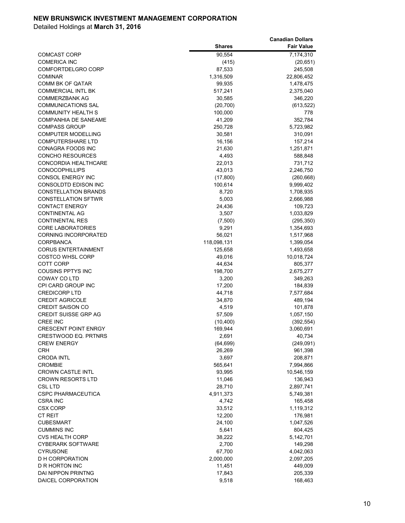|                             |               | <b>Canadian Dollars</b> |
|-----------------------------|---------------|-------------------------|
|                             | <b>Shares</b> | <b>Fair Value</b>       |
| <b>COMCAST CORP</b>         | 90,554        | 7,174,310               |
| <b>COMERICA INC</b>         | (415)         | (20, 651)               |
| COMFORTDELGRO CORP          | 87,533        | 245,508                 |
| <b>COMINAR</b>              | 1,316,509     | 22,806,452              |
| <b>COMM BK OF QATAR</b>     | 99,935        | 1,478,475               |
| <b>COMMERCIAL INTL BK</b>   | 517,241       | 2,375,040               |
| <b>COMMERZBANK AG</b>       | 30,585        | 346,220                 |
| <b>COMMUNICATIONS SAL</b>   | (20, 700)     | (613, 522)              |
| <b>COMMUNITY HEALTH S</b>   | 100,000       | 778                     |
| <b>COMPANHIA DE SANEAME</b> | 41,209        | 352,784                 |
| <b>COMPASS GROUP</b>        | 250,728       | 5,723,982               |
| <b>COMPUTER MODELLING</b>   | 30,581        | 310,091                 |
| <b>COMPUTERSHARE LTD</b>    | 16,156        | 157,214                 |
| CONAGRA FOODS INC           | 21,630        | 1,251,871               |
| <b>CONCHO RESOURCES</b>     | 4,493         | 588,848                 |
| CONCORDIA HEALTHCARE        | 22,013        | 731,712                 |
| <b>CONOCOPHILLIPS</b>       | 43,013        | 2,246,750               |
| CONSOL ENERGY INC           | (17,800)      | (260, 668)              |
| CONSOLDTD EDISON INC        | 100,614       | 9,999,402               |
| <b>CONSTELLATION BRANDS</b> | 8,720         | 1,708,935               |
| <b>CONSTELLATION SFTWR</b>  | 5,003         | 2,666,988               |
| <b>CONTACT ENERGY</b>       | 24,436        | 109,723                 |
| <b>CONTINENTAL AG</b>       | 3,507         | 1,033,829               |
| <b>CONTINENTAL RES</b>      | (7,500)       | (295, 350)              |
| <b>CORE LABORATORIES</b>    | 9,291         | 1,354,693               |
| <b>CORNING INCORPORATED</b> | 56,021        | 1,517,968               |
| <b>CORPBANCA</b>            | 118,098,131   | 1,399,054               |
| <b>CORUS ENTERTAINMENT</b>  | 125,658       | 1,493,658               |
| <b>COSTCO WHSL CORP</b>     | 49,016        | 10,018,724              |
| <b>COTT CORP</b>            | 44,634        | 805,377                 |
| <b>COUSINS PPTYS INC</b>    | 198,700       | 2,675,277               |
| COWAY CO LTD                | 3,200         | 349,263                 |
| CPI CARD GROUP INC          | 17,200        | 184,839                 |
| <b>CREDICORP LTD</b>        | 44,718        | 7,577,684               |
| <b>CREDIT AGRICOLE</b>      | 34,870        | 489,194                 |
| <b>CREDIT SAISON CO</b>     | 4,519         | 101,878                 |
| <b>CREDIT SUISSE GRP AG</b> | 57,509        | 1,057,150               |
| <b>CREE INC</b>             | (10, 400)     | (392, 554)              |
| <b>CRESCENT POINT ENRGY</b> | 169,944       | 3,060,691               |
| <b>CRESTWOOD EQ. PRTNRS</b> | 2,691         | 40,734                  |
| <b>CREW ENERGY</b>          | (64, 699)     | (249, 091)              |
| <b>CRH</b>                  | 26,269        | 961,398                 |
| <b>CRODA INTL</b>           | 3,697         | 208,871                 |
| <b>CROMBIE</b>              | 565,641       | 7,994,866               |
| <b>CROWN CASTLE INTL</b>    | 93,995        | 10,546,159              |
| <b>CROWN RESORTS LTD</b>    | 11,046        | 136,943                 |
| CSL LTD                     | 28,710        | 2,897,741               |
| <b>CSPC PHARMACEUTICA</b>   | 4,911,373     | 5,749,381               |
| <b>CSRA INC</b>             | 4,742         | 165,458                 |
| <b>CSX CORP</b>             | 33,512        | 1,119,312               |
| <b>CT REIT</b>              | 12,200        | 176,981                 |
| <b>CUBESMART</b>            | 24,100        | 1,047,526               |
| <b>CUMMINS INC</b>          | 5,641         | 804,425                 |
| <b>CVS HEALTH CORP</b>      | 38,222        | 5,142,701               |
| <b>CYBERARK SOFTWARE</b>    | 2,700         | 149,298                 |
| <b>CYRUSONE</b>             | 67,700        | 4,042,063               |
| D H CORPORATION             | 2,000,000     | 2,097,205               |
| D R HORTON INC              | 11,451        | 449,009                 |
| <b>DAI NIPPON PRINTNG</b>   | 17,843        | 205,339                 |
| DAICEL CORPORATION          | 9,518         | 168,463                 |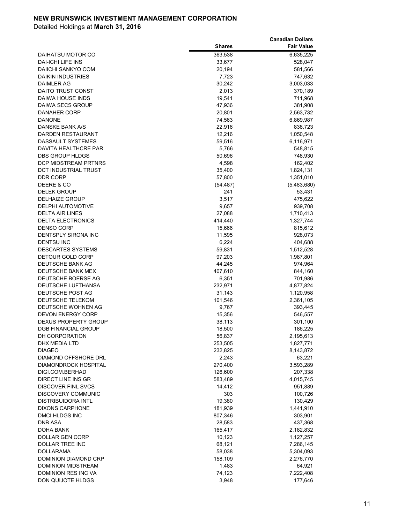|                             |               | <b>Canadian Dollars</b> |
|-----------------------------|---------------|-------------------------|
|                             | <b>Shares</b> | <b>Fair Value</b>       |
| DAIHATSU MOTOR CO           | 363,538       | 6,635,225               |
| DAI-ICHI LIFE INS           | 33,677        | 528,047                 |
| DAIICHI SANKYO COM          | 20,194        | 581,566                 |
| <b>DAIKIN INDUSTRIES</b>    | 7,723         | 747,632                 |
| DAIMLER AG                  | 30,242        | 3,003,033               |
| DAITO TRUST CONST           | 2,013         | 370,189                 |
| DAIWA HOUSE INDS            | 19,541        | 711,968                 |
| DAIWA SECS GROUP            | 47,936        | 381,908                 |
| DANAHER CORP                | 20,801        | 2,563,732               |
| <b>DANONE</b>               | 74,563        | 6,869,987               |
| DANSKE BANK A/S             | 22,916        | 838,723                 |
| DARDEN RESTAURANT           | 12,216        | 1,050,548               |
| DASSAULT SYSTEMES           | 59,516        | 6,116,971               |
| DAVITA HEALTHCRE PAR        | 5,766         | 548,815                 |
| DBS GROUP HLDGS             | 50,696        | 748,930                 |
| DCP MIDSTREAM PRTNRS        | 4,598         | 162,402                 |
| DCT INDUSTRIAL TRUST        | 35,400        | 1,824,131               |
| DDR CORP                    | 57,800        | 1,351,010               |
| DEERE & CO                  | (54, 487)     | (5,483,680)             |
| <b>DELEK GROUP</b>          | 241           | 53,431                  |
| <b>DELHAIZE GROUP</b>       | 3,517         | 475,622                 |
| <b>DELPHI AUTOMOTIVE</b>    | 9,657         | 939,708                 |
| <b>DELTA AIR LINES</b>      | 27,088        | 1,710,413               |
| <b>DELTA ELECTRONICS</b>    | 414,440       | 1,327,744               |
| DENSO CORP                  | 15,666        | 815,612                 |
| DENTSPLY SIRONA INC         | 11,595        | 928,073                 |
| <b>DENTSU INC</b>           | 6,224         | 404,688                 |
| DESCARTES SYSTEMS           | 59,831        | 1,512,528               |
| DETOUR GOLD CORP            | 97,203        | 1,987,801               |
| DEUTSCHE BANK AG            | 44,245        | 974,964                 |
| DEUTSCHE BANK MEX           | 407,610       | 844,160                 |
| DEUTSCHE BOERSE AG          | 6,351         | 701,986                 |
| DEUTSCHE LUFTHANSA          | 232,971       | 4,877,824               |
| DEUTSCHE POST AG            | 31,143        | 1,120,958               |
| DEUTSCHE TELEKOM            | 101,546       | 2,361,105               |
| DEUTSCHE WOHNEN AG          | 9,767         | 393,445                 |
| <b>DEVON ENERGY CORP</b>    | 15,356        | 546,557                 |
| <b>DEXUS PROPERTY GROUP</b> | 38,113        | 301,100                 |
| <b>DGB FINANCIAL GROUP</b>  | 18,500        | 186,225                 |
| DH CORPORATION              | 56,837        | 2,195,613               |
| DHX MEDIA LTD               | 253,505       | 1,827,771               |
| <b>DIAGEO</b>               | 232,825       | 8,143,872               |
| DIAMOND OFFSHORE DRL        | 2,243         | 63,221                  |
| <b>DIAMONDROCK HOSPITAL</b> | 270,400       | 3,593,289               |
| DIGI.COM.BERHAD             | 126,600       | 207,338                 |
| DIRECT LINE INS GR          | 583,489       | 4,015,745               |
| <b>DISCOVER FINL SVCS</b>   | 14,412        | 951,889                 |
| DISCOVERY COMMUNIC          | 303           | 100,726                 |
| DISTRIBUIDORA INTL          | 19,380        | 130,429                 |
| <b>DIXONS CARPHONE</b>      | 181,939       | 1,441,910               |
| <b>DMCI HLDGS INC</b>       | 807,346       | 303,901                 |
| <b>DNB ASA</b>              | 28,583        | 437,368                 |
| DOHA BANK                   | 165,417       | 2,182,832               |
| DOLLAR GEN CORP             | 10,123        | 1,127,257               |
| DOLLAR TREE INC             | 68,121        | 7,286,145               |
| <b>DOLLARAMA</b>            | 58,038        | 5,304,093               |
| DOMINION DIAMOND CRP        | 158,109       | 2,276,770               |
| DOMINION MIDSTREAM          | 1,483         | 64,921                  |
| DOMINION RES INC VA         | 74,123        | 7,222,408               |
| DON QUIJOTE HLDGS           | 3,948         | 177,646                 |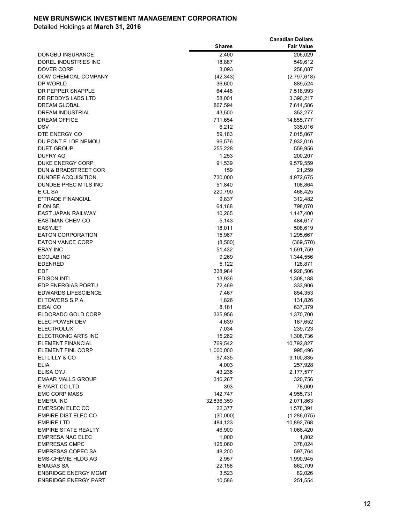|                             |               | <b>Canadian Dollars</b> |
|-----------------------------|---------------|-------------------------|
|                             | <b>Shares</b> | <b>Fair Value</b>       |
| DONGBU INSURANCE            | 2,400         | 206,029                 |
| DOREL INDUSTRIES INC        | 18,887        | 549,612                 |
| <b>DOVER CORP</b>           | 3,093         | 258,087                 |
| <b>DOW CHEMICAL COMPANY</b> | (42, 343)     | (2,797,618)             |
| DP WORLD                    | 36,600        | 889,524                 |
| DR PEPPER SNAPPLE           | 64,448        | 7,518,993               |
| DR REDDYS LABS LTD          | 58,001        | 3,390,217               |
| <b>DREAM GLOBAL</b>         | 867,594       | 7,614,586               |
| DREAM INDUSTRIAL            | 43,500        | 352,277                 |
| <b>DREAM OFFICE</b>         | 711,654       | 14,855,777              |
| DSV                         | 6,212         | 335,016                 |
| DTE ENERGY CO               | 59,183        | 7,015,067               |
| DU PONT E I DE NEMOU        | 96,576        | 7,932,016               |
| <b>DUET GROUP</b>           | 255,228       | 559,956                 |
| <b>DUFRY AG</b>             | 1,253         | 200,207                 |
| <b>DUKE ENERGY CORP</b>     | 91,539        | 9,579,559               |
| DUN & BRADSTREET COR        | 159           | 21,259                  |
| DUNDEE ACQUISITION          | 730,000       | 4,972,675               |
| DUNDEE PREC MTLS INC        | 51,840        | 108,864                 |
| E CL SA                     | 220,790       | 468,425                 |
| E*TRADE FINANCIAL           | 9,837         | 312,482                 |
| E.ON SE                     | 64,168        | 798,070                 |
| <b>EAST JAPAN RAILWAY</b>   | 10,265        | 1,147,400               |
| <b>EASTMAN CHEM CO</b>      | 5,143         | 484,617                 |
| <b>EASYJET</b>              | 18,011        | 508,619                 |
| <b>EATON CORPORATION</b>    | 15,967        | 1,295,667               |
| <b>EATON VANCE CORP</b>     | (8,500)       | (369, 570)              |
| <b>EBAY INC</b>             | 51,432        | 1,591,759               |
| <b>ECOLAB INC</b>           | 9,269         | 1,344,556               |
| <b>EDENRED</b>              | 5,122         | 128,871                 |
| EDF                         | 338,984       | 4,928,506               |
| EDISON INTL                 | 13,936        | 1,308,188               |
| <b>EDP ENERGIAS PORTU</b>   | 72,469        | 333,906                 |
| <b>EDWARDS LIFESCIENCE</b>  | 7,467         | 854,353                 |
| EI TOWERS S.P.A.            | 1,826         | 131,826                 |
| EISAI CO                    | 8,181         | 637,379                 |
| ELDORADO GOLD CORP          | 335,956       | 1,370,700               |
| <b>ELEC POWER DEV</b>       | 4,639         | 187,652                 |
| <b>ELECTROLUX</b>           | 7,034         | 239,723                 |
| ELECTRONIC ARTS INC         | 15,262        | 1,308,736               |
| <b>ELEMENT FINANCIAL</b>    | 769,542       | 10,792,827              |
| ELEMENT FINL CORP           | 1,000,000     | 995,496                 |
| ELI LILLY & CO              | 97,435        | 9,100,835               |
| ELIA                        | 4,003         | 257,928                 |
| ELISA OYJ                   | 43,236        | 2,177,577               |
| <b>EMAAR MALLS GROUP</b>    | 316,267       | 320,756                 |
| E-MART CO LTD               | 393           | 78,009                  |
| <b>EMC CORP MASS</b>        | 142,747       | 4,955,731               |
| <b>EMERA INC</b>            | 32,836,359    | 2,071,863               |
| <b>EMERSON ELEC CO</b>      | 22,377        | 1,578,391               |
| EMPIRE DIST ELEC CO         | (30,000)      | (1,286,075)             |
| <b>EMPIRE LTD</b>           | 484,123       | 10,892,768              |
| <b>EMPIRE STATE REALTY</b>  | 46,900        | 1,066,420               |
| <b>EMPRESA NAC ELEC</b>     | 1,000         | 1,802                   |
| <b>EMPRESAS CMPC</b>        | 125,060       | 378,024                 |
| <b>EMPRESAS COPEC SA</b>    | 48,200        | 597,764                 |
| <b>EMS-CHEMIE HLDG AG</b>   | 2,957         | 1,990,945               |
| ENAGAS SA                   | 22,158        | 862,709                 |
| <b>ENBRIDGE ENERGY MGMT</b> | 3,523         | 82,026                  |
| <b>ENBRIDGE ENERGY PART</b> | 10,586        | 251,554                 |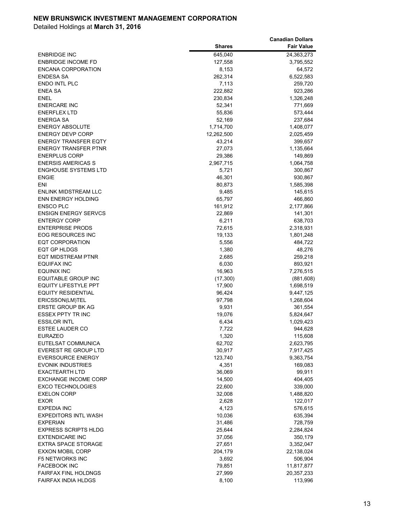|                                                   |                   | <b>Canadian Dollars</b> |
|---------------------------------------------------|-------------------|-------------------------|
|                                                   | <b>Shares</b>     | <b>Fair Value</b>       |
| <b>ENBRIDGE INC</b>                               | 645,040           | 24,363,273              |
| <b>ENBRIDGE INCOME FD</b>                         | 127,558           | 3,795,552               |
| ENCANA CORPORATION                                | 8,153             | 64,572                  |
| ENDESA SA                                         | 262,314           | 6,522,583               |
| <b>ENDO INTL PLC</b>                              | 7,113             | 259,720                 |
| <b>ENEA SA</b>                                    | 222,882           | 923,286                 |
| ENEL                                              | 230,834           | 1,326,248               |
| <b>ENERCARE INC</b>                               | 52,341            | 771,669                 |
| <b>ENERFLEX LTD</b>                               | 55,836            | 573,444                 |
| <b>ENERGA SA</b>                                  | 52,169            | 237,684                 |
| <b>ENERGY ABSOLUTE</b>                            | 1,714,700         | 1,408,077               |
| <b>ENERGY DEVP CORP</b>                           | 12,262,500        | 2,025,459               |
| <b>ENERGY TRANSFER EQTY</b>                       | 43,214            | 399,657                 |
| <b>ENERGY TRANSFER PTNR</b>                       | 27,073            | 1,135,664               |
| <b>ENERPLUS CORP</b>                              | 29,386            | 149,869                 |
| <b>ENERSIS AMERICAS S</b>                         | 2,967,715         | 1,064,758               |
| <b>ENGHOUSE SYSTEMS LTD</b>                       | 5,721             | 300,867                 |
| <b>ENGIE</b>                                      | 46,301            | 930,867                 |
| ENI                                               | 80,873            | 1,585,398               |
| <b>ENLINK MIDSTREAM LLC</b>                       | 9,485             | 145,615                 |
| <b>ENN ENERGY HOLDING</b>                         | 65,797            | 466,860                 |
| <b>ENSCO PLC</b>                                  | 161,912           | 2,177,866               |
| <b>ENSIGN ENERGY SERVCS</b>                       | 22,869            | 141,301                 |
| <b>ENTERGY CORP</b>                               | 6,211             | 638,703                 |
| <b>ENTERPRISE PRODS</b>                           | 72,615            | 2,318,931               |
| EOG RESOURCES INC                                 | 19,133            | 1,801,248               |
| EQT CORPORATION                                   | 5,556             | 484,722                 |
| EQT GP HLDGS                                      | 1,380             | 48,276                  |
| EQT MIDSTREAM PTNR                                | 2,685             | 259,218                 |
| <b>EQUIFAX INC</b>                                | 6,030             | 893,921                 |
| EQUINIX INC                                       | 16,963            | 7,276,515               |
| EQUITABLE GROUP INC                               | (17, 300)         | (881,608)               |
| <b>EQUITY LIFESTYLE PPT</b>                       | 17,900            | 1,698,519               |
| <b>EQUITY RESIDENTIAL</b>                         | 96,424            | 9,447,125               |
| ERICSSON(LM)TEL                                   | 97,798            | 1,268,604               |
| <b>ERSTE GROUP BK AG</b>                          | 9,931             | 361,554                 |
| <b>ESSEX PPTY TR INC</b>                          | 19,076            | 5,824,647               |
| <b>ESSILOR INTL</b>                               | 6,434             | 1,029,423               |
| <b>ESTEE LAUDER CO</b>                            | 7,722             | 944,628                 |
| <b>EURAZEO</b>                                    | 1,320             | 115,608                 |
| EUTELSAT COMMUNICA                                | 62,702            | 2,623,795               |
| <b>EVEREST RE GROUP LTD</b>                       | 30,917<br>123,740 | 7,917,425               |
| <b>EVERSOURCE ENERGY</b>                          |                   | 9,363,754               |
| <b>EVONIK INDUSTRIES</b><br><b>EXACTEARTH LTD</b> | 4,351             | 169,083                 |
| <b>EXCHANGE INCOME CORP</b>                       | 36,069            | 99,911                  |
| <b>EXCO TECHNOLOGIES</b>                          | 14,500            | 404,405<br>339,000      |
| <b>EXELON CORP</b>                                | 22,600            |                         |
| <b>EXOR</b>                                       | 32,008<br>2,628   | 1,488,820<br>122,017    |
| <b>EXPEDIA INC</b>                                | 4,123             | 576,615                 |
| <b>EXPEDITORS INTL WASH</b>                       | 10,036            | 635,394                 |
| <b>EXPERIAN</b>                                   | 31,486            |                         |
| <b>EXPRESS SCRIPTS HLDG</b>                       | 25,644            | 728,759<br>2,284,824    |
| <b>EXTENDICARE INC</b>                            |                   | 350,179                 |
| <b>EXTRA SPACE STORAGE</b>                        | 37,056<br>27,651  | 3,352,047               |
| <b>EXXON MOBIL CORP</b>                           | 204,179           | 22,138,024              |
| <b>F5 NETWORKS INC</b>                            | 3,692             | 506,904                 |
| <b>FACEBOOK INC</b>                               | 79,851            | 11,817,877              |
| <b>FAIRFAX FINL HOLDNGS</b>                       | 27,999            | 20,357,233              |
| <b>FAIRFAX INDIA HLDGS</b>                        | 8,100             | 113,996                 |
|                                                   |                   |                         |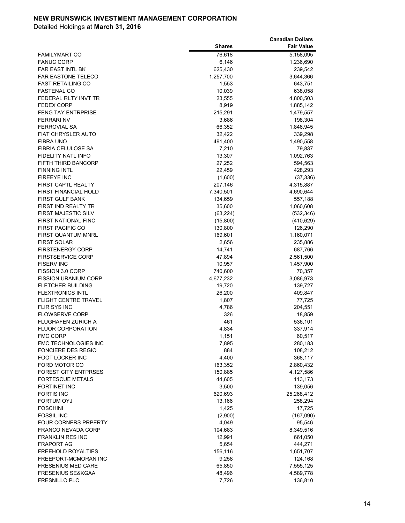|                              |               | <b>Canadian Dollars</b> |
|------------------------------|---------------|-------------------------|
|                              | <b>Shares</b> | <b>Fair Value</b>       |
| <b>FAMILYMART CO</b>         | 76,618        | 5,158,095               |
| <b>FANUC CORP</b>            | 6,146         | 1,236,690               |
| <b>FAR EAST INTL BK</b>      | 625,430       | 239,542                 |
| <b>FAR EASTONE TELECO</b>    | 1,257,700     | 3,644,366               |
| <b>FAST RETAILING CO</b>     | 1,553         | 643,751                 |
| <b>FASTENAL CO</b>           | 10,039        | 638,058                 |
| FEDERAL RLTY INVT TR         | 23,555        | 4,800,503               |
| <b>FEDEX CORP</b>            | 8,919         | 1,885,142               |
| <b>FENG TAY ENTRPRISE</b>    | 215,291       | 1,479,557               |
| <b>FERRARI NV</b>            | 3,686         | 198,304                 |
| <b>FERROVIAL SA</b>          | 66,352        | 1,846,945               |
| <b>FIAT CHRYSLER AUTO</b>    | 32,422        | 339,298                 |
| <b>FIBRA UNO</b>             | 491,400       | 1,490,558               |
| FIBRIA CELULOSE SA           | 7,210         | 79,837                  |
| FIDELITY NATL INFO           | 13,307        | 1,092,763               |
| FIFTH THIRD BANCORP          | 27,252        | 594,563                 |
| <b>FINNING INTL</b>          | 22,459        | 428,293                 |
| <b>FIREEYE INC</b>           | (1,600)       | (37, 336)               |
| <b>FIRST CAPTL REALTY</b>    | 207,146       | 4,315,887               |
| <b>FIRST FINANCIAL HOLD</b>  | 7,340,501     | 4,690,644               |
| <b>FIRST GULF BANK</b>       | 134,659       | 557,188                 |
| <b>FIRST IND REALTY TR</b>   | 35,600        | 1,060,608               |
| <b>FIRST MAJESTIC SILV</b>   | (63, 224)     | (532, 346)              |
| <b>FIRST NATIONAL FINC</b>   | (15,800)      | (410, 629)              |
| <b>FIRST PACIFIC CO</b>      | 130,800       | 126,290                 |
| <b>FIRST QUANTUM MNRL</b>    | 169,601       | 1,160,071               |
| <b>FIRST SOLAR</b>           | 2,656         | 235,886                 |
| <b>FIRSTENERGY CORP</b>      | 14,741        | 687,766                 |
| <b>FIRSTSERVICE CORP</b>     | 47,894        | 2,561,500               |
| <b>FISERV INC</b>            | 10,957        | 1,457,900               |
| FISSION 3.0 CORP             | 740,600       | 70,357                  |
| <b>FISSION URANIUM CORP</b>  | 4,677,232     | 3,086,973               |
| <b>FLETCHER BUILDING</b>     | 19,720        | 139,727                 |
| <b>FLEXTRONICS INTL</b>      | 26,200        | 409,847                 |
| <b>FLIGHT CENTRE TRAVEL</b>  | 1,807         | 77,725                  |
| <b>FLIR SYS INC</b>          | 4,786         | 204,551                 |
| <b>FLOWSERVE CORP</b>        | 326           | 18,859                  |
| <b>FLUGHAFEN ZURICH A</b>    | 461           | 536,101                 |
| <b>FLUOR CORPORATION</b>     | 4,834         | 337,914                 |
| <b>FMC CORP</b>              | 1,151         | 60,517                  |
| FMC TECHNOLOGIES INC         | 7,895         | 280,183                 |
| <b>FONCIERE DES REGIO</b>    | 884           | 108,212                 |
| FOOT LOCKER INC              | 4,400         | 368,117                 |
| FORD MOTOR CO                | 163,352       | 2,860,432               |
| <b>FOREST CITY ENTPRSES</b>  | 150,885       | 4,127,586               |
| <b>FORTESCUE METALS</b>      | 44,605        | 113,173                 |
| <b>FORTINET INC</b>          | 3,500         | 139,056                 |
| <b>FORTIS INC</b>            | 620,693       | 25,268,412              |
| <b>FORTUM OYJ</b>            | 13,166        | 258,294                 |
| <b>FOSCHINI</b>              | 1,425         | 17,725                  |
| <b>FOSSIL INC</b>            | (2,900)       | (167,090)               |
| <b>FOUR CORNERS PRPERTY</b>  | 4,049         | 95,546                  |
| <b>FRANCO NEVADA CORP</b>    | 104,683       | 8,349,516               |
| <b>FRANKLIN RES INC</b>      | 12,991        | 661,050                 |
| <b>FRAPORT AG</b>            | 5,654         | 444,271                 |
| <b>FREEHOLD ROYALTIES</b>    | 156,116       | 1,651,707               |
| FREEPORT-MCMORAN INC         | 9,258         | 124,168                 |
| <b>FRESENIUS MED CARE</b>    | 65,850        | 7,555,125               |
| <b>FRESENIUS SE&amp;KGAA</b> | 48,496        | 4,589,778               |
| FRESNILLO PLC                | 7,726         | 136,810                 |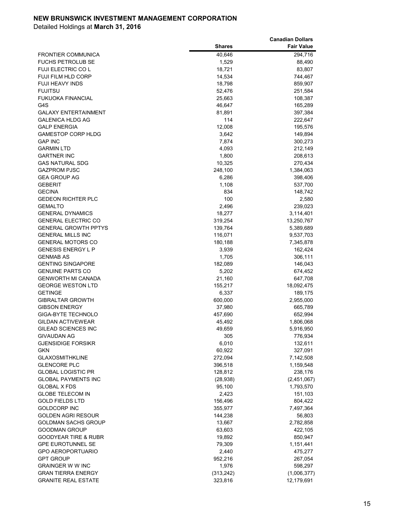|                                                             |                    | <b>Canadian Dollars</b> |
|-------------------------------------------------------------|--------------------|-------------------------|
|                                                             | <b>Shares</b>      | <b>Fair Value</b>       |
| <b>FRONTIER COMMUNICA</b>                                   | 40,646             | 294,716                 |
| <b>FUCHS PETROLUB SE</b>                                    | 1,529              | 88,490                  |
| <b>FUJI ELECTRIC COL</b>                                    | 18,721             | 83,807                  |
| <b>FUJI FILM HLD CORP</b>                                   | 14,534             | 744,467                 |
| <b>FUJI HEAVY INDS</b>                                      | 18,798             | 859,907                 |
| <b>FUJITSU</b>                                              | 52,476             | 251,584                 |
| <b>FUKUOKA FINANCIAL</b>                                    | 25,663             | 108,387                 |
| G4S                                                         | 46,647             | 165,289                 |
| <b>GALAXY ENTERTAINMENT</b>                                 | 81,891             | 397,384                 |
| <b>GALENICA HLDG AG</b>                                     | 114                | 222,647                 |
| <b>GALP ENERGIA</b>                                         | 12,008             | 195,576                 |
| <b>GAMESTOP CORP HLDG</b>                                   | 3,642              | 149,894                 |
| <b>GAP INC</b>                                              | 7,874              | 300,273                 |
| <b>GARMIN LTD</b>                                           | 4,093              | 212,149                 |
| <b>GARTNER INC</b>                                          | 1,800              | 208,613                 |
| <b>GAS NATURAL SDG</b>                                      | 10,325             | 270,434                 |
| <b>GAZPROM PJSC</b>                                         | 248,100            | 1,384,063               |
| <b>GEA GROUP AG</b>                                         | 6,286              | 398,406                 |
| <b>GEBERIT</b>                                              | 1,108              | 537,700                 |
| <b>GECINA</b>                                               | 834                | 148,742                 |
| <b>GEDEON RICHTER PLC</b>                                   | 100                | 2,580                   |
| <b>GEMALTO</b>                                              | 2,496              | 239,023                 |
| <b>GENERAL DYNAMICS</b>                                     | 18,277             | 3,114,401               |
| <b>GENERAL ELECTRIC CO</b>                                  | 319,254            | 13,250,767              |
| <b>GENERAL GROWTH PPTYS</b>                                 | 139,764            | 5,389,689               |
| <b>GENERAL MILLS INC</b>                                    | 116,071            | 9,537,703               |
| <b>GENERAL MOTORS CO</b>                                    | 180,188            | 7,345,878               |
| <b>GENESIS ENERGY L P</b>                                   | 3,939              | 162,424                 |
| <b>GENMAB AS</b>                                            | 1,705              | 306,111                 |
| <b>GENTING SINGAPORE</b>                                    | 182,089            | 146,043                 |
| <b>GENUINE PARTS CO</b>                                     | 5,202              | 674,452                 |
| <b>GENWORTH MI CANADA</b>                                   | 21,160             | 647,708                 |
| <b>GEORGE WESTON LTD</b>                                    | 155,217            | 18,092,475              |
| <b>GETINGE</b>                                              | 6,337              | 189,175                 |
| <b>GIBRALTAR GROWTH</b>                                     | 600,000            | 2,955,000               |
| <b>GIBSON ENERGY</b>                                        | 37,980             | 665,789                 |
| <b>GIGA-BYTE TECHNOLO</b>                                   | 457,690            | 652,994                 |
| <b>GILDAN ACTIVEWEAR</b>                                    | 45,492             | 1,806,068               |
| GILEAD SCIENCES INC                                         | 49,659             | 5,916,950               |
| <b>GIVAUDAN AG</b>                                          | 305                | 776,934                 |
| <b>GJENSIDIGE FORSIKR</b>                                   | 6,010              | 132,611                 |
| <b>GKN</b>                                                  | 60,922             | 327,091                 |
| <b>GLAXOSMITHKLINE</b>                                      | 272,094            | 7,142,508               |
| <b>GLENCORE PLC</b>                                         | 396,518            | 1,159,548               |
| <b>GLOBAL LOGISTIC PR</b>                                   | 128,812            | 238,176                 |
| <b>GLOBAL PAYMENTS INC</b>                                  | (28, 938)          | (2,451,067)             |
| <b>GLOBAL X FDS</b>                                         | 95,100             | 1,793,570               |
| <b>GLOBE TELECOM IN</b>                                     | 2,423              | 151,103                 |
| <b>GOLD FIELDS LTD</b><br><b>GOLDCORP INC</b>               | 156,496            | 804,422                 |
|                                                             | 355,977<br>144,238 | 7,497,364               |
| GOLDEN AGRI RESOUR                                          |                    | 56,803                  |
| <b>GOLDMAN SACHS GROUP</b>                                  | 13,667             | 2,782,858               |
| <b>GOODMAN GROUP</b>                                        | 63,603             | 422,105                 |
| <b>GOODYEAR TIRE &amp; RUBR</b><br><b>GPE EUROTUNNEL SE</b> | 19,892<br>79,309   | 850,947                 |
| <b>GPO AEROPORTUARIO</b>                                    |                    | 1,151,441               |
| <b>GPT GROUP</b>                                            | 2,440<br>952,216   | 475,277<br>267,054      |
| <b>GRAINGER W W INC</b>                                     | 1,976              | 598,297                 |
| <b>GRAN TIERRA ENERGY</b>                                   | (313, 242)         | (1,006,377)             |
| <b>GRANITE REAL ESTATE</b>                                  | 323,816            | 12,179,691              |
|                                                             |                    |                         |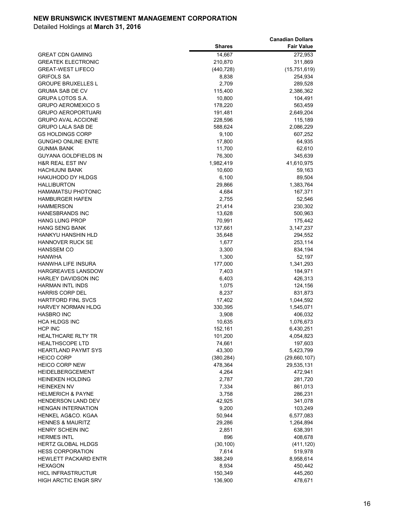|                                                           |               | <b>Canadian Dollars</b> |
|-----------------------------------------------------------|---------------|-------------------------|
|                                                           | <b>Shares</b> | <b>Fair Value</b>       |
| <b>GREAT CDN GAMING</b>                                   | 14,667        | 272,953                 |
| <b>GREATEK ELECTRONIC</b>                                 | 210,870       | 311,869                 |
| <b>GREAT-WEST LIFECO</b>                                  | (440, 728)    | (15, 751, 619)          |
| <b>GRIFOLS SA</b>                                         | 8,838         | 254,934                 |
| <b>GROUPE BRUXELLES L</b>                                 | 2,709         | 289,528                 |
| <b>GRUMA SAB DE CV</b>                                    | 115,400       | 2,386,362               |
| <b>GRUPA LOTOS S.A.</b>                                   | 10,800        | 104,491                 |
| <b>GRUPO AEROMEXICO S</b>                                 | 178,220       | 563,459                 |
| <b>GRUPO AEROPORTUARI</b>                                 | 191,481       | 2,649,204               |
| <b>GRUPO AVAL ACCIONE</b>                                 | 228,596       | 115,189                 |
| <b>GRUPO LALA SAB DE</b>                                  | 588,624       | 2,086,229               |
| <b>GS HOLDINGS CORP</b>                                   | 9,100         | 607,252                 |
| <b>GUNGHO ONLINE ENTE</b>                                 | 17,800        | 64,935                  |
| <b>GUNMA BANK</b>                                         | 11,700        | 62,610                  |
| <b>GUYANA GOLDFIELDS IN</b>                               | 76,300        | 345,639                 |
| <b>H&amp;R REAL EST INV</b>                               | 1,982,419     | 41,610,975              |
| <b>HACHIJUNI BANK</b>                                     | 10,600        | 59,163                  |
| <b>HAKUHODO DY HLDGS</b>                                  | 6,100         | 89,504                  |
| <b>HALLIBURTON</b>                                        | 29,866        | 1,383,764               |
| <b>HAMAMATSU PHOTONIC</b>                                 | 4,684         | 167,371                 |
| <b>HAMBURGER HAFEN</b>                                    | 2,755         | 52,546                  |
| <b>HAMMERSON</b>                                          | 21,414        | 230,302                 |
| <b>HANESBRANDS INC</b>                                    | 13,628        | 500,963                 |
| <b>HANG LUNG PROP</b>                                     | 70,991        | 175,442                 |
| <b>HANG SENG BANK</b>                                     | 137,661       | 3,147,237               |
| HANKYU HANSHIN HLD                                        | 35,648        | 294,552                 |
| <b>HANNOVER RUCK SE</b>                                   | 1,677         | 253,114                 |
| <b>HANSSEM CO</b>                                         | 3,300         | 834,194                 |
| <b>HANWHA</b>                                             | 1,300         | 52,197                  |
| <b>HANWHA LIFE INSURA</b>                                 | 177,000       | 1,341,293               |
| <b>HARGREAVES LANSDOW</b>                                 | 7,403         | 184,971                 |
| <b>HARLEY DAVIDSON INC</b>                                | 6,403         | 426,313                 |
| <b>HARMAN INTL INDS</b>                                   | 1,075         | 124,156                 |
| <b>HARRIS CORP DEL</b>                                    | 8,237         | 831,873                 |
| <b>HARTFORD FINL SVCS</b>                                 | 17,402        | 1,044,592               |
| HARVEY NORMAN HLDG                                        | 330,395       | 1,545,071               |
| <b>HASBRO INC</b>                                         | 3,908         | 406,032                 |
| <b>HCA HLDGS INC</b>                                      | 10,635        | 1,076,673               |
| <b>HCP INC</b>                                            | 152,161       | 6,430,251               |
| <b>HEALTHCARE RLTY TR</b>                                 | 101,200       | 4,054,823               |
| <b>HEALTHSCOPE LTD</b>                                    | 74,661        | 197,603                 |
| <b>HEARTLAND PAYMT SYS</b>                                | 43,300        | 5,423,799               |
| <b>HEICO CORP</b>                                         | (380, 284)    | (29,660,107)            |
| <b>HEICO CORP NEW</b>                                     | 478,364       | 29,535,131              |
| HEIDELBERGCEMENT                                          | 4,264         | 472,941                 |
| <b>HEINEKEN HOLDING</b>                                   | 2,787         | 281,720                 |
| <b>HEINEKEN NV</b>                                        | 7,334         | 861,013                 |
| <b>HELMERICH &amp; PAYNE</b><br><b>HENDERSON LAND DEV</b> | 3,758         | 286,231                 |
|                                                           | 42,925        | 341,078                 |
| <b>HENGAN INTERNATION</b>                                 | 9,200         | 103,249                 |
| HENKEL AG&CO. KGAA                                        | 50,944        | 6,577,083               |
| <b>HENNES &amp; MAURITZ</b>                               | 29,286        | 1,264,894               |
| <b>HENRY SCHEIN INC</b>                                   | 2,851         | 638,391                 |
| <b>HERMES INTL</b>                                        | 896           | 408,678                 |
| HERTZ GLOBAL HLDGS                                        | (30, 100)     | (411, 120)              |
| <b>HESS CORPORATION</b>                                   | 7,614         | 519,978                 |
| <b>HEWLETT PACKARD ENTR</b>                               | 388,249       | 8,958,614               |
| <b>HEXAGON</b>                                            | 8,934         | 450,442                 |
| <b>HICL INFRASTRUCTUR</b><br><b>HIGH ARCTIC ENGR SRV</b>  | 150,349       | 445,260                 |
|                                                           | 136,900       | 478,671                 |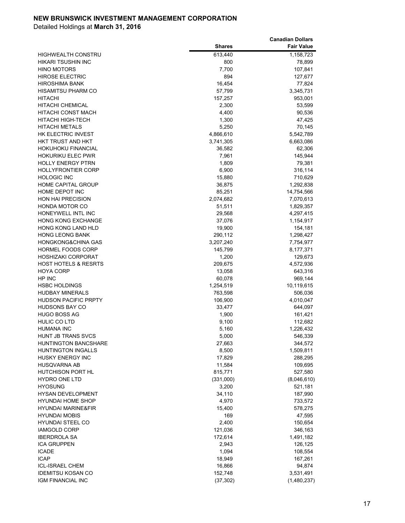|                                             |                   | <b>Canadian Dollars</b> |
|---------------------------------------------|-------------------|-------------------------|
|                                             | <b>Shares</b>     | <b>Fair Value</b>       |
| <b>HIGHWEALTH CONSTRU</b>                   | 613,440           | 1,158,723               |
| <b>HIKARI TSUSHIN INC</b>                   | 800               | 78,899                  |
| <b>HINO MOTORS</b>                          | 7,700             | 107,841                 |
| <b>HIROSE ELECTRIC</b>                      | 894               | 127,677                 |
| <b>HIROSHIMA BANK</b>                       | 16,454            | 77,824                  |
| <b>HISAMITSU PHARM CO</b>                   | 57,799            | 3,345,731               |
| <b>HITACHI</b>                              | 157,257           | 953,001                 |
| <b>HITACHI CHEMICAL</b>                     | 2,300             | 53,599                  |
| HITACHI CONST MACH                          | 4,400             | 90,536                  |
| HITACHI HIGH-TECH                           | 1,300             | 47,425                  |
| <b>HITACHI METALS</b>                       | 5,250             | 70,145                  |
| HK ELECTRIC INVEST                          | 4,866,610         | 5,542,789               |
| HKT TRUST AND HKT                           | 3,741,305         | 6,663,086               |
| <b>HOKUHOKU FINANCIAL</b>                   | 36,582            | 62,306                  |
| <b>HOKURIKU ELEC PWR</b>                    | 7,961             | 145,944                 |
| <b>HOLLY ENERGY PTRN</b>                    | 1,809             | 79,381                  |
| <b>HOLLYFRONTIER CORP</b>                   | 6,900             | 316,114                 |
| <b>HOLOGIC INC</b>                          | 15,880            | 710,629                 |
| <b>HOME CAPITAL GROUP</b>                   | 36,875            | 1,292,838               |
| HOME DEPOT INC                              | 85,251            | 14,754,566              |
| <b>HON HAI PRECISION</b>                    | 2,074,682         | 7,070,613               |
| <b>HONDA MOTOR CO</b>                       | 51,511            | 1,829,357               |
| HONEYWELL INTL INC                          | 29,568            | 4,297,415               |
| <b>HONG KONG EXCHANGE</b>                   | 37,076            | 1,154,917               |
| HONG KONG LAND HLD                          | 19,900            | 154,181                 |
| <b>HONG LEONG BANK</b>                      | 290,112           | 1,298,427               |
| <b>HONGKONG&amp;CHINA GAS</b>               | 3,207,240         | 7,754,977               |
| <b>HORMEL FOODS CORP</b>                    | 145,799           | 8,177,371               |
| <b>HOSHIZAKI CORPORAT</b>                   | 1,200             | 129,673                 |
| <b>HOST HOTELS &amp; RESRTS</b>             | 209,675           | 4,572,936               |
| <b>HOYA CORP</b>                            | 13,058            | 643,316                 |
| HP INC                                      | 60,078            | 969,144                 |
| <b>HSBC HOLDINGS</b>                        | 1,254,519         | 10,119,615              |
| <b>HUDBAY MINERALS</b>                      | 763,598           | 506,036                 |
| <b>HUDSON PACIFIC PRPTY</b>                 | 106,900           | 4,010,047               |
| <b>HUDSONS BAY CO</b>                       | 33,477            | 644,097                 |
| <b>HUGO BOSS AG</b>                         | 1,900             | 161,421                 |
| <b>HULIC CO LTD</b>                         | 9,100             | 112,682                 |
| <b>HUMANA INC</b>                           | 5,160             | 1,226,432               |
| HUNT JB TRANS SVCS                          | 5,000             | 546,339                 |
| <b>HUNTINGTON BANCSHARE</b>                 | 27,663            | 344,572                 |
| <b>HUNTINGTON INGALLS</b>                   | 8,500             | 1,509,811               |
| <b>HUSKY ENERGY INC</b>                     | 17,829            | 288,295                 |
| HUSQVARNA AB                                | 11,584            | 109,695                 |
| <b>HUTCHISON PORT HL</b>                    | 815,771           | 527,580                 |
| HYDRO ONE LTD                               | (331,000)         | (8,046,610)             |
| <b>HYOSUNG</b>                              | 3,200             | 521,181                 |
| <b>HYSAN DEVELOPMENT</b>                    | 34,110            | 187,990                 |
| <b>HYUNDAI HOME SHOP</b>                    | 4,970             | 733,572                 |
| HYUNDAI MARINE&FIR<br><b>HYUNDAI MOBIS</b>  | 15,400            | 578,275                 |
|                                             | 169               | 47,595                  |
| <b>HYUNDAI STEEL CO</b>                     | 2,400             | 150,654                 |
| <b>IAMGOLD CORP</b>                         | 121,036           | 346,163                 |
| <b>IBERDROLA SA</b>                         | 172,614           | 1,491,182               |
| <b>ICA GRUPPEN</b>                          | 2,943             | 126,125                 |
| <b>ICADE</b><br><b>ICAP</b>                 | 1,094             | 108,554                 |
|                                             | 18,949            | 167,261                 |
| ICL-ISRAEL CHEM<br><b>IDEMITSU KOSAN CO</b> | 16,866<br>152,748 | 94,874                  |
|                                             |                   | 3,531,491               |
| IGM FINANCIAL INC                           | (37, 302)         | (1,480,237)             |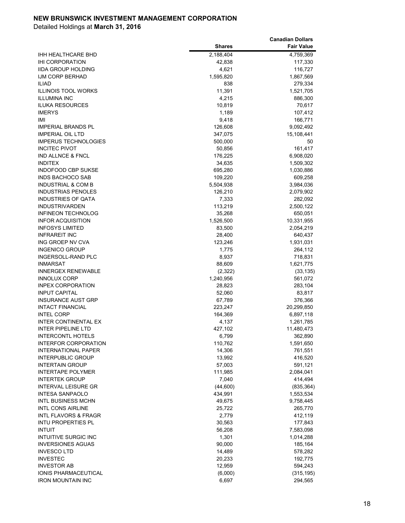|                                 |               | <b>Canadian Dollars</b> |
|---------------------------------|---------------|-------------------------|
|                                 | <b>Shares</b> | <b>Fair Value</b>       |
| IHH HEALTHCARE BHD              | 2,188,404     | 4,759,369               |
| IHI CORPORATION                 | 42,838        | 117,330                 |
| <b>IIDA GROUP HOLDING</b>       | 4,621         | 116,727                 |
| <b>IJM CORP BERHAD</b>          | 1,595,820     | 1,867,569               |
| <b>ILIAD</b>                    | 838           | 279,334                 |
| <b>ILLINOIS TOOL WORKS</b>      | 11,391        | 1,521,705               |
| <b>ILLUMINA INC</b>             | 4,215         | 886,300                 |
| <b>ILUKA RESOURCES</b>          | 10,819        | 70,617                  |
| <b>IMERYS</b>                   | 1,189         | 107,412                 |
| IMI                             | 9,418         | 166,771                 |
| IMPERIAL BRANDS PL              | 126,608       | 9,092,492               |
| <b>IMPERIAL OIL LTD</b>         | 347,075       | 15,108,441              |
| <b>IMPERUS TECHNOLOGIES</b>     | 500,000       | 50                      |
| <b>INCITEC PIVOT</b>            | 50,856        | 161,417                 |
| IND ALLNCE & FNCL               | 176,225       | 6,908,020               |
| <b>INDITEX</b>                  | 34,635        | 1,509,302               |
| INDOFOOD CBP SUKSE              | 695,280       | 1,030,886               |
| INDS BACHOCO SAB                | 109,220       | 609,258                 |
| <b>INDUSTRIAL &amp; COM B</b>   | 5,504,938     | 3,984,036               |
| <b>INDUSTRIAS PENOLES</b>       | 126,210       | 2,079,902               |
| <b>INDUSTRIES OF QATA</b>       | 7,333         | 282,092                 |
| <b>INDUSTRIVARDEN</b>           | 113,219       | 2,500,122               |
| <b>INFINEON TECHNOLOG</b>       | 35,268        | 650,051                 |
| <b>INFOR ACQUISITION</b>        | 1,526,500     | 10,331,955              |
| <b>INFOSYS LIMITED</b>          | 83,500        | 2,054,219               |
| <b>INFRAREIT INC</b>            | 28,400        | 640,437                 |
| ING GROEP NV CVA                | 123,246       | 1,931,031               |
| <b>INGENICO GROUP</b>           | 1,775         | 264,112                 |
| <b>INGERSOLL-RAND PLC</b>       | 8,937         | 718,831                 |
| <b>INMARSAT</b>                 | 88,609        | 1,621,775               |
| <b>INNERGEX RENEWABLE</b>       | (2, 322)      | (33, 135)               |
| <b>INNOLUX CORP</b>             | 1,240,956     | 561,072                 |
| <b>INPEX CORPORATION</b>        | 28,823        | 283,104                 |
| <b>INPUT CAPITAL</b>            | 52,060        | 83,817                  |
| <b>INSURANCE AUST GRP</b>       | 67,789        | 376,366                 |
| <b>INTACT FINANCIAL</b>         | 223,247       | 20,299,850              |
| <b>INTEL CORP</b>               | 164,369       | 6,897,118               |
| <b>INTER CONTINENTAL EX</b>     | 4,137         | 1,261,785               |
| INTER PIPELINE LTD              | 427,102       | 11,480,473              |
| <b>INTERCONTL HOTELS</b>        | 6,799         | 362,890                 |
| <b>INTERFOR CORPORATION</b>     | 110,762       | 1,591,650               |
| <b>INTERNATIONAL PAPER</b>      | 14,306        | 761,551                 |
| <b>INTERPUBLIC GROUP</b>        | 13,992        | 416,520                 |
| <b>INTERTAIN GROUP</b>          | 57,003        | 591,121                 |
| <b>INTERTAPE POLYMER</b>        | 111,985       | 2,084,041               |
| <b>INTERTEK GROUP</b>           | 7,040         | 414,494                 |
| <b>INTERVAL LEISURE GR</b>      | (44,600)      | (835, 364)              |
| <b>INTESA SANPAOLO</b>          | 434,991       | 1,553,534               |
| <b>INTL BUSINESS MCHN</b>       | 49,675        | 9,758,445               |
| <b>INTL CONS AIRLINE</b>        | 25,722        | 265,770                 |
| <b>INTL FLAVORS &amp; FRAGR</b> | 2,779         | 412,119                 |
| <b>INTU PROPERTIES PL</b>       | 30,563        | 177,843                 |
| <b>INTUIT</b>                   | 56,208        | 7,583,098               |
| <b>INTUITIVE SURGIC INC</b>     | 1,301         | 1,014,288               |
| <b>INVERSIONES AGUAS</b>        | 90,000        | 185,164                 |
| <b>INVESCO LTD</b>              | 14,489        | 578,282                 |
| <b>INVESTEC</b>                 | 20,233        | 192,775                 |
| <b>INVESTOR AB</b>              | 12,959        | 594,243                 |
| IONIS PHARMACEUTICAL            | (6,000)       | (315, 195)              |
| <b>IRON MOUNTAIN INC</b>        | 6,697         | 294,565                 |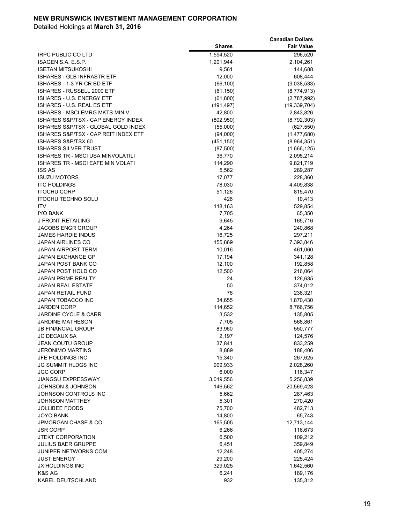|                                       |               | <b>Canadian Dollars</b> |
|---------------------------------------|---------------|-------------------------|
|                                       | <b>Shares</b> | <b>Fair Value</b>       |
| <b>IRPC PUBLIC CO LTD</b>             | 1,594,520     | 296,520                 |
| ISAGEN S.A. E.S.P.                    | 1,201,944     | 2,104,261               |
| <b>ISETAN MITSUKOSHI</b>              | 9,561         | 144,688                 |
| <b>ISHARES - GLB INFRASTR ETF</b>     | 12,000        | 608,444                 |
| ISHARES - 1-3 YR CR BD ETF            | (66, 100)     | (9,038,533)             |
| ISHARES - RUSSELL 2000 ETF            | (61, 150)     | (8,774,913)             |
| <b>ISHARES - U.S. ENERGY ETF</b>      | (61, 800)     | (2,787,992)             |
| <b>ISHARES - U.S. REAL ES ETF</b>     | (191, 497)    | (19, 339, 704)          |
| <b>ISHARES - MSCI EMRG MKTS MIN V</b> | 42,800        | 2,843,826               |
| ISHARES S&P/TSX - CAP ENERGY INDEX    | (802,950)     | (8,792,303)             |
| ISHARES S&P/TSX - GLOBAL GOLD INDEX   | (55,000)      | (627, 550)              |
| ISHARES S&P/TSX - CAP REIT INDEX ETF  | (94,000)      | (1,477,680)             |
| ISHARES S&P/TSX 60                    | (451, 150)    | (8,964,351)             |
| <b>ISHARES SILVER TRUST</b>           | (87, 500)     | (1,666,125)             |
| ISHARES TR - MSCI USA MINVOLATILI     | 36,770        | 2,095,214               |
| ISHARES TR - MSCI EAFE MIN VOLATI     | 114,290       | 9,821,719               |
| <b>ISS AS</b>                         | 5,562         | 289,287                 |
| <b>ISUZU MOTORS</b>                   | 17,077        | 228,360                 |
| <b>ITC HOLDINGS</b>                   | 78,030        | 4,409,838               |
| <b>ITOCHU CORP</b>                    | 51,126        | 815,470                 |
| <b>ITOCHU TECHNO SOLU</b>             | 426           | 10,413                  |
| <b>ITV</b>                            | 118,163       | 529,854                 |
| <b>IYO BANK</b>                       | 7,705         | 65,350                  |
| J FRONT RETAILING                     | 9,645         | 165,716                 |
| <b>JACOBS ENGR GROUP</b>              | 4,264         | 240,868                 |
| <b>JAMES HARDIE INDUS</b>             | 16,725        | 297,211                 |
| <b>JAPAN AIRLINES CO</b>              | 155,869       | 7,393,846               |
| <b>JAPAN AIRPORT TERM</b>             | 10,016        | 461,060                 |
| JAPAN EXCHANGE GP                     | 17,194        | 341,128                 |
| JAPAN POST BANK CO                    | 12,100        | 192,858                 |
| JAPAN POST HOLD CO                    | 12,500        | 216,064                 |
| <b>JAPAN PRIME REALTY</b>             | 24            | 126,635                 |
| <b>JAPAN REAL ESTATE</b>              | 50            | 374,012                 |
| <b>JAPAN RETAIL FUND</b>              | 76            | 236,321                 |
| <b>JAPAN TOBACCO INC</b>              | 34,655        | 1,870,430               |
| <b>JARDEN CORP</b>                    | 114,652       | 8,766,756               |
| <b>JARDINE CYCLE &amp; CARR</b>       | 3,532         | 135,805                 |
| <b>JARDINE MATHESON</b>               | 7,705         | 568,861                 |
| <b>JB FINANCIAL GROUP</b>             | 83,960        | 550,777                 |
| <b>JC DECAUX SA</b>                   | 2,197         | 124,576                 |
| <b>JEAN COUTU GROUP</b>               | 37,841        | 833,259                 |
| <b>JERONIMO MARTINS</b>               | 8,889         | 188,406                 |
| JFE HOLDINGS INC                      | 15,340        | 267,625                 |
| <b>JG SUMMIT HLDGS INC</b>            | 909,933       | 2,028,260               |
| <b>JGC CORP</b>                       | 6,000         | 116,347                 |
| <b>JIANGSU EXPRESSWAY</b>             | 3,019,556     | 5,256,839               |
| JOHNSON & JOHNSON                     | 146,562       | 20,569,423              |
| JOHNSON CONTROLS INC                  | 5,662         | 287,463                 |
| <b>JOHNSON MATTHEY</b>                | 5,301         | 270,420                 |
| <b>JOLLIBEE FOODS</b>                 | 75,700        | 482,713                 |
| <b>JOYO BANK</b>                      | 14,800        | 65,743                  |
| JPMORGAN CHASE & CO                   | 165,505       | 12,713,144              |
| <b>JSR CORP</b>                       | 6,266         | 116,673                 |
| <b>JTEKT CORPORATION</b>              | 6,500         | 109,212                 |
| <b>JULIUS BAER GRUPPE</b>             | 6,451         | 359,849                 |
| JUNIPER NETWORKS COM                  | 12,248        | 405,274                 |
| <b>JUST ENERGY</b>                    | 29,200        | 225,424                 |
| JX HOLDINGS INC                       | 329,025       | 1,642,560               |
| K&S AG                                | 6,241         | 189,176                 |
| KABEL DEUTSCHLAND                     | 932           | 135,312                 |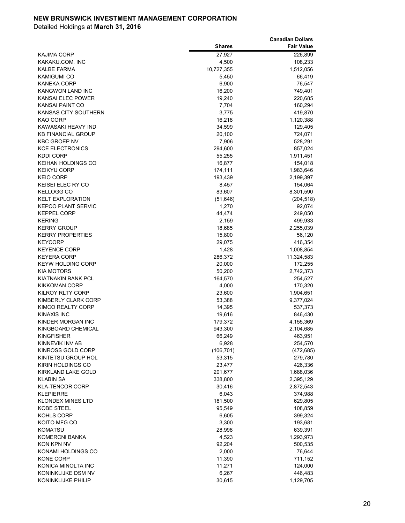|                           |               | <b>Canadian Dollars</b> |
|---------------------------|---------------|-------------------------|
|                           | <b>Shares</b> | <b>Fair Value</b>       |
| KAJIMA CORP               | 27,927        | 226,899                 |
| KAKAKU.COM. INC           | 4,500         | 108,233                 |
| KALBE FARMA               | 10,727,355    | 1,512,056               |
| KAMIGUMI CO               | 5,450         | 66,419                  |
| KANEKA CORP               | 6,900         | 76,547                  |
| KANGWON LAND INC          | 16,200        | 749,401                 |
| KANSAI ELEC POWER         | 19,240        | 220,685                 |
| KANSAI PAINT CO           | 7,704         | 160,294                 |
| KANSAS CITY SOUTHERN      | 3,775         | 419,870                 |
| KAO CORP                  | 16,218        | 1,120,388               |
| KAWASAKI HEAVY IND        | 34,599        | 129,405                 |
| <b>KB FINANCIAL GROUP</b> | 20,100        | 724,071                 |
| <b>KBC GROEP NV</b>       | 7,906         | 528,291                 |
| <b>KCE ELECTRONICS</b>    | 294,600       | 857,024                 |
| KDDI CORP                 | 55,255        | 1,911,451               |
| KEIHAN HOLDINGS CO        | 16,877        | 154,018                 |
| <b>KEIKYU CORP</b>        | 174,111       | 1,983,646               |
| <b>KEIO CORP</b>          | 193,439       | 2,199,397               |
| KEISEI ELEC RY CO         | 8,457         | 154,064                 |
| KELLOGG CO                | 83,607        | 8,301,590               |
| <b>KELT EXPLORATION</b>   | (51, 646)     | (204, 518)              |
| <b>KEPCO PLANT SERVIC</b> | 1,270         | 92,074                  |
| <b>KEPPEL CORP</b>        | 44,474        | 249,050                 |
| <b>KERING</b>             | 2,159         | 499,933                 |
| <b>KERRY GROUP</b>        | 18,685        | 2,255,039               |
| <b>KERRY PROPERTIES</b>   | 15,800        | 56,120                  |
| <b>KEYCORP</b>            | 29,075        | 416,354                 |
| <b>KEYENCE CORP</b>       | 1,428         | 1,008,854               |
| <b>KEYERA CORP</b>        | 286,372       | 11,324,583              |
| <b>KEYW HOLDING CORP</b>  | 20,000        | 172,255                 |
| <b>KIA MOTORS</b>         | 50,200        | 2,742,373               |
| KIATNAKIN BANK PCL        | 164,570       | 254,527                 |
| <b>KIKKOMAN CORP</b>      | 4,000         | 170,320                 |
| KILROY RLTY CORP          | 23,600        | 1,904,651               |
| KIMBERLY CLARK CORP       | 53,388        | 9,377,024               |
| KIMCO REALTY CORP         | 14,395        | 537,373                 |
| KINAXIS INC               | 19,616        | 846,430                 |
| KINDER MORGAN INC         | 179,372       | 4,155,369               |
| KINGBOARD CHEMICAL        | 943,300       | 2,104,685               |
| KINGFISHER                | 66,249        | 463,951                 |
| KINNEVIK INV AB           | 6,928         | 254,570                 |
| KINROSS GOLD CORP         | (106, 701)    | (472, 685)              |
| KINTETSU GROUP HOL        | 53,315        | 279,780                 |
| KIRIN HOLDINGS CO         | 23,477        | 426,336                 |
| KIRKLAND LAKE GOLD        | 201,677       | 1,688,036               |
| <b>KLABIN SA</b>          | 338,800       | 2,395,129               |
| <b>KLA-TENCOR CORP</b>    | 30,416        | 2,872,543               |
| <b>KLEPIERRE</b>          | 6,043         | 374,988                 |
| <b>KLONDEX MINES LTD</b>  | 181,500       | 629,805                 |
| <b>KOBE STEEL</b>         | 95,549        | 108,859                 |
| KOHLS CORP                | 6,605         | 399,324                 |
| KOITO MFG CO              | 3,300         | 193,681                 |
| <b>KOMATSU</b>            | 28,998        | 639,391                 |
| KOMERCNI BANKA            | 4,523         | 1,293,973               |
| KON KPN NV                | 92,204        | 500,535                 |
| KONAMI HOLDINGS CO        | 2,000         | 76,644                  |
| KONE CORP                 | 11,390        | 711,152                 |
| KONICA MINOLTA INC        | 11,271        | 124,000                 |
| KONINKLIJKE DSM NV        | 6,267         | 446,483                 |
| KONINKLIJKE PHILIP        | 30,615        | 1,129,705               |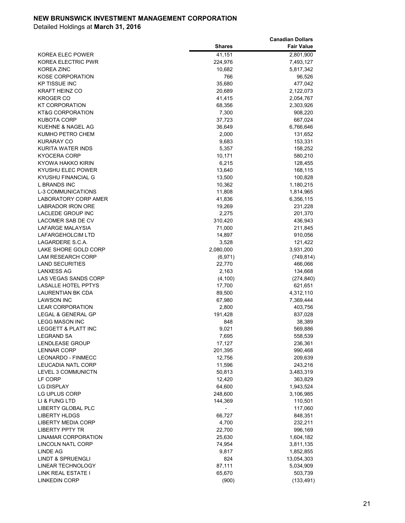|                              |               | <b>Canadian Dollars</b> |
|------------------------------|---------------|-------------------------|
|                              | <b>Shares</b> | <b>Fair Value</b>       |
| KOREA ELEC POWER             | 41,151        | 2,801,900               |
| KOREA ELECTRIC PWR           | 224,976       | 7,493,127               |
| <b>KOREA ZINC</b>            | 10,682        | 5,817,342               |
| KOSE CORPORATION             | 766           | 96,526                  |
| <b>KP TISSUE INC</b>         | 35,680        | 477,042                 |
| <b>KRAFT HEINZ CO</b>        | 20,689        | 2,122,073               |
| KROGER CO                    | 41,415        | 2,054,767               |
| KT CORPORATION               | 68,356        | 2,303,926               |
| <b>KT&amp;G CORPORATION</b>  | 7,300         | 908,220                 |
| <b>KUBOTA CORP</b>           | 37,723        | 667,024                 |
| <b>KUEHNE &amp; NAGEL AG</b> | 36,649        | 6,766,646               |
| KUMHO PETRO CHEM             | 2,000         | 131,652                 |
| <b>KURARAY CO</b>            | 9,683         | 153,331                 |
| KURITA WATER INDS            | 5,357         | 158,252                 |
| KYOCERA CORP                 | 10,171        | 580,210                 |
| KYOWA HAKKO KIRIN            | 6,215         | 128,455                 |
| KYUSHU ELEC POWER            | 13,640        | 168,115                 |
| <b>KYUSHU FINANCIAL G</b>    | 13,500        | 100,828                 |
| <b>L BRANDS INC</b>          | 10,362        | 1,180,215               |
| <b>L-3 COMMUNICATIONS</b>    | 11,808        | 1,814,965               |
| LABORATORY CORP AMER         | 41,836        | 6,356,115               |
| <b>LABRADOR IRON ORE</b>     | 19,269        | 231,228                 |
| LACLEDE GROUP INC            | 2,275         | 201,370                 |
| LACOMER SAB DE CV            | 310,420       | 436,943                 |
| LAFARGE MALAYSIA             | 71,000        | 211,845                 |
| LAFARGEHOLCIM LTD            | 14,897        | 910,056                 |
| LAGARDERE S.C.A.             | 3,528         | 121,422                 |
| LAKE SHORE GOLD CORP         | 2,080,000     | 3,931,200               |
| <b>LAM RESEARCH CORP</b>     | (6, 971)      | (749, 814)              |
| <b>LAND SECURITIES</b>       | 22,770        | 466,066                 |
| LANXESS AG                   | 2,163         | 134,668                 |
| LAS VEGAS SANDS CORP         | (4, 100)      | (274, 840)              |
| <b>LASALLE HOTEL PPTYS</b>   | 17,700        | 621,651                 |
| <b>LAURENTIAN BK CDA</b>     | 89,500        | 4,312,110               |
| <b>LAWSON INC</b>            | 67,980        | 7,369,444               |
| <b>LEAR CORPORATION</b>      | 2,800         | 403,756                 |
| LEGAL & GENERAL GP           | 191,428       | 837,028                 |
| <b>LEGG MASON INC</b>        | 848           | 38,389                  |
| LEGGETT & PLATT INC          | 9.021         | 569,886                 |
| <b>LEGRAND SA</b>            | 7,695         | 558,539                 |
| LENDLEASE GROUP              | 17,127        | 236,361                 |
| <b>LENNAR CORP</b>           | 201,395       | 990,468                 |
| LEONARDO - FINMECC           | 12,756        | 209,639                 |
| LEUCADIA NATL CORP           | 11,596        | 243,216                 |
| LEVEL 3 COMMUNICTN           | 50,813        | 3,483,319               |
| LF CORP                      | 12,420        | 363,829                 |
| LG DISPLAY                   | 64,600        | 1,943,524               |
| LG UPLUS CORP                | 248,600       | 3,106,985               |
| LI & FUNG LTD                | 144,369       | 110,501                 |
| LIBERTY GLOBAL PLC           |               | 117,060                 |
| <b>LIBERTY HLDGS</b>         | 66,727        | 848,351                 |
| <b>LIBERTY MEDIA CORP</b>    | 4,700         | 232,211                 |
| <b>LIBERTY PPTY TR</b>       | 22,700        | 996,169                 |
| <b>LINAMAR CORPORATION</b>   | 25,630        | 1,604,182               |
| LINCOLN NATL CORP            | 74,954        | 3,811,135               |
| <b>LINDE AG</b>              | 9,817         | 1,852,855               |
| LINDT & SPRUENGLI            | 824           | 13,054,303              |
| LINEAR TECHNOLOGY            | 87,111        | 5,034,909               |
| LINK REAL ESTATE I           | 65,670        | 503,739                 |
| <b>LINKEDIN CORP</b>         | (900)         | (133, 491)              |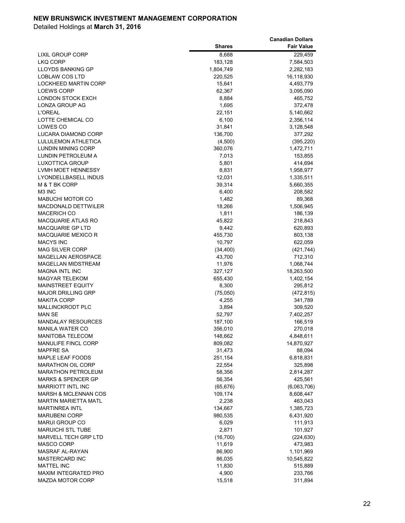|                                 |               | <b>Canadian Dollars</b> |
|---------------------------------|---------------|-------------------------|
|                                 | <b>Shares</b> | <b>Fair Value</b>       |
| LIXIL GROUP CORP                | 8,688         | 229,459                 |
| <b>LKQ CORP</b>                 | 183,128       | 7,584,503               |
| <b>LLOYDS BANKING GP</b>        | 1,804,749     | 2,282,183               |
| LOBLAW COS LTD                  | 220,525       | 16,118,930              |
| LOCKHEED MARTIN CORP            | 15,641        | 4,493,779               |
| <b>LOEWS CORP</b>               | 62,367        | 3,095,090               |
| LONDON STOCK EXCH               | 8,884         | 465,752                 |
| <b>LONZA GROUP AG</b>           | 1,695         | 372,478                 |
| <b>L'OREAL</b>                  | 22,151        | 5,140,662               |
| LOTTE CHEMICAL CO               | 6,100         | 2,356,114               |
| LOWES CO                        | 31,841        | 3,128,548               |
| LUCARA DIAMOND CORP             | 136,700       | 377,292                 |
| LULULEMON ATHLETICA             | (4,500)       | (395, 220)              |
| LUNDIN MINING CORP              | 360,076       | 1,472,711               |
| LUNDIN PETROLEUM A              | 7,013         | 153,855                 |
| LUXOTTICA GROUP                 | 5,801         | 414,694                 |
| <b>LVMH MOET HENNESSY</b>       | 8,831         | 1,958,977               |
| LYONDELLBASELL INDUS            | 12,031        | 1,335,511               |
| M & T BK CORP                   | 39,314        | 5,660,355               |
| M3 INC                          | 6,400         | 208,582                 |
| MABUCHI MOTOR CO                | 1,482         | 89,368                  |
| <b>MACDONALD DETTWILER</b>      | 18,266        | 1,506,945               |
| <b>MACERICH CO</b>              | 1,811         | 186,139                 |
| <b>MACQUARIE ATLAS RO</b>       | 45,822        | 218,843                 |
| <b>MACQUARIE GP LTD</b>         | 9,442         | 620,893                 |
| <b>MACQUARIE MEXICO R</b>       | 455,730       | 803,138                 |
| <b>MACYS INC</b>                | 10,797        | 622,059                 |
| <b>MAG SILVER CORP</b>          | (34, 400)     | (421, 744)              |
| <b>MAGELLAN AEROSPACE</b>       | 43,700        | 712,310                 |
| <b>MAGELLAN MIDSTREAM</b>       | 11,976        | 1,068,744               |
| <b>MAGNA INTL INC</b>           | 327,127       | 18,263,500              |
| <b>MAGYAR TELEKOM</b>           | 655,430       | 1,402,154               |
| <b>MAINSTREET EQUITY</b>        | 8,300         | 295,812                 |
| <b>MAJOR DRILLING GRP</b>       | (75,050)      | (472, 815)              |
| <b>MAKITA CORP</b>              | 4,255         | 341,789                 |
| <b>MALLINCKRODT PLC</b>         | 3,894         | 309,520                 |
| <b>MAN SE</b>                   | 52,797        | 7,402,257               |
| <b>MANDALAY RESOURCES</b>       | 187,100       | 166,519                 |
| <b>MANILA WATER CO</b>          | 356,010       | 270,018                 |
| MANITOBA TELECOM                | 148,662       | 4,848,611               |
| <b>MANULIFE FINCL CORP</b>      | 809,082       | 14,870,927              |
| <b>MAPFRE SA</b>                | 31,473        | 88,094                  |
| MAPLE LEAF FOODS                | 251,154       | 6,818,831               |
| <b>MARATHON OIL CORP</b>        | 22,554        | 325,898                 |
| <b>MARATHON PETROLEUM</b>       | 58,356        | 2,814,287               |
| <b>MARKS &amp; SPENCER GP</b>   | 56,354        | 425,561                 |
| <b>MARRIOTT INTL INC</b>        | (65, 676)     | (6,063,706)             |
| <b>MARSH &amp; MCLENNAN COS</b> | 109,174       | 8,608,447               |
| <b>MARTIN MARIETTA MATL</b>     | 2,238         | 463,043                 |
| <b>MARTINREA INTL</b>           | 134,667       | 1,385,723               |
| <b>MARUBENI CORP</b>            | 980,535       | 6,431,920               |
| <b>MARUI GROUP CO</b>           | 6,029         | 111,913                 |
| <b>MARUICHI STL TUBE</b>        | 2,871         | 101,927                 |
| MARVELL TECH GRP LTD            | (16, 700)     | (224, 630)              |
| MASCO CORP                      | 11,619        | 473,983                 |
| MASRAF AL-RAYAN                 | 86,900        | 1,101,969               |
| <b>MASTERCARD INC</b>           | 86,035        | 10,545,822              |
| <b>MATTEL INC</b>               | 11,830        | 515,889                 |
| MAXIM INTEGRATED PRO            | 4,900         | 233,766                 |
| <b>MAZDA MOTOR CORP</b>         | 15,518        | 311,894                 |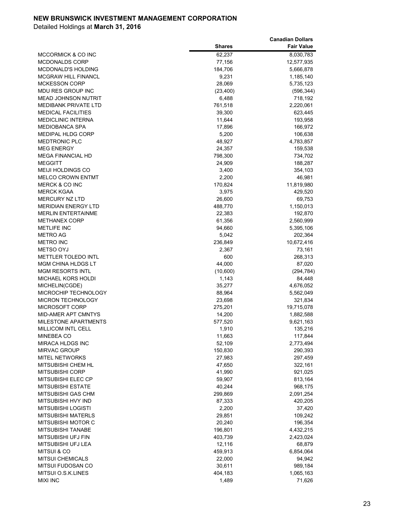|                               |               | <b>Canadian Dollars</b> |
|-------------------------------|---------------|-------------------------|
|                               | <b>Shares</b> | <b>Fair Value</b>       |
| <b>MCCORMICK &amp; CO INC</b> | 62,237        | 8,030,783               |
| <b>MCDONALDS CORP</b>         | 77,156        | 12,577,935              |
| <b>MCDONALD'S HOLDING</b>     | 184,706       | 5,666,878               |
| <b>MCGRAW HILL FINANCL</b>    | 9,231         | 1,185,140               |
| <b>MCKESSON CORP</b>          | 28,069        | 5,735,123               |
| MDU RES GROUP INC             | (23, 400)     | (596, 344)              |
| <b>MEAD JOHNSON NUTRIT</b>    | 6,488         | 718,192                 |
| <b>MEDIBANK PRIVATE LTD</b>   | 761,518       | 2,220,061               |
| <b>MEDICAL FACILITIES</b>     | 39,300        | 623,445                 |
| <b>MEDICLINIC INTERNA</b>     | 11,644        | 193,958                 |
| <b>MEDIOBANCA SPA</b>         | 17,896        | 166,972                 |
| <b>MEDIPAL HLDG CORP</b>      | 5,200         | 106,638                 |
| <b>MEDTRONIC PLC</b>          | 48,927        | 4,783,857               |
| <b>MEG ENERGY</b>             | 24,357        | 159,538                 |
| <b>MEGA FINANCIAL HD</b>      | 798,300       | 734,702                 |
| <b>MEGGITT</b>                | 24,909        | 188,287                 |
| <b>MEIJI HOLDINGS CO</b>      | 3,400         | 354,103                 |
| <b>MELCO CROWN ENTMT</b>      | 2,200         | 46,981                  |
| <b>MERCK &amp; CO INC</b>     | 170,824       | 11,819,980              |
| <b>MERCK KGAA</b>             | 3,975         | 429,520                 |
| <b>MERCURY NZ LTD</b>         | 26,600        | 69,753                  |
| <b>MERIDIAN ENERGY LTD</b>    | 488,770       | 1,150,013               |
| <b>MERLIN ENTERTAINME</b>     | 22,383        | 192,870                 |
| <b>METHANEX CORP</b>          | 61,356        | 2,560,999               |
| <b>METLIFE INC</b>            | 94,660        | 5,395,106               |
| METRO AG                      | 5,042         | 202,364                 |
| <b>METRO INC</b>              | 236,849       | 10,672,416              |
| <b>METSO OYJ</b>              | 2,367         | 73,161                  |
| <b>METTLER TOLEDO INTL</b>    | 600           | 268,313                 |
| <b>MGM CHINA HLDGS LT</b>     | 44,000        | 87,020                  |
| <b>MGM RESORTS INTL</b>       | (10,600)      | (294, 784)              |
| <b>MICHAEL KORS HOLDI</b>     | 1,143         | 84,448                  |
| MICHELIN(CGDE)                | 35,277        | 4,676,052               |
| MICROCHIP TECHNOLOGY          | 88,964        | 5,562,049               |
| <b>MICRON TECHNOLOGY</b>      | 23,698        | 321,834                 |
| <b>MICROSOFT CORP</b>         | 275,201       | 19,715,078              |
| <b>MID-AMER APT CMNTYS</b>    | 14,200        | 1,882,588               |
| <b>MILESTONE APARTMENTS</b>   | 577,520       | 9,621,163               |
| MILLICOM INTL CELL            | 1,910         | 135,216                 |
| MINEBEA CO                    | 11,663        | 117,844                 |
| MIRACA HLDGS INC              | 52,109        | 2,773,494               |
| <b>MIRVAC GROUP</b>           | 150,830       | 290,393                 |
| <b>MITEL NETWORKS</b>         | 27,983        | 297,459                 |
| MITSUBISHI CHEM HL            | 47,650        | 322,161                 |
| <b>MITSUBISHI CORP</b>        | 41,990        | 921,025                 |
| MITSUBISHI ELEC CP            | 59,907        | 813,164                 |
| MITSUBISHI ESTATE             | 40,244        | 968,175                 |
| MITSUBISHI GAS CHM            | 299,869       | 2,091,254               |
| MITSUBISHI HVY IND            | 87,333        | 420,205                 |
| MITSUBISHI LOGISTI            | 2,200         | 37,420                  |
| <b>MITSUBISHI MATERLS</b>     | 29,851        | 109,242                 |
| MITSUBISHI MOTOR C            | 20,240        | 196,354                 |
| MITSUBISHI TANABE             | 196,801       | 4,432,215               |
| MITSUBISHI UFJ FIN            | 403,739       | 2,423,024               |
| MITSUBISHI UFJ LEA            | 12,116        | 68,879                  |
| <b>MITSUI &amp; CO</b>        | 459,913       | 6,854,064               |
| <b>MITSUI CHEMICALS</b>       | 22,000        | 94,942                  |
| MITSUI FUDOSAN CO             | 30,611        | 989,184                 |
| MITSUI O.S.K.LINES            | 404,183       | 1,065,163               |
| <b>MIXI INC</b>               | 1,489         | 71,626                  |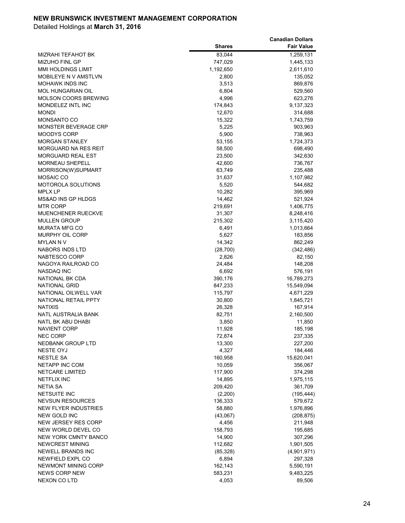|                                                        |                      | <b>Canadian Dollars</b> |
|--------------------------------------------------------|----------------------|-------------------------|
|                                                        | <b>Shares</b>        | <b>Fair Value</b>       |
| <b>MIZRAHI TEFAHOT BK</b>                              | 83,044               | 1,259,131               |
| <b>MIZUHO FINL GP</b>                                  | 747,029              | 1,445,133               |
| <b>MMI HOLDINGS LIMIT</b>                              | 1,192,650            | 2,611,610               |
| MOBILEYE N V AMSTLVN                                   | 2,800                | 135,052                 |
| <b>MOHAWK INDS INC</b>                                 | 3,513                | 869,876                 |
| <b>MOL HUNGARIAN OIL</b>                               | 6,804                | 529,560                 |
| <b>MOLSON COORS BREWING</b>                            | 4,996                | 623,276                 |
| MONDELEZ INTL INC                                      | 174,843              | 9,137,323               |
| <b>MONDI</b>                                           | 12,670               | 314,688                 |
| <b>MONSANTO CO</b>                                     | 15,322               | 1,743,759               |
| <b>MONSTER BEVERAGE CRP</b>                            | 5,225                | 903,963                 |
| <b>MOODYS CORP</b>                                     | 5,900                | 738,963                 |
| <b>MORGAN STANLEY</b>                                  | 53,155               | 1,724,373               |
| MORGUARD NA RES REIT                                   | 58,500               | 698,490                 |
| MORGUARD REAL EST                                      | 23,500               | 342,630                 |
| <b>MORNEAU SHEPELL</b>                                 | 42,600               | 736,767                 |
| MORRISON(W)SUPMART                                     | 63,749               | 235,488                 |
| <b>MOSAIC CO</b>                                       | 31,637               | 1,107,982               |
| <b>MOTOROLA SOLUTIONS</b>                              | 5,520                | 544,682                 |
| MPLX LP                                                | 10,282               | 395,969                 |
| <b>MS&amp;AD INS GP HLDGS</b>                          | 14,462               | 521,924                 |
| <b>MTR CORP</b>                                        | 219,691              | 1,406,775               |
| MUENCHENER RUECKVE                                     | 31,307               | 8,248,416               |
| <b>MULLEN GROUP</b>                                    | 215,302              | 3,115,420               |
| <b>MURATA MFG CO</b>                                   | 6,491                | 1,013,664               |
| <b>MURPHY OIL CORP</b>                                 | 5,627                | 183,856                 |
| <b>MYLAN N V</b>                                       | 14,342               | 862,249                 |
| <b>NABORS INDS LTD</b>                                 | (28, 700)            | (342, 486)              |
| NABTESCO CORP                                          | 2,826                | 82,150                  |
| NAGOYA RAILROAD CO                                     | 24,484               | 148,208                 |
| NASDAQ INC                                             | 6,692                | 576,191                 |
| NATIONAL BK CDA                                        | 390,176              | 16,789,273              |
| NATIONAL GRID                                          | 847,233              | 15,549,094              |
| NATIONAL OILWELL VAR                                   | 115,797              | 4,671,229               |
| NATIONAL RETAIL PPTY                                   | 30,800               | 1,845,721               |
| <b>NATIXIS</b>                                         | 26,328               | 167,914                 |
| <b>NATL AUSTRALIA BANK</b>                             | 82,751               | 2,160,500               |
| NATL BK ABU DHABI                                      | 3,850                | 11,850                  |
| <b>NAVIENT CORP</b>                                    | 11,928               | 185,198                 |
| <b>NEC CORP</b>                                        | 72,874               | 237,335                 |
| <b>NEDBANK GROUP LTD</b>                               | 13,300               | 227,200                 |
| <b>NESTE OYJ</b>                                       | 4,327                | 184,446                 |
| <b>NESTLE SA</b>                                       | 160,958              | 15,620,041              |
| <b>NETAPP INC COM</b>                                  | 10,059               | 356,067                 |
| <b>NETCARE LIMITED</b>                                 | 117,900              | 374,298                 |
| <b>NETFLIX INC</b>                                     | 14,895               | 1,975,115               |
| <b>NETIA SA</b>                                        | 209,420              | 361,709                 |
| <b>NETSUITE INC</b>                                    | (2,200)              | (195, 444)              |
| <b>NEVSUN RESOURCES</b><br><b>NEW FLYER INDUSTRIES</b> | 136,333              | 579,672<br>1,976,896    |
|                                                        | 58,880               |                         |
| <b>NEW GOLD INC</b>                                    | (43,067)             | (208, 875)              |
| NEW JERSEY RES CORP                                    | 4,456                | 211,948                 |
| NEW WORLD DEVEL CO                                     | 158,793              | 195,685                 |
| <b>NEW YORK CMNTY BANCO</b><br>NEWCREST MINING         | 14,900               | 307,296                 |
| <b>NEWELL BRANDS INC</b>                               | 112,682<br>(85, 328) | 1,901,505               |
| NEWFIELD EXPL CO                                       | 6,894                | (4,901,971)<br>297,328  |
| NEWMONT MINING CORP                                    | 162,143              | 5,590,191               |
| <b>NEWS CORP NEW</b>                                   | 583,231              | 9,483,225               |
| <b>NEXON CO LTD</b>                                    | 4,053                | 89,506                  |
|                                                        |                      |                         |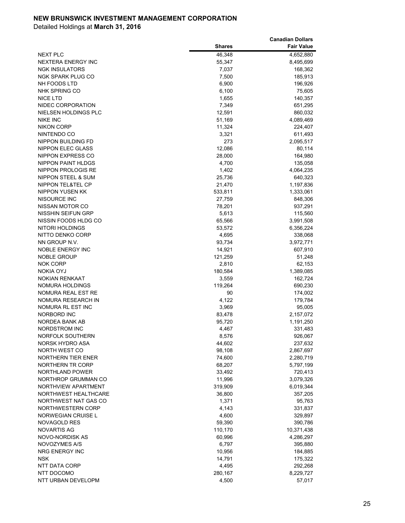|                           |               | <b>Canadian Dollars</b> |
|---------------------------|---------------|-------------------------|
|                           | <b>Shares</b> | <b>Fair Value</b>       |
| <b>NEXT PLC</b>           | 46,348        | 4,652,880               |
| NEXTERA ENERGY INC        | 55,347        | 8,495,699               |
| <b>NGK INSULATORS</b>     | 7,037         | 168,362                 |
| <b>NGK SPARK PLUG CO</b>  | 7,500         | 185,913                 |
| NH FOODS LTD              | 6,900         | 196,926                 |
| NHK SPRING CO             | 6,100         | 75,605                  |
| <b>NICE LTD</b>           | 1,655         | 140,357                 |
| NIDEC CORPORATION         | 7,349         | 651,295                 |
| NIELSEN HOLDINGS PLC      | 12,591        | 860,032                 |
| <b>NIKE INC</b>           | 51,169        | 4,089,469               |
| <b>NIKON CORP</b>         | 11,324        | 224,407                 |
| NINTENDO CO               | 3,321         | 611,493                 |
| NIPPON BUILDING FD        | 273           | 2,095,517               |
| NIPPON ELEC GLASS         | 12,086        | 80,114                  |
| NIPPON EXPRESS CO         | 28,000        | 164,980                 |
| <b>NIPPON PAINT HLDGS</b> | 4,700         | 135,058                 |
| NIPPON PROLOGIS RE        | 1,402         | 4,064,235               |
| NIPPON STEEL & SUM        | 25,736        | 640,323                 |
| NIPPON TEL&TEL CP         | 21,470        | 1,197,836               |
| <b>NIPPON YUSEN KK</b>    | 533,811       | 1,333,061               |
| NISOURCE INC              | 27,759        | 848,306                 |
| NISSAN MOTOR CO           | 78,201        | 937,291                 |
| <b>NISSHIN SEIFUN GRP</b> | 5,613         | 115,560                 |
| NISSIN FOODS HLDG CO      | 65,566        | 3,991,508               |
| NITORI HOLDINGS           | 53,572        | 6,356,224               |
| NITTO DENKO CORP          | 4,695         | 338,068                 |
| NN GROUP N.V.             | 93,734        | 3,972,771               |
| NOBLE ENERGY INC          | 14,921        | 607,910                 |
| <b>NOBLE GROUP</b>        | 121,259       | 51,248                  |
| <b>NOK CORP</b>           | 2,810         | 62,153                  |
| NOKIA OYJ                 | 180,584       | 1,389,085               |
| <b>NOKIAN RENKAAT</b>     | 3,559         | 162,724                 |
| NOMURA HOLDINGS           | 119,264       | 690,230                 |
| NOMURA REAL EST RE        | 90            | 174,002                 |
| NOMURA RESEARCH IN        | 4,122         | 179,784                 |
| NOMURA RL EST INC         | 3,969         | 95,005                  |
| NORBORD INC               | 83,478        | 2,157,072               |
| NORDEA BANK AB            | 95,720        | 1,191,250               |
| <b>NORDSTROM INC</b>      | 4,467         | 331,483                 |
| NORFOLK SOUTHERN          | 8,576         | 926,067                 |
| <b>NORSK HYDRO ASA</b>    | 44,602        | 237,632                 |
| NORTH WEST CO             | 98,108        | 2,867,697               |
| NORTHERN TIER ENER        | 74,600        | 2,280,719               |
| NORTHERN TR CORP          | 68,207        | 5,797,199               |
| NORTHLAND POWER           | 33,492        | 720,413                 |
| NORTHROP GRUMMAN CO       | 11,996        | 3,079,326               |
| NORTHVIEW APARTMENT       | 319,909       | 6,019,344               |
| NORTHWEST HEALTHCARE      | 36,800        | 357,205                 |
| NORTHWEST NAT GAS CO      | 1,371         | 95,763                  |
| NORTHWESTERN CORP         | 4,143         | 331,837                 |
| NORWEGIAN CRUISE L        | 4,600         | 329,897                 |
| NOVAGOLD RES              | 59,390        | 390,786                 |
| <b>NOVARTIS AG</b>        | 110,170       | 10,371,438              |
| NOVO-NORDISK AS           | 60,996        | 4,286,297               |
| NOVOZYMES A/S             | 6,797         | 395,880                 |
| NRG ENERGY INC            | 10,956        | 184,885                 |
| <b>NSK</b>                | 14,791        | 175,322                 |
| NTT DATA CORP             | 4,495         | 292,268                 |
| NTT DOCOMO                | 280,167       | 8,229,727               |
| NTT URBAN DEVELOPM        | 4,500         | 57,017                  |
|                           |               |                         |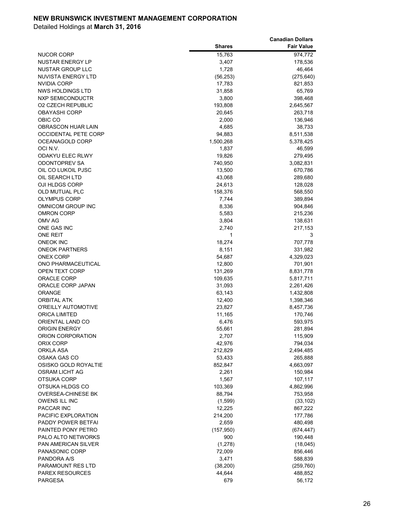|                             |               | <b>Canadian Dollars</b> |
|-----------------------------|---------------|-------------------------|
|                             | <b>Shares</b> | <b>Fair Value</b>       |
| NUCOR CORP                  | 15,763        | 974,772                 |
| <b>NUSTAR ENERGY LP</b>     | 3,407         | 178,536                 |
| NUSTAR GROUP LLC            | 1,728         | 46,464                  |
| NUVISTA ENERGY LTD          | (56, 253)     | (275, 640)              |
| <b>NVIDIA CORP</b>          | 17,783        | 821,853                 |
| NWS HOLDINGS LTD            | 31,858        | 65,769                  |
| NXP SEMICONDUCTR            | 3,800         | 398,468                 |
| <b>O2 CZECH REPUBLIC</b>    | 193,808       | 2,645,567               |
| <b>OBAYASHI CORP</b>        | 20,645        | 263,718                 |
| OBIC CO                     | 2,000         | 136,946                 |
| <b>OBRASCON HUAR LAIN</b>   | 4,685         | 38,733                  |
| <b>OCCIDENTAL PETE CORP</b> | 94,883        | 8,511,538               |
| OCEANAGOLD CORP             | 1,500,268     | 5,378,425               |
| OCI N.V.                    | 1,837         | 46,599                  |
| <b>ODAKYU ELEC RLWY</b>     | 19,826        | 279,495                 |
| <b>ODONTOPREV SA</b>        | 740,950       | 3,082,831               |
| OIL CO LUKOIL PJSC          | 13,500        | 670,786                 |
| OIL SEARCH LTD              | 43,068        | 289,680                 |
| OJI HLDGS CORP              | 24,613        | 128,028                 |
| OLD MUTUAL PLC              | 158,376       | 568,550                 |
| <b>OLYMPUS CORP</b>         | 7,744         | 389,894                 |
| OMNICOM GROUP INC           | 8,336         | 904,846                 |
| <b>OMRON CORP</b>           | 5,583         | 215,236                 |
| OMV AG                      | 3,804         | 138,631                 |
| ONE GAS INC                 | 2,740         | 217,153                 |
| <b>ONE REIT</b>             | 1             | 3                       |
| <b>ONEOK INC</b>            | 18,274        | 707,778                 |
| <b>ONEOK PARTNERS</b>       | 8,151         | 331,982                 |
| <b>ONEX CORP</b>            | 54,687        | 4,329,023               |
| ONO PHARMACEUTICAL          | 12,800        | 701,901                 |
| OPEN TEXT CORP              | 131,269       | 8,831,778               |
| <b>ORACLE CORP</b>          | 109,635       | 5,817,711               |
| ORACLE CORP JAPAN           | 31,093        | 2,261,426               |
| <b>ORANGE</b>               | 63,143        | 1,432,808               |
| <b>ORBITAL ATK</b>          | 12,400        | 1,398,346               |
| O'REILLY AUTOMOTIVE         | 23,827        | 8,457,736               |
| <b>ORICA LIMITED</b>        | 11,165        | 170,746                 |
| ORIENTAL LAND CO            | 6,476         | 593,975                 |
| <b>ORIGIN ENERGY</b>        | 55,661        | 281,894                 |
| ORION CORPORATION           | 2,707         | 115,909                 |
| ORIX CORP                   | 42,976        | 794,034                 |
| ORKLA ASA                   | 212,829       | 2,494,485               |
| OSAKA GAS CO                | 53,433        | 265,888                 |
| OSISKO GOLD ROYALTIE        | 852,847       | 4,663,097               |
| OSRAM LICHT AG              | 2,261         | 150,984                 |
| OTSUKA CORP                 | 1,567         | 107,117                 |
| OTSUKA HLDGS CO             | 103,369       | 4,862,996               |
| <b>OVERSEA-CHINESE BK</b>   | 88,794        | 753,958                 |
| <b>OWENS ILL INC</b>        | (1,599)       | (33, 102)               |
| PACCAR INC                  | 12,225        | 867,222                 |
| PACIFIC EXPLORATION         | 214,200       | 177,786                 |
| PADDY POWER BETFAI          | 2,659         | 480,498                 |
| PAINTED PONY PETRO          | (157, 950)    | (674, 447)              |
| PALO ALTO NETWORKS          | 900           | 190,448                 |
| <b>PAN AMERICAN SILVER</b>  | (1,278)       | (18,045)                |
| PANASONIC CORP              | 72,009        | 856,446                 |
| PANDORA A/S                 | 3,471         | 588,839                 |
| PARAMOUNT RES LTD           | (38, 200)     | (259, 760)              |
| <b>PAREX RESOURCES</b>      | 44,644        | 488,852                 |
| <b>PARGESA</b>              | 679           | 56,172                  |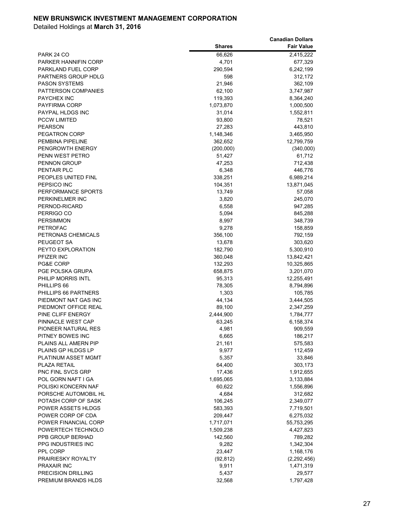|                                       |                    | <b>Canadian Dollars</b>  |
|---------------------------------------|--------------------|--------------------------|
|                                       | <b>Shares</b>      | <b>Fair Value</b>        |
| PARK 24 CO                            | 66,626             | 2,415,222                |
| <b>PARKER HANNIFIN CORP</b>           | 4,701              | 677,329                  |
| PARKLAND FUEL CORP                    | 290,594            | 6,242,199                |
| PARTNERS GROUP HDLG                   | 598                | 312,172                  |
| <b>PASON SYSTEMS</b>                  | 21,946             | 362,109                  |
| PATTERSON COMPANIES                   | 62,100             | 3,747,987                |
| <b>PAYCHEX INC</b>                    | 119,393            | 8,364,240                |
| PAYFIRMA CORP                         | 1,073,870          | 1,000,500                |
| PAYPAL HLDGS INC                      | 31,014             | 1,552,811                |
| <b>PCCW LIMITED</b>                   | 93,800             | 78,521                   |
| <b>PEARSON</b>                        | 27,283             | 443,810                  |
| <b>PEGATRON CORP</b>                  | 1,148,346          | 3,465,950                |
| PEMBINA PIPELINE                      | 362,652            | 12,799,759               |
| PENGROWTH ENERGY                      | (200,000)          | (340,000)                |
| PENN WEST PETRO                       | 51,427             | 61,712                   |
| <b>PENNON GROUP</b>                   | 47,253             | 712,438                  |
| PENTAIR PLC                           | 6,348              | 446,776                  |
| PEOPLES UNITED FINL<br>PEPSICO INC    | 338,251            | 6,989,214                |
| PERFORMANCE SPORTS                    | 104,351<br>13,749  | 13,871,045               |
| PERKINELMER INC                       | 3,820              | 57,058                   |
| PERNOD-RICARD                         | 6,558              | 245,070<br>947,285       |
| PERRIGO CO                            | 5,094              | 845,288                  |
| <b>PERSIMMON</b>                      | 8,997              | 348,739                  |
| <b>PETROFAC</b>                       | 9,278              | 158,859                  |
| PETRONAS CHEMICALS                    | 356,100            | 792,159                  |
| PEUGEOT SA                            | 13,678             | 303,620                  |
| PEYTO EXPLORATION                     | 182,790            | 5,300,910                |
| PFIZER INC                            | 360,048            | 13,842,421               |
| PG&E CORP                             | 132,293            | 10,325,865               |
| PGE POLSKA GRUPA                      | 658,875            | 3,201,070                |
| PHILIP MORRIS INTL                    | 95,313             | 12,255,491               |
| PHILLIPS 66                           | 78,305             | 8,794,896                |
| PHILLIPS 66 PARTNERS                  | 1,303              | 105,785                  |
| PIEDMONT NAT GAS INC                  | 44,134             | 3,444,505                |
| PIEDMONT OFFICE REAL                  | 89,100             | 2,347,259                |
| PINE CLIFF ENERGY                     | 2,444,900          | 1,784,777                |
| PINNACLE WEST CAP                     | 63,245             | 6,158,374                |
| PIONEER NATURAL RES                   | 4,981              | 909,559                  |
| PITNEY BOWES INC                      | 6,665              | 186,217                  |
| PLAINS ALL AMERN PIP                  | 21,161             | 575,583                  |
| PLAINS GP HLDGS LP                    | 9,977              | 112,459                  |
| PLATINUM ASSET MGMT                   | 5,357              | 33,846                   |
| PLAZA RETAIL                          | 64,400             | 303,173                  |
| <b>PNC FINL SVCS GRP</b>              | 17,436             | 1,912,655                |
| POL GORN NAFT I GA                    | 1,695,065          | 3,133,884                |
| POLISKI KONCERN NAF                   | 60,622             | 1,556,896                |
| PORSCHE AUTOMOBIL HL                  | 4,684              | 312,682                  |
| POTASH CORP OF SASK                   | 106,245            | 2,349,077                |
| POWER ASSETS HLDGS                    | 583,393            | 7,719,501                |
| POWER CORP OF CDA                     | 209,447            | 6,275,032                |
| POWER FINANCIAL CORP                  | 1,717,071          | 55,753,295               |
| POWERTECH TECHNOLO                    | 1,509,238          | 4,427,823                |
| PPB GROUP BERHAD                      | 142,560            | 789,282                  |
| PPG INDUSTRIES INC                    | 9,282<br>23,447    | 1,342,304                |
| PPL CORP<br><b>PRAIRIESKY ROYALTY</b> |                    | 1,168,176                |
| PRAXAIR INC                           | (92, 812)<br>9,911 | (2,292,456)<br>1,471,319 |
| PRECISION DRILLING                    | 5,437              | 29,577                   |
| PREMIUM BRANDS HLDS                   | 32,568             | 1,797,428                |
|                                       |                    |                          |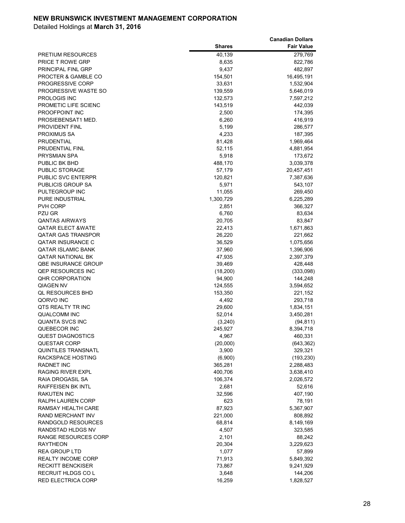|                                          |                    | <b>Canadian Dollars</b> |
|------------------------------------------|--------------------|-------------------------|
|                                          | <b>Shares</b>      | <b>Fair Value</b>       |
| <b>PRETIUM RESOURCES</b>                 | 40,139             | 279,769                 |
| <b>PRICE T ROWE GRP</b>                  | 8,635              | 822,786                 |
| PRINCIPAL FINL GRP                       | 9,437              | 482,897                 |
| PROCTER & GAMBLE CO                      | 154,501            | 16,495,191              |
| PROGRESSIVE CORP                         | 33,631             | 1,532,904               |
| PROGRESSIVE WASTE SO                     | 139,559            | 5,646,019               |
| PROLOGIS INC                             | 132,573            | 7,597,212               |
| PROMETIC LIFE SCIENC                     | 143,519            | 442,039                 |
| PROOFPOINT INC                           | 2,500              | 174,395                 |
| PROSIEBENSAT1 MED.                       | 6,260              | 416,919                 |
| PROVIDENT FINL                           | 5,199              | 286,577                 |
| PROXIMUS SA                              | 4,233              | 187,395                 |
| PRUDENTIAL                               | 81,428             | 1,969,464               |
| PRUDENTIAL FINL                          | 52,115             | 4,881,954               |
| PRYSMIAN SPA                             | 5,918              | 173,672                 |
| PUBLIC BK BHD                            | 488,170            | 3,039,378               |
| PUBLIC STORAGE                           | 57,179             | 20,457,451              |
| PUBLIC SVC ENTERPR                       | 120,821            | 7,387,636               |
| <b>PUBLICIS GROUP SA</b>                 | 5,971              | 543,107                 |
| PULTEGROUP INC                           | 11,055             | 269,450                 |
| PURE INDUSTRIAL                          | 1,300,729          | 6,225,289               |
| PVH CORP                                 | 2,851              | 366,327                 |
| PZU GR                                   | 6,760              | 83,634                  |
| <b>QANTAS AIRWAYS</b>                    | 20,705             | 83,847                  |
| <b>QATAR ELECT &amp;WATE</b>             | 22,413             | 1,671,863               |
| <b>QATAR GAS TRANSPOR</b>                | 26,220             | 221,662                 |
| QATAR INSURANCE C                        | 36,529             | 1,075,656               |
| <b>QATAR ISLAMIC BANK</b>                | 37,960             | 1,396,906               |
| <b>QATAR NATIONAL BK</b>                 | 47,935             | 2,397,379               |
| <b>QBE INSURANCE GROUP</b>               | 39,469             | 428,448                 |
| <b>QEP RESOURCES INC</b>                 | (18, 200)          | (333,098)               |
| <b>QHR CORPORATION</b>                   | 94,900             | 144,248                 |
| <b>QIAGEN NV</b>                         | 124,555            | 3,594,652               |
| <b>QL RESOURCES BHD</b>                  | 153,350            | 221,152                 |
| QORVO INC                                | 4,492              | 293,718                 |
| QTS REALTY TR INC                        | 29,600             | 1,834,151               |
| <b>QUALCOMM INC</b>                      | 52,014             | 3,450,281               |
| <b>QUANTA SVCS INC</b>                   | (3, 240)           | (94, 811)               |
| QUEBECOR INC                             | 245,927            | 8,394,718               |
| <b>QUEST DIAGNOSTICS</b><br>QUESTAR CORP | 4,967              | 460,331                 |
|                                          | (20,000)<br>3,900  | (643, 362)              |
| QUINTILES TRANSNATL<br>RACKSPACE HOSTING |                    | 329,321                 |
|                                          | (6,900)            | (193, 230)              |
| <b>RADNET INC</b><br>RAGING RIVER EXPL   | 365,281<br>400,706 | 2,288,483<br>3,638,410  |
| RAIA DROGASIL SA                         | 106,374            | 2,026,572               |
| <b>RAIFFEISEN BK INTL</b>                | 2,681              | 52,616                  |
| <b>RAKUTEN INC</b>                       | 32,596             | 407,190                 |
| RALPH LAUREN CORP                        | 623                | 78,191                  |
| RAMSAY HEALTH CARE                       | 87,923             | 5,367,907               |
| RAND MERCHANT INV                        | 221,000            | 808,892                 |
| RANDGOLD RESOURCES                       | 68,814             | 8,149,169               |
| RANDSTAD HLDGS NV                        | 4,507              | 323,585                 |
| RANGE RESOURCES CORP                     | 2,101              | 88,242                  |
| <b>RAYTHEON</b>                          | 20,304             | 3,229,623               |
| <b>REA GROUP LTD</b>                     | 1,077              | 57,899                  |
| REALTY INCOME CORP                       | 71,913             | 5,849,392               |
| <b>RECKITT BENCKISER</b>                 | 73,867             | 9,241,929               |
| <b>RECRUIT HLDGS CO L</b>                | 3,648              | 144,206                 |
| <b>RED ELECTRICA CORP</b>                | 16,259             | 1,828,527               |
|                                          |                    |                         |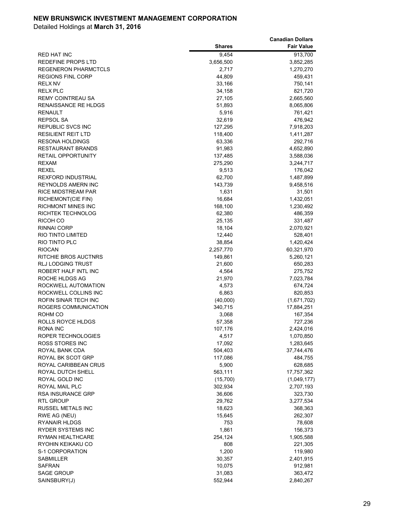|                                           |                      | <b>Canadian Dollars</b> |
|-------------------------------------------|----------------------|-------------------------|
|                                           | <b>Shares</b>        | <b>Fair Value</b>       |
| RED HAT INC                               | 9,454                | 913,700                 |
| REDEFINE PROPS LTD                        | 3,656,500            | 3,852,285               |
| <b>REGENERON PHARMCTCLS</b>               | 2,717                | 1,270,270               |
| <b>REGIONS FINL CORP</b>                  | 44,809               | 459,431                 |
| <b>RELX NV</b>                            | 33,166               | 750,141                 |
| <b>RELX PLC</b>                           | 34,158               | 821,720                 |
| <b>REMY COINTREAU SA</b>                  | 27,105               | 2,665,560               |
| <b>RENAISSANCE RE HLDGS</b>               | 51,893               | 8,065,806               |
| <b>RENAULT</b>                            | 5,916                | 761,421                 |
| REPSOL SA                                 | 32,619               | 476,942                 |
| REPUBLIC SVCS INC                         | 127,295              | 7,918,203               |
| <b>RESILIENT REIT LTD</b>                 | 118,400              | 1,411,287               |
| <b>RESONA HOLDINGS</b>                    | 63,336               | 292,716                 |
| <b>RESTAURANT BRANDS</b>                  | 91,983               | 4,652,890               |
| <b>RETAIL OPPORTUNITY</b>                 | 137,485              | 3,588,036               |
| <b>REXAM</b>                              | 275,290              | 3,244,717               |
| <b>REXEL</b>                              | 9,513                | 176,042                 |
| <b>REXFORD INDUSTRIAL</b>                 | 62,700               | 1,487,899               |
| <b>REYNOLDS AMERN INC</b>                 | 143,739              | 9,458,516               |
| RICE MIDSTREAM PAR                        | 1,631                | 31,501                  |
| RICHEMONT(CIE FIN)                        | 16,684               | 1,432,051               |
| <b>RICHMONT MINES INC</b>                 | 168,100              | 1,230,492               |
| RICHTEK TECHNOLOG                         | 62,380               | 486,359                 |
| RICOH CO                                  | 25,135               | 331,487                 |
| <b>RINNAI CORP</b>                        | 18,104               | 2,070,921               |
| RIO TINTO LIMITED<br><b>RIO TINTO PLC</b> | 12,440               | 528,401                 |
| <b>RIOCAN</b>                             | 38,854               | 1,420,424<br>60,321,970 |
| RITCHIE BROS AUCTNRS                      | 2,257,770<br>149,861 | 5,260,121               |
| <b>RLJ LODGING TRUST</b>                  | 21,600               | 650,283                 |
| ROBERT HALF INTL INC                      | 4,564                | 275,752                 |
| ROCHE HLDGS AG                            | 21,970               | 7,023,784               |
| ROCKWELL AUTOMATION                       | 4,573                | 674,724                 |
| ROCKWELL COLLINS INC                      | 6,863                | 820,853                 |
| ROFIN SINAR TECH INC                      | (40,000)             | (1,671,702)             |
| ROGERS COMMUNICATION                      | 340,715              | 17,884,251              |
| ROHM CO                                   | 3,068                | 167,354                 |
| ROLLS ROYCE HLDGS                         | 57,358               | 727,236                 |
| RONA INC                                  | 107,176              | 2,424,016               |
| ROPER TECHNOLOGIES                        | 4,517                | 1,070,850               |
| ROSS STORES INC                           | 17,092               | 1,283,645               |
| ROYAL BANK CDA                            | 504,403              | 37,744,476              |
| ROYAL BK SCOT GRP                         | 117,086              | 484,755                 |
| ROYAL CARIBBEAN CRUS                      | 5,900                | 628,685                 |
| ROYAL DUTCH SHELL                         | 563,111              | 17,757,362              |
| ROYAL GOLD INC                            | (15,700)             | (1,049,177)             |
| ROYAL MAIL PLC                            | 302,934              | 2,707,193               |
| RSA INSURANCE GRP                         | 36,606               | 323,730                 |
| <b>RTL GROUP</b>                          | 29,762               | 3,277,534               |
| RUSSEL METALS INC                         | 18,623               | 368,363                 |
| RWE AG (NEU)                              | 15,645               | 262,307                 |
| <b>RYANAIR HLDGS</b>                      | 753                  | 78,608                  |
| RYDER SYSTEMS INC                         | 1,861                | 156,373                 |
| RYMAN HEALTHCARE                          | 254,124              | 1,905,588               |
| RYOHIN KEIKAKU CO                         | 808                  | 221,305                 |
| S-1 CORPORATION                           | 1,200                | 119,980                 |
| SABMILLER                                 | 30,357               | 2,401,915               |
| SAFRAN                                    | 10,075               | 912,981                 |
| <b>SAGE GROUP</b>                         | 31,083               | 363,472                 |
| SAINSBURY(J)                              | 552,944              | 2,840,267               |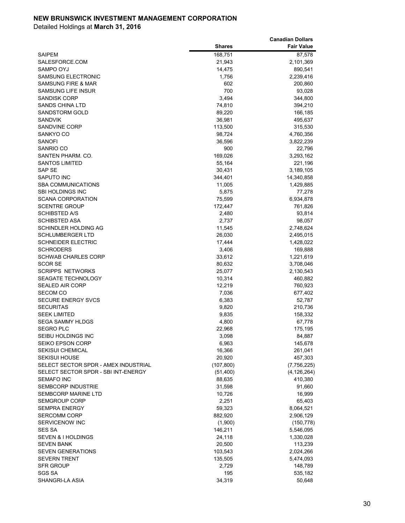|                                      |               | <b>Canadian Dollars</b> |
|--------------------------------------|---------------|-------------------------|
|                                      | <b>Shares</b> | <b>Fair Value</b>       |
| <b>SAIPEM</b>                        | 168,751       | 87,578                  |
| SALESFORCE.COM                       | 21,943        | 2,101,369               |
| SAMPO OYJ                            | 14,475        | 890,541                 |
| SAMSUNG ELECTRONIC                   | 1,756         | 2,239,416               |
| <b>SAMSUNG FIRE &amp; MAR</b>        | 602           | 200,860                 |
| <b>SAMSUNG LIFE INSUR</b>            | 700           | 93,028                  |
| <b>SANDISK CORP</b>                  | 3,494         | 344,800                 |
| <b>SANDS CHINA LTD</b>               | 74,810        | 394,210                 |
| SANDSTORM GOLD                       | 89,220        | 166,185                 |
| <b>SANDVIK</b>                       | 36,981        | 495,637                 |
| <b>SANDVINE CORP</b>                 | 113,500       | 315,530                 |
| SANKYO CO                            | 98,724        |                         |
|                                      |               | 4,760,356               |
| <b>SANOFI</b>                        | 36,596        | 3,822,239               |
| SANRIO CO                            | 900           | 22,796                  |
| SANTEN PHARM. CO.                    | 169,026       | 3,293,162               |
| <b>SANTOS LIMITED</b>                | 55,164        | 221,196                 |
| SAP SE                               | 30,431        | 3,189,105               |
| SAPUTO INC                           | 344,401       | 14,340,858              |
| <b>SBA COMMUNICATIONS</b>            | 11,005        | 1,429,885               |
| <b>SBI HOLDINGS INC</b>              | 5,875         | 77,278                  |
| <b>SCANA CORPORATION</b>             | 75,599        | 6,934,878               |
| <b>SCENTRE GROUP</b>                 | 172,447       | 761,826                 |
| <b>SCHIBSTED A/S</b>                 | 2,480         | 93,814                  |
| <b>SCHIBSTED ASA</b>                 | 2,737         | 98,057                  |
| SCHINDLER HOLDING AG                 | 11,545        | 2,748,624               |
| <b>SCHLUMBERGER LTD</b>              | 26,030        | 2,495,015               |
| <b>SCHNEIDER ELECTRIC</b>            | 17,444        | 1,428,022               |
| <b>SCHRODERS</b>                     | 3,406         | 169,888                 |
| <b>SCHWAB CHARLES CORP</b>           | 33,612        | 1,221,619               |
| <b>SCOR SE</b>                       | 80,632        | 3,708,046               |
| <b>SCRIPPS NETWORKS</b>              | 25,077        | 2,130,543               |
| SEAGATE TECHNOLOGY                   | 10,314        | 460,882                 |
| <b>SEALED AIR CORP</b>               | 12,219        | 760,923                 |
| <b>SECOM CO</b>                      | 7,036         | 677,402                 |
| <b>SECURE ENERGY SVCS</b>            | 6,383         | 52,787                  |
| <b>SECURITAS</b>                     | 9,820         | 210,736                 |
| <b>SEEK LIMITED</b>                  | 9,835         | 158,332                 |
| <b>SEGA SAMMY HLDGS</b>              | 4,800         | 67,778                  |
| <b>SEGRO PLC</b>                     | 22,968        | 175,195                 |
| SEIBU HOLDINGS INC                   | 3,098         | 84,887                  |
| <b>SEIKO EPSON CORP</b>              | 6,963         | 145,678                 |
| <b>SEKISUI CHEMICAL</b>              | 16,366        | 261,041                 |
| <b>SEKISUI HOUSE</b>                 | 20,920        | 457,303                 |
| SELECT SECTOR SPDR - AMEX INDUSTRIAL | (107, 800)    | (7,756,225)             |
| SELECT SECTOR SPDR - SBI INT-ENERGY  | (51, 400)     | (4, 126, 264)           |
| <b>SEMAFO INC</b>                    | 88,635        | 410,380                 |
| <b>SEMBCORP INDUSTRIE</b>            |               | 91,660                  |
| <b>SEMBCORP MARINE LTD</b>           | 31,598        |                         |
|                                      | 10,726        | 16,999                  |
| <b>SEMGROUP CORP</b>                 | 2,251         | 65,403                  |
| <b>SEMPRA ENERGY</b>                 | 59,323        | 8,064,521               |
| <b>SERCOMM CORP</b>                  | 882,920       | 2,906,129               |
| SERVICENOW INC                       | (1,900)       | (150, 778)              |
| <b>SES SA</b>                        | 146,211       | 5,546,095               |
| <b>SEVEN &amp; I HOLDINGS</b>        | 24,118        | 1,330,028               |
| <b>SEVEN BANK</b>                    | 20,500        | 113,239                 |
| <b>SEVEN GENERATIONS</b>             | 103,543       | 2,024,266               |
| <b>SEVERN TRENT</b>                  | 135,505       | 5,474,093               |
| SFR GROUP                            | 2,729         | 148,789                 |
| <b>SGS SA</b>                        | 195           | 535,182                 |
| SHANGRI-LA ASIA                      | 34,319        | 50,648                  |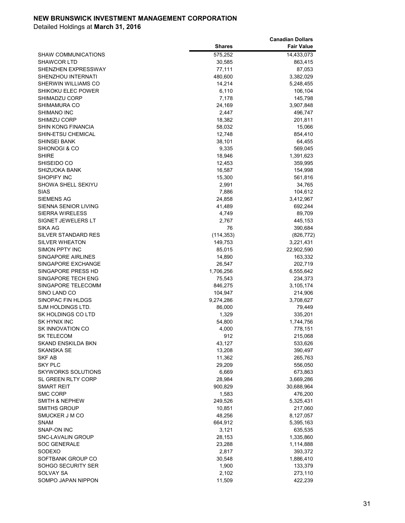|                            |               | <b>Canadian Dollars</b> |
|----------------------------|---------------|-------------------------|
|                            | <b>Shares</b> | <b>Fair Value</b>       |
| <b>SHAW COMMUNICATIONS</b> | 575,252       | 14,433,073              |
| <b>SHAWCOR LTD</b>         | 30,585        | 863,415                 |
| SHENZHEN EXPRESSWAY        | 77,111        | 87,053                  |
| SHENZHOU INTERNATI         | 480,600       | 3,382,029               |
| SHERWIN WILLIAMS CO        | 14,214        | 5,248,455               |
| SHIKOKU ELEC POWER         | 6,110         | 106,104                 |
| SHIMADZU CORP              | 7,178         | 145,798                 |
| SHIMAMURA CO               | 24,169        | 3,907,848               |
| SHIMANO INC                | 2,447         | 496,747                 |
| <b>SHIMIZU CORP</b>        | 18,382        | 201,811                 |
| <b>SHIN KONG FINANCIA</b>  | 58,032        | 15,066                  |
| SHIN-ETSU CHEMICAL         | 12,748        | 854,410                 |
| SHINSEI BANK               | 38,101        | 64,455                  |
| SHIONOGI & CO              | 9,335         | 569,045                 |
| <b>SHIRE</b>               | 18,946        | 1,391,623               |
| SHISEIDO CO                | 12,453        | 359,995                 |
| <b>SHIZUOKA BANK</b>       | 16,587        | 154,998                 |
| <b>SHOPIFY INC</b>         | 15,300        | 561,816                 |
| SHOWA SHELL SEKIYU         | 2,991         | 34,765                  |
| <b>SIAS</b>                | 7,886         | 104,612                 |
| SIEMENS AG                 | 24,858        | 3,412,967               |
| SIENNA SENIOR LIVING       | 41,489        | 692,244                 |
| <b>SIERRA WIRELESS</b>     | 4,749         | 89,709                  |
| SIGNET JEWELERS LT         | 2,767         | 445,153                 |
| SIKA AG                    | 76            | 390,684                 |
| SILVER STANDARD RES        | (114, 353)    | (826, 772)              |
| <b>SILVER WHEATON</b>      | 149,753       | 3,221,431               |
| SIMON PPTY INC             | 85,015        | 22,902,590              |
| SINGAPORE AIRLINES         | 14,890        | 163,332                 |
| SINGAPORE EXCHANGE         | 26,547        | 202,719                 |
| SINGAPORE PRESS HD         | 1,706,256     | 6,555,642               |
| SINGAPORE TECH ENG         | 75,543        | 234,373                 |
| SINGAPORE TELECOMM         | 846,275       | 3,105,174               |
| SINO LAND CO               | 104,947       | 214,906                 |
| SINOPAC FIN HLDGS          | 9,274,286     | 3,708,627               |
| SJM HOLDINGS LTD.          | 86,000        | 79,449                  |
| SK HOLDINGS CO LTD         | 1,329         | 335,201                 |
| <b>SK HYNIX INC</b>        | 54,800        | 1,744,756               |
| <b>SK INNOVATION CO</b>    | 4,000         | 778,151                 |
| SK TELECOM                 | 912           | 215,068                 |
| SKAND ENSKILDA BKN         | 43,127        | 533,626                 |
| SKANSKA SE                 | 13,208        | 390,497                 |
| SKF AB                     | 11,362        | 265,763                 |
| <b>SKY PLC</b>             | 29,209        | 556,050                 |
| SKYWORKS SOLUTIONS         | 6,669         | 673,863                 |
| <b>SL GREEN RLTY CORP</b>  | 28,984        | 3,669,286               |
| SMART REIT                 | 900,829       | 30,688,964              |
| <b>SMC CORP</b>            | 1,583         | 476,200                 |
| SMITH & NEPHEW             | 249,526       | 5,325,431               |
| <b>SMITHS GROUP</b>        | 10,851        | 217,060                 |
| SMUCKER J M CO             | 48,256        | 8,127,057               |
| <b>SNAM</b>                | 664,912       | 5,395,163               |
| SNAP-ON INC                | 3,121         | 635,535                 |
| <b>SNC-LAVALIN GROUP</b>   | 28,153        | 1,335,860               |
| <b>SOC GENERALE</b>        | 23,288        | 1,114,888               |
| SODEXO                     | 2,817         | 393,372                 |
| SOFTBANK GROUP CO          | 30,548        | 1,886,410               |
| SOHGO SECURITY SER         | 1,900         | 133,379                 |
| SOLVAY SA                  | 2,102         | 273,110                 |
| SOMPO JAPAN NIPPON         | 11,509        | 422,239                 |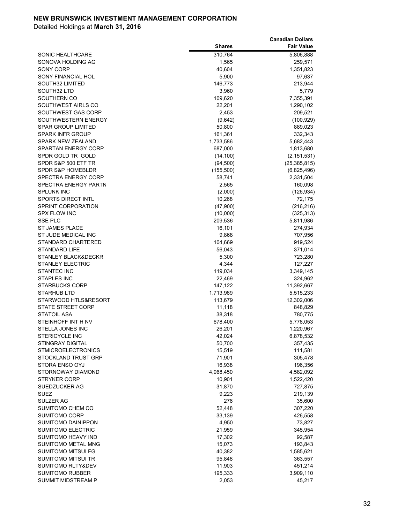|                              |               | <b>Canadian Dollars</b> |
|------------------------------|---------------|-------------------------|
|                              | <b>Shares</b> | <b>Fair Value</b>       |
| SONIC HEALTHCARE             | 310,764       | 5,806,888               |
| SONOVA HOLDING AG            | 1,565         | 259,571                 |
| SONY CORP                    | 40,604        | 1,351,823               |
| SONY FINANCIAL HOL           | 5,900         | 97,637                  |
| SOUTH32 LIMITED              | 146,773       | 213,944                 |
| SOUTH32 LTD                  | 3,960         | 5,779                   |
| SOUTHERN CO                  | 109,620       | 7,355,391               |
| SOUTHWEST AIRLS CO           | 22,201        | 1,290,102               |
| SOUTHWEST GAS CORP           | 2,453         | 209,521                 |
| SOUTHWESTERN ENERGY          | (9,642)       | (100, 929)              |
| <b>SPAR GROUP LIMITED</b>    | 50,800        | 889,023                 |
| <b>SPARK INFR GROUP</b>      | 161,361       | 332,343                 |
| <b>SPARK NEW ZEALAND</b>     | 1,733,586     | 5,682,443               |
| <b>SPARTAN ENERGY CORP</b>   | 687,000       | 1,813,680               |
| SPDR GOLD TR GOLD            | (14, 100)     | (2, 151, 531)           |
| SPDR S&P 500 ETF TR          | (94, 500)     | (25, 385, 815)          |
| <b>SPDR S&amp;P HOMEBLDR</b> | (155, 500)    | (6,825,496)             |
| SPECTRA ENERGY CORP          | 58,741        | 2,331,504               |
| SPECTRA ENERGY PARTN         | 2,565         | 160,098                 |
| <b>SPLUNK INC</b>            | (2,000)       | (126, 934)              |
| <b>SPORTS DIRECT INTL</b>    | 10,268        | 72,175                  |
| SPRINT CORPORATION           | (47,900)      | (216, 216)              |
| <b>SPX FLOW INC</b>          | (10,000)      | (325, 313)              |
| <b>SSE PLC</b>               | 209,536       | 5,811,986               |
| <b>ST JAMES PLACE</b>        | 16,101        | 274,934                 |
| ST JUDE MEDICAL INC          | 9,868         | 707,956                 |
| <b>STANDARD CHARTERED</b>    | 104,669       | 919,524                 |
| <b>STANDARD LIFE</b>         | 56,043        | 371,014                 |
| STANLEY BLACK&DECKR          | 5,300         | 723,280                 |
| <b>STANLEY ELECTRIC</b>      | 4,344         | 127,227                 |
| <b>STANTEC INC</b>           | 119,034       | 3,349,145               |
| <b>STAPLES INC</b>           | 22,469        | 324,962                 |
| <b>STARBUCKS CORP</b>        | 147,122       | 11,392,667              |
| <b>STARHUB LTD</b>           | 1,713,989     | 5,515,233               |
| STARWOOD HTLS&RESORT         | 113,679       | 12,302,006              |
| <b>STATE STREET CORP</b>     | 11,118        | 848,829                 |
| <b>STATOIL ASA</b>           | 38,318        | 780,775                 |
| STEINHOFF INT H NV           | 678,400       | 5,778,053               |
| STELLA JONES INC             | 26,201        | 1,220,967               |
| <b>STERICYCLE INC</b>        | 42,024        | 6,878,532               |
| <b>STINGRAY DIGITAL</b>      | 50,700        | 357,435                 |
| <b>STMICROELECTRONICS</b>    | 15,519        | 111,581                 |
| STOCKLAND TRUST GRP          | 71,901        | 305,478                 |
| <b>STORA ENSO OYJ</b>        | 16,938        | 196,356                 |
| STORNOWAY DIAMOND            | 4,968,450     | 4,582,092               |
| <b>STRYKER CORP</b>          | 10,901        | 1,522,420               |
| SUEDZUCKER AG                | 31,870        | 727,875                 |
| SUEZ                         | 9,223         | 219,139                 |
| SULZER AG                    | 276           | 35,600                  |
| SUMITOMO CHEM CO             | 52,448        | 307,220                 |
| <b>SUMITOMO CORP</b>         | 33,139        | 426,558                 |
| <b>SUMITOMO DAINIPPON</b>    | 4,950         | 73,827                  |
| <b>SUMITOMO ELECTRIC</b>     | 21,959        | 345,954                 |
| SUMITOMO HEAVY IND           | 17,302        | 92,587                  |
| SUMITOMO METAL MNG           | 15,073        | 193,843                 |
| SUMITOMO MITSUI FG           | 40,382        | 1,585,621               |
| SUMITOMO MITSUI TR           | 95,848        | 363,557                 |
| SUMITOMO RLTY&DEV            | 11,903        | 451,214                 |
| SUMITOMO RUBBER              | 195,333       | 3,909,110               |
| SUMMIT MIDSTREAM P           | 2,053         | 45,217                  |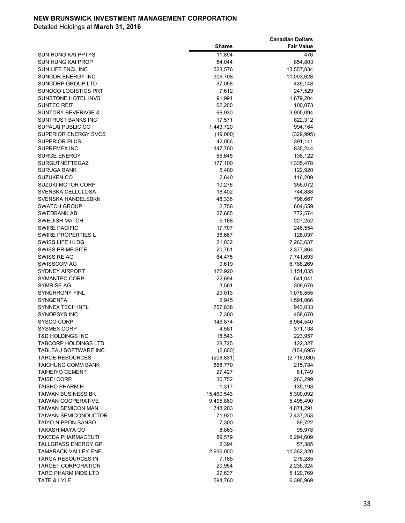|                                            |                  | <b>Canadian Dollars</b> |
|--------------------------------------------|------------------|-------------------------|
|                                            | <b>Shares</b>    | <b>Fair Value</b>       |
| SUN HUNG KAI PPTYS                         | 11,894           | 476                     |
| SUN HUNG KAI PROP                          | 54,044           | 854,803                 |
| SUN LIFE FNCL INC                          | 323,576          | 13,557,834              |
| SUNCOR ENERGY INC                          | 306,708          | 11,093,628              |
| SUNCORP GROUP LTD                          | 37,058           | 439,148                 |
| SUNOCO LOGISTICS PRT                       | 7,612            | 247,529                 |
| SUNSTONE HOTEL INVS                        | 91,991           | 1,679,204               |
| <b>SUNTEC REIT</b>                         | 62,200           | 100,073                 |
| SUNTORY BEVERAGE &                         | 66,930           | 3,905,094               |
| SUNTRUST BANKS INC                         | 17,571           | 822,312                 |
| SUPALAI PUBLIC CO                          | 1,443,720        | 994,164                 |
| <b>SUPERIOR ENERGY SVCS</b>                | (19,000)         | (329, 995)              |
| <b>SUPERIOR PLUS</b>                       | 42,056           | 391,141                 |
| <b>SUPREMEX INC</b>                        | 147,700          | 835,244                 |
| <b>SURGE ENERGY</b>                        | 66,645           | 138,122                 |
| <b>SURGUTNEFTEGAZ</b>                      | 177,100          | 1,335,478               |
| <b>SURUGA BANK</b>                         | 5,400            | 122,920                 |
| <b>SUZUKEN CO</b>                          | 2,640            | 116,209                 |
| <b>SUZUKI MOTOR CORP</b>                   | 10,276           | 356,072                 |
| SVENSKA CELLULOSA                          | 18,402           | 744,888                 |
| SVENSKA HANDELSBKN                         | 48,336           | 796,667                 |
| <b>SWATCH GROUP</b>                        | 2,756            | 604,559                 |
| SWEDBANK AB                                | 27,685<br>5,168  | 772,574<br>227,252      |
| <b>SWEDISH MATCH</b>                       |                  |                         |
| <b>SWIRE PACIFIC</b><br>SWIRE PROPERTIES L | 17,707<br>36,667 | 246,554<br>128,097      |
| SWISS LIFE HLDG                            | 21,032           | 7,263,637               |
| <b>SWISS PRIME SITE</b>                    | 20,761           | 2,377,864               |
| SWISS RE AG                                | 64,475           | 7,741,693               |
| <b>SWISSCOM AG</b>                         | 9,619            | 6,788,269               |
| SYDNEY AIRPORT                             | 172,920          | 1,151,035               |
| SYMANTEC CORP                              | 22,694           | 541,041                 |
| SYMRISE AG                                 | 3,561            | 309,676                 |
| <b>SYNCHRONY FINL</b>                      | 29,013           | 1,078,555               |
| <b>SYNGENTA</b>                            | 2,945            | 1,591,066               |
| <b>SYNNEX TECH INTL</b>                    | 707,838          | 943,033                 |
| <b>SYNOPSYS INC</b>                        | 7,300            | 458,670                 |
| <b>SYSCO CORP</b>                          | 146,874          | 8,964,540               |
| SYSMEX CORP                                | 4,581            | 371,138                 |
| <b>T&amp;D HOLDINGS INC</b>                | 18,543           | 223,957                 |
| <b>TABCORP HOLDINGS LTD</b>                | 28,725           | 122,327                 |
| <b>TABLEAU SOFTWARE INC</b>                | (2,600)          | (154, 695)              |
| <b>TAHOE RESOURCES</b>                     | (208, 831)       | (2,718,980)             |
| TAICHUNG COMM BANK                         | 568,770          | 215,784                 |
| <b>TAIHEIYO CEMENT</b>                     | 27,427           | 81,749                  |
| <b>TAISEI CORP</b>                         | 30,752           | 263,299                 |
| TAISHO PHARM H                             | 1,317            | 135,193                 |
| TAIWAN BUSINESS BK                         | 15,460,543       | 5,300,092               |
| <b>TAIWAN COOPERATIVE</b>                  | 9,495,860        | 5,495,490               |
| TAIWAN SEMICON MAN                         | 748,203          | 4,871,291               |
| TAIWAN SEMICONDUCTOR                       | 71,920           | 2,437,253               |
| <b>TAIYO NIPPON SANSO</b>                  | 7,300            | 89,722                  |
| TAKASHIMAYA CO                             | 8,863            | 95,978                  |
| <b>TAKEDA PHARMACEUTI</b>                  | 89,579           | 5,294,609               |
| TALLGRASS ENERGY GP                        | 2,394            | 57,385                  |
| <b>TAMARACK VALLEY ENE</b>                 | 2,936,000        | 11,362,320              |
| TARGA RESOURCES IN                         | 7,185            | 278,285                 |
| TARGET CORPORATION                         | 20,954           | 2,236,324               |
| TARO PHARM INDS LTD                        | 27,637           | 5,120,769               |
| TATE & LYLE                                | 594,760          | 6,390,969               |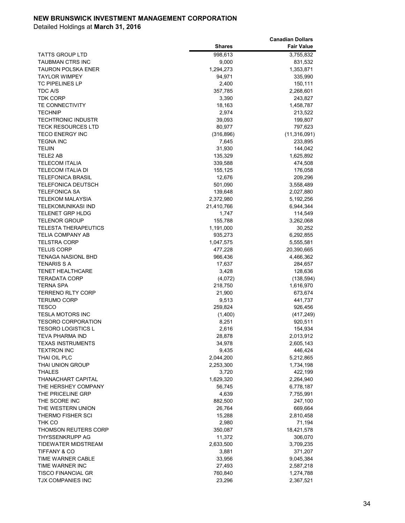|                             |               | <b>Canadian Dollars</b> |
|-----------------------------|---------------|-------------------------|
|                             | <b>Shares</b> | <b>Fair Value</b>       |
| TATTS GROUP LTD             | 998,613       | 3,755,832               |
| TAUBMAN CTRS INC            | 9,000         | 831,532                 |
| <b>TAURON POLSKA ENER</b>   | 1,294,273     | 1,353,871               |
| <b>TAYLOR WIMPEY</b>        | 94,971        | 335,990                 |
| <b>TC PIPELINES LP</b>      | 2,400         | 150,111                 |
| TDC A/S                     | 357,785       | 2,268,601               |
| <b>TDK CORP</b>             | 3,390         | 243,827                 |
| <b>TE CONNECTIVITY</b>      | 18,163        | 1,458,787               |
| <b>TECHNIP</b>              | 2,974         | 213,522                 |
| <b>TECHTRONIC INDUSTR</b>   | 39,093        | 199,807                 |
| <b>TECK RESOURCES LTD</b>   | 80,977        | 797,623                 |
| <b>TECO ENERGY INC</b>      | (316, 896)    | (11, 316, 091)          |
| <b>TEGNA INC</b>            | 7,645         | 233,895                 |
| TEIJIN                      | 31,930        | 144,042                 |
| TELE2 AB                    | 135,329       | 1,625,892               |
| <b>TELECOM ITALIA</b>       | 339,588       | 474,508                 |
| TELECOM ITALIA DI           | 155,125       | 176,058                 |
| <b>TELEFONICA BRASIL</b>    | 12,676        | 209,296                 |
| <b>TELEFONICA DEUTSCH</b>   | 501,090       | 3,558,489               |
| <b>TELEFONICA SA</b>        | 139,648       | 2,027,880               |
| TELEKOM MALAYSIA            | 2,372,980     | 5,192,256               |
| TELEKOMUNIKASI IND          | 21,410,766    | 6,944,344               |
| <b>TELENET GRP HLDG</b>     | 1,747         | 114,549                 |
| <b>TELENOR GROUP</b>        | 155,788       | 3,262,068               |
| <b>TELESTA THERAPEUTICS</b> | 1,191,000     | 30,252                  |
| TELIA COMPANY AB            | 935,273       | 6,292,855               |
| <b>TELSTRA CORP</b>         | 1,047,575     | 5,555,581               |
| <b>TELUS CORP</b>           | 477,228       | 20,390,665              |
| <b>TENAGA NASIONL BHD</b>   | 966,436       | 4,466,362               |
| TENARIS S A                 | 17,637        | 284,657                 |
| <b>TENET HEALTHCARE</b>     | 3,428         | 128,636                 |
| <b>TERADATA CORP</b>        | (4,072)       | (138, 594)              |
| TERNA SPA                   | 218,750       | 1,616,970               |
| <b>TERRENO RLTY CORP</b>    | 21,900        | 673,674                 |
| <b>TERUMO CORP</b>          | 9,513         | 441,737                 |
| <b>TESCO</b>                | 259,824       | 926,456                 |
| <b>TESLA MOTORS INC</b>     | (1,400)       | (417, 249)              |
| <b>TESORO CORPORATION</b>   | 8,251         | 920,511                 |
| <b>TESORO LOGISTICS L</b>   | 2,616         | 154,934                 |
| <b>TEVA PHARMA IND</b>      | 28,878        | 2,013,912               |
| <b>TEXAS INSTRUMENTS</b>    | 34,978        | 2,605,143               |
| <b>TEXTRON INC</b>          | 9,435         | 446,424                 |
| THAI OIL PLC                | 2,044,200     | 5,212,865               |
| THAI UNION GROUP            | 2,253,300     | 1,734,198               |
| <b>THALES</b>               | 3,720         | 422,199                 |
| THANACHART CAPITAL          | 1,629,320     | 2,264,940               |
| THE HERSHEY COMPANY         | 56,745        | 6,778,187               |
| THE PRICELINE GRP           | 4,639         | 7,755,991               |
| THE SCORE INC               | 882,500       | 247,100                 |
| THE WESTERN UNION           | 26,764        | 669,664                 |
| THERMO FISHER SCI           | 15,288        | 2,810,458               |
| THK CO                      | 2,980         | 71,194                  |
| THOMSON REUTERS CORP        | 350,087       | 18,421,578              |
| THYSSENKRUPP AG             | 11,372        | 306,070                 |
| TIDEWATER MIDSTREAM         | 2,633,500     | 3,709,235               |
| <b>TIFFANY &amp; CO</b>     | 3,881         | 371,207                 |
| TIME WARNER CABLE           | 33,956        | 9,045,384               |
| TIME WARNER INC             | 27,493        | 2,587,218               |
| <b>TISCO FINANCIAL GR</b>   | 760,840       | 1,274,788               |
| TJX COMPANIES INC           | 23,296        | 2,367,521               |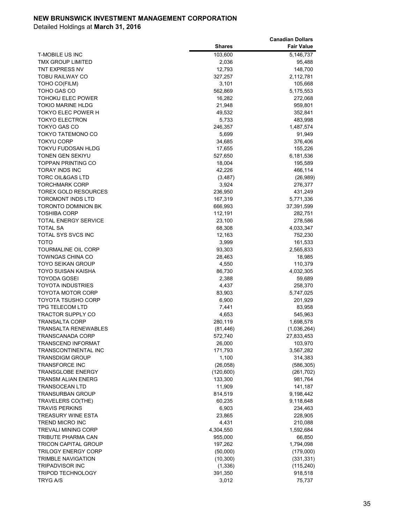|                             |               | <b>Canadian Dollars</b> |
|-----------------------------|---------------|-------------------------|
|                             | <b>Shares</b> | <b>Fair Value</b>       |
| <b>T-MOBILE US INC</b>      | 103,600       | 5,146,737               |
| TMX GROUP LIMITED           | 2,036         | 95,488                  |
| TNT EXPRESS NV              | 12,793        | 148,700                 |
| TOBU RAILWAY CO             | 327,257       | 2,112,781               |
| TOHO CO(FILM)               | 3,101         | 105,668                 |
| TOHO GAS CO                 | 562,869       | 5,175,553               |
| TOHOKU ELEC POWER           | 16,282        | 272,068                 |
| TOKIO MARINE HLDG           | 21,948        | 959,801                 |
| TOKYO ELEC POWER H          | 49,532        | 352,841                 |
| <b>TOKYO ELECTRON</b>       | 5,733         | 483,998                 |
| TOKYO GAS CO                | 246,357       | 1,487,574               |
| TOKYO TATEMONO CO           | 5,699         | 91,949                  |
| <b>TOKYU CORP</b>           | 34,685        | 376,406                 |
| TOKYU FUDOSAN HLDG          | 17,655        | 155,226                 |
| TONEN GEN SEKIYU            | 527,650       | 6,181,536               |
| <b>TOPPAN PRINTING CO</b>   | 18,004        | 195,589                 |
| <b>TORAY INDS INC</b>       | 42,226        | 466,114                 |
| <b>TORC OIL&amp;GAS LTD</b> | (3, 487)      | (26, 989)               |
| <b>TORCHMARK CORP</b>       | 3,924         | 276,377                 |
| TOREX GOLD RESOURCES        | 236,950       | 431,249                 |
| <b>TOROMONT INDS LTD</b>    | 167,319       | 5,771,336               |
| <b>TORONTO DOMINION BK</b>  | 666,993       | 37,391,599              |
| <b>TOSHIBA CORP</b>         | 112,191       | 282,751                 |
| <b>TOTAL ENERGY SERVICE</b> | 23,100        | 278,586                 |
| <b>TOTAL SA</b>             | 68,308        | 4,033,347               |
| TOTAL SYS SVCS INC          | 12,163        | 752,230                 |
| <b>TOTO</b>                 | 3,999         | 161,533                 |
| TOURMALINE OIL CORP         | 93,303        | 2,565,833               |
| TOWNGAS CHINA CO            | 28,463        | 18,985                  |
| TOYO SEIKAN GROUP           | 4,550         | 110,379                 |
| TOYO SUISAN KAISHA          | 86,730        | 4,032,305               |
| <b>TOYODA GOSEI</b>         | 2,388         | 59,689                  |
| <b>TOYOTA INDUSTRIES</b>    | 4,437         | 258,370                 |
| TOYOTA MOTOR CORP           | 83,903        | 5,747,025               |
| TOYOTA TSUSHO CORP          | 6,900         | 201,929                 |
| <b>TPG TELECOM LTD</b>      | 7,441         | 83,958                  |
| <b>TRACTOR SUPPLY CO</b>    | 4,653         | 545,963                 |
| <b>TRANSALTA CORP</b>       | 280,119       | 1,698,578               |
| <b>TRANSALTA RENEWABLES</b> | (81, 446)     | (1,036,264)             |
| <b>TRANSCANADA CORP</b>     | 572,740       | 27,833,453              |
| <b>TRANSCEND INFORMAT</b>   | 26,000        | 103,970                 |
| TRANSCONTINENTAL INC        | 171,793       | 3,567,282               |
| <b>TRANSDIGM GROUP</b>      | 1,100         | 314,383                 |
| <b>TRANSFORCE INC</b>       | (26, 058)     | (586, 305)              |
| <b>TRANSGLOBE ENERGY</b>    | (120, 600)    | (261, 702)              |
| <b>TRANSM ALIAN ENERG</b>   | 133,300       | 981,764                 |
| <b>TRANSOCEAN LTD</b>       | 11,909        | 141,187                 |
| <b>TRANSURBAN GROUP</b>     | 814,519       | 9,198,442               |
| TRAVELERS CO(THE)           | 60,235        | 9,118,648               |
| <b>TRAVIS PERKINS</b>       | 6,903         | 234,463                 |
| TREASURY WINE ESTA          | 23,865        | 228,905                 |
| <b>TREND MICRO INC</b>      | 4,431         | 210,088                 |
| <b>TREVALI MINING CORP</b>  | 4,304,550     | 1,592,684               |
| TRIBUTE PHARMA CAN          | 955,000       | 66,850                  |
| <b>TRICON CAPITAL GROUP</b> | 197,262       | 1,794,098               |
| TRILOGY ENERGY CORP         | (50,000)      | (179,000)               |
| <b>TRIMBLE NAVIGATION</b>   | (10, 300)     | (331, 331)              |
| TRIPADVISOR INC             | (1, 336)      | (115, 240)              |
| <b>TRIPOD TECHNOLOGY</b>    | 391,350       | 918,518                 |
| <b>TRYG A/S</b>             | 3,012         | 75,737                  |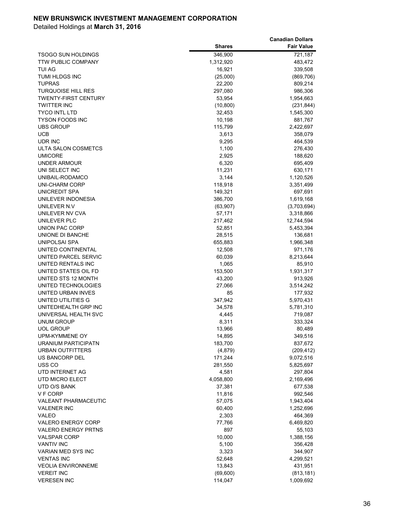|                             |               | <b>Canadian Dollars</b> |
|-----------------------------|---------------|-------------------------|
|                             | <b>Shares</b> | <b>Fair Value</b>       |
| <b>TSOGO SUN HOLDINGS</b>   | 346,900       | 721,187                 |
| <b>TTW PUBLIC COMPANY</b>   | 1,312,920     | 483,472                 |
| <b>TUI AG</b>               | 16,921        | 339,508                 |
| TUMI HLDGS INC              | (25,000)      | (869, 706)              |
| <b>TUPRAS</b>               | 22,200        | 809,214                 |
| <b>TURQUOISE HILL RES</b>   | 297,080       | 986,306                 |
| <b>TWENTY-FIRST CENTURY</b> | 53,954        | 1,954,663               |
| <b>TWITTER INC</b>          | (10, 800)     | (231, 844)              |
| <b>TYCO INTL LTD</b>        | 32,453        | 1,545,300               |
| <b>TYSON FOODS INC</b>      | 10,198        | 881,767                 |
| <b>UBS GROUP</b>            | 115,799       | 2,422,697               |
| UCB                         | 3,613         | 358,079                 |
| UDR INC                     | 9,295         | 464,539                 |
| ULTA SALON COSMETCS         | 1,100         | 276,430                 |
| <b>UMICORE</b>              | 2,925         | 188,620                 |
| <b>UNDER ARMOUR</b>         | 6,320         | 695,409                 |
| UNI SELECT INC              | 11,231        | 630,171                 |
| UNIBAIL-RODAMCO             | 3,144         | 1,120,526               |
| <b>UNI-CHARM CORP</b>       | 118,918       | 3,351,499               |
| UNICREDIT SPA               | 149,321       | 697,691                 |
| UNILEVER INDONESIA          | 386,700       | 1,619,168               |
| UNILEVER N.V                | (63,907)      | (3,703,694)             |
| UNILEVER NV CVA             | 57,171        | 3,318,866               |
| UNILEVER PLC                | 217,462       | 12,744,594              |
| UNION PAC CORP              | 52,851        | 5,453,394               |
| UNIONE DI BANCHE            | 28,515        | 136,681                 |
| UNIPOLSAI SPA               | 655,883       | 1,966,348               |
| UNITED CONTINENTAL          | 12,508        | 971,176                 |
| UNITED PARCEL SERVIC        | 60,039        | 8,213,644               |
| UNITED RENTALS INC          | 1,065         | 85,910                  |
| UNITED STATES OIL FD        | 153,500       | 1,931,317               |
| UNITED STS 12 MONTH         | 43,200        | 913,926                 |
| UNITED TECHNOLOGIES         | 27,066        | 3,514,242               |
| UNITED URBAN INVES          | 85            | 177,932                 |
| UNITED UTILITIES G          | 347,942       | 5,970,431               |
| UNITEDHEALTH GRP INC        | 34,578        | 5,781,310               |
| UNIVERSAL HEALTH SVC        | 4,445         | 719,087                 |
| UNUM GROUP                  | 8,311         | 333,324                 |
| <b>UOL GROUP</b>            | 13,966        | 80,489                  |
| UPM-KYMMENE OY              | 14,895        | 349,516                 |
| URANIUM PARTICIPATN         | 183,700       | 837,672                 |
| <b>URBAN OUTFITTERS</b>     | (4, 879)      | (209, 412)              |
| US BANCORP DEL              | 171,244       | 9,072,516               |
| USS <sub>CO</sub>           | 281,550       | 5,825,697               |
| UTD INTERNET AG             | 4,581         | 297,804                 |
| UTD MICRO ELECT             | 4,058,800     | 2,169,496               |
| UTD O/S BANK                | 37,381        | 677,538                 |
| V F CORP                    | 11,816        | 992,546                 |
| VALEANT PHARMACEUTIC        | 57,075        | 1,943,404               |
| <b>VALENER INC</b>          | 60,400        | 1,252,696               |
| <b>VALEO</b>                | 2,303         | 464,369                 |
| <b>VALERO ENERGY CORP</b>   | 77,766        | 6,469,820               |
| <b>VALERO ENERGY PRTNS</b>  | 897           | 55,103                  |
| VALSPAR CORP                | 10,000        | 1,388,156               |
| <b>VANTIV INC</b>           | 5,100         | 356,428                 |
| VARIAN MED SYS INC          | 3,323         | 344,907                 |
| <b>VENTAS INC</b>           | 52,648        | 4,299,521               |
| <b>VEOLIA ENVIRONNEME</b>   | 13,843        | 431,951                 |
| <b>VEREIT INC</b>           | (69, 600)     | (813, 181)              |
| <b>VERESEN INC</b>          | 114,047       | 1,009,692               |
|                             |               |                         |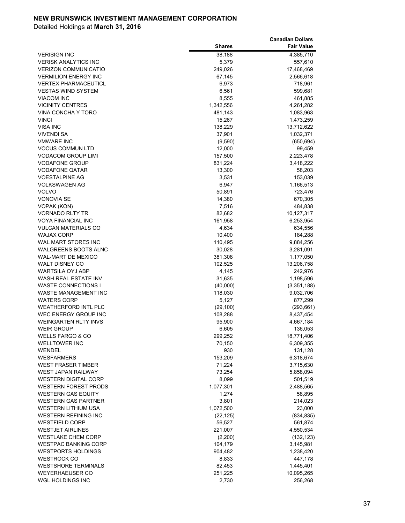|                             |               | <b>Canadian Dollars</b> |
|-----------------------------|---------------|-------------------------|
|                             | <b>Shares</b> | <b>Fair Value</b>       |
| <b>VERISIGN INC</b>         | 38,188        | 4,385,710               |
| <b>VERISK ANALYTICS INC</b> | 5,379         | 557,610                 |
| <b>VERIZON COMMUNICATIO</b> | 249,026       | 17,468,469              |
| <b>VERMILION ENERGY INC</b> | 67,145        | 2,566,618               |
| <b>VERTEX PHARMACEUTICL</b> | 6,973         | 718,961                 |
| <b>VESTAS WIND SYSTEM</b>   | 6,561         | 599,681                 |
| <b>VIACOM INC</b>           | 8,555         | 461,885                 |
| <b>VICINITY CENTRES</b>     | 1,342,556     | 4,261,282               |
| VINA CONCHA Y TORO          | 481,143       | 1,083,963               |
| <b>VINCI</b>                | 15,267        | 1,473,259               |
| VISA INC                    | 138,229       | 13,712,622              |
| <b>VIVENDI SA</b>           | 37,901        | 1,032,371               |
| <b>VMWARE INC</b>           | (9,590)       | (650, 694)              |
| <b>VOCUS COMMUN LTD</b>     | 12,000        | 99,459                  |
| <b>VODACOM GROUP LIMI</b>   | 157,500       | 2,223,478               |
| <b>VODAFONE GROUP</b>       | 831,224       | 3,418,222               |
| <b>VODAFONE QATAR</b>       | 13,300        | 58,203                  |
| <b>VOESTALPINE AG</b>       | 3,531         | 153,039                 |
| <b>VOLKSWAGEN AG</b>        | 6,947         | 1,166,513               |
| <b>VOLVO</b>                | 50,891        | 723,476                 |
| <b>VONOVIA SE</b>           | 14,380        | 670,305                 |
| VOPAK (KON)                 | 7,516         | 484,838                 |
| <b>VORNADO RLTY TR</b>      | 82,682        | 10,127,317              |
| <b>VOYA FINANCIAL INC</b>   | 161,958       | 6,253,954               |
| <b>VULCAN MATERIALS CO</b>  | 4,634         | 634,556                 |
| <b>WAJAX CORP</b>           | 10,400        | 184,288                 |
| WAL MART STORES INC         | 110,495       | 9,884,256               |
| <b>WALGREENS BOOTS ALNC</b> | 30,028        | 3,281,091               |
| <b>WAL-MART DE MEXICO</b>   | 381,308       | 1,177,050               |
| <b>WALT DISNEY CO</b>       | 102,525       | 13,206,758              |
| <b>WARTSILA OYJ ABP</b>     | 4,145         | 242,976                 |
| WASH REAL ESTATE INV        | 31,635        | 1,198,596               |
| <b>WASTE CONNECTIONS I</b>  | (40,000)      | (3,351,188)             |
| WASTE MANAGEMENT INC        | 118,030       | 9,032,706               |
| <b>WATERS CORP</b>          | 5,127         | 877,299                 |
| <b>WEATHERFORD INTL PLC</b> | (29, 100)     | (293, 661)              |
| <b>WEC ENERGY GROUP INC</b> | 108,288       | 8,437,454               |
| <b>WEINGARTEN RLTY INVS</b> | 95,900        | 4,667,184               |
| <b>WEIR GROUP</b>           | 6,605         | 136,053                 |
| <b>WELLS FARGO &amp; CO</b> | 299,252       | 18,771,406              |
| <b>WELLTOWER INC</b>        | 70,150        | 6,309,355               |
| WENDEL                      | 930           | 131,128                 |
| <b>WESFARMERS</b>           | 153,209       | 6,318,674               |
| <b>WEST FRASER TIMBER</b>   | 71,224        | 3,715,630               |
| <b>WEST JAPAN RAILWAY</b>   | 73,254        | 5,858,094               |
| <b>WESTERN DIGITAL CORP</b> | 8,099         | 501,519                 |
| <b>WESTERN FOREST PRODS</b> | 1,077,301     | 2,488,565               |
| <b>WESTERN GAS EQUITY</b>   | 1,274         | 58,895                  |
| <b>WESTERN GAS PARTNER</b>  | 3,801         | 214,023                 |
| <b>WESTERN LITHIUM USA</b>  | 1,072,500     | 23,000                  |
| <b>WESTERN REFINING INC</b> | (22, 125)     | (834, 835)              |
| <b>WESTFIELD CORP</b>       | 56,527        | 561,874                 |
| <b>WESTJET AIRLINES</b>     | 221,007       | 4,550,534               |
| <b>WESTLAKE CHEM CORP</b>   | (2, 200)      | (132, 123)              |
| <b>WESTPAC BANKING CORP</b> | 104,179       | 3,145,981               |
| <b>WESTPORTS HOLDINGS</b>   | 904,482       | 1,238,420               |
| <b>WESTROCK CO</b>          | 8,833         | 447,178                 |
| <b>WESTSHORE TERMINALS</b>  | 82,453        | 1,445,401               |
| <b>WEYERHAEUSER CO</b>      | 251,225       | 10,095,265              |
| WGL HOLDINGS INC            | 2,730         | 256,268                 |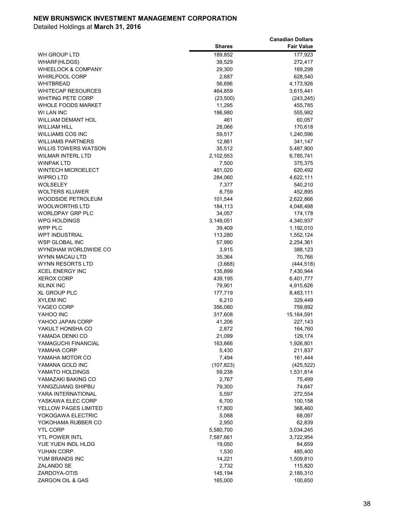|                                        |                 | <b>Canadian Dollars</b> |
|----------------------------------------|-----------------|-------------------------|
|                                        | <b>Shares</b>   | <b>Fair Value</b>       |
| WH GROUP LTD                           | 189,852         | 177,923                 |
| WHARF(HLDGS)                           | 38,529          | 272,417                 |
| <b>WHEELOCK &amp; COMPANY</b>          | 29,300          | 169,298                 |
| <b>WHIRLPOOL CORP</b>                  | 2,687           | 628,540                 |
| <b>WHITBREAD</b>                       | 56,696          | 4,173,926               |
| <b>WHITECAP RESOURCES</b>              | 464,859         | 3,615,441               |
| <b>WHITING PETE CORP</b>               | (23,500)        | (243, 245)              |
| <b>WHOLE FOODS MARKET</b>              | 11,295          | 455,785                 |
| WI LAN INC                             | 186,980         | 555,982                 |
| <b>WILLIAM DEMANT HOL</b>              | 461             | 60,057                  |
| <b>WILLIAM HILL</b>                    | 28,066          | 170,618                 |
| <b>WILLIAMS COS INC</b>                | 59,517          | 1,240,596               |
| <b>WILLIAMS PARTNERS</b>               | 12,861          | 341,147                 |
| WILLIS TOWERS WATSON                   | 35,512          | 5,487,900               |
| WILMAR INTERL LTD                      | 2,102,553       | 6,785,741               |
| <b>WINPAK LTD</b>                      | 7,500           | 375,375                 |
| <b>WINTECH MICROELECT</b>              | 401,020         | 620,492                 |
| <b>WIPRO LTD</b>                       | 284,060         | 4,622,111               |
| <b>WOLSELEY</b>                        | 7,377           | 540,210                 |
| <b>WOLTERS KLUWER</b>                  | 8,759           | 452,895                 |
| WOODSIDE PETROLEUM                     | 101,544         | 2,622,866               |
| <b>WOOLWORTHS LTD</b>                  | 184,113         | 4,048,498               |
| <b>WORLDPAY GRP PLC</b>                | 34,057          | 174,178                 |
| <b>WPG HOLDINGS</b>                    | 3,149,051       | 4,340,937               |
| WPP PLC                                | 39,409          | 1,192,010               |
| <b>WPT INDUSTRIAL</b>                  | 113,280         | 1,552,124               |
| <b>WSP GLOBAL INC</b>                  | 57,990          | 2,254,361               |
| WYNDHAM WORLDWIDE CO<br>WYNN MACAU LTD | 3,915<br>35,364 | 388,123<br>70,766       |
| WYNN RESORTS LTD                       | (3,668)         | (444, 518)              |
| <b>XCEL ENERGY INC</b>                 | 135,899         | 7,430,944               |
| <b>XEROX CORP</b>                      | 439,195         | 6,401,777               |
| XILINX INC                             | 79,901          | 4,915,626               |
| <b>XL GROUP PLC</b>                    | 177,719         | 8,483,111               |
| <b>XYLEM INC</b>                       | 6,210           | 329,449                 |
| YAGEO CORP                             | 356,080         | 759,892                 |
| YAHOO INC                              | 317,608         | 15,164,591              |
| YAHOO JAPAN CORP                       | 41,206          | 227,143                 |
| YAKULT HONSHA CO                       | 2,872           | 164,760                 |
| YAMADA DENKI CO                        | 21,099          | 129,174                 |
| YAMAGUCHI FINANCIAL                    | 163,666         | 1,926,801               |
| YAMAHA CORP                            | 5,430           | 211,837                 |
| YAMAHA MOTOR CO                        | 7,494           | 161,444                 |
| YAMANA GOLD INC                        | (107, 823)      | (425, 522)              |
| YAMATO HOLDINGS                        | 59,238          | 1,531,814               |
| YAMAZAKI BAKING CO                     | 2,767           | 75,499                  |
| YANGZIJIANG SHIPBU                     | 79,300          | 74,647                  |
| YARA INTERNATIONAL                     | 5,597           | 272,554                 |
| YASKAWA ELEC CORP                      | 6,700           | 100,158                 |
| YELLOW PAGES LIMITED                   | 17,800          | 368,460                 |
| YOKOGAWA ELECTRIC                      | 5,088           | 68,097                  |
| YOKOHAMA RUBBER CO                     | 2,950           | 62,839                  |
| <b>YTL CORP</b>                        | 5,580,700       | 3,034,245               |
| <b>YTL POWER INTL</b>                  | 7,587,661       | 3,722,954               |
| YUE YUEN INDL HLDG                     | 19,050          | 84,659                  |
| YUHAN CORP.                            | 1,530           | 485,400                 |
| YUM BRANDS INC                         | 14,221          | 1,509,810               |
| ZALANDO SE                             | 2,732           | 115,820                 |
| ZARDOYA-OTIS                           | 145,194         | 2,189,310               |
| ZARGON OIL & GAS                       | 165,000         | 100,650                 |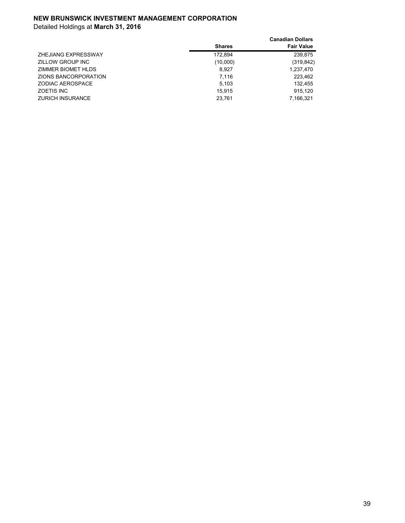|                         |               | <b>Canadian Dollars</b> |
|-------------------------|---------------|-------------------------|
|                         | <b>Shares</b> | <b>Fair Value</b>       |
| ZHEJIANG EXPRESSWAY     | 172.894       | 239.875                 |
| ZILLOW GROUP INC        | (10,000)      | (319, 842)              |
| ZIMMER BIOMET HLDS      | 8.927         | 1,237,470               |
| ZIONS BANCORPORATION    | 7.116         | 223.462                 |
| ZODIAC AEROSPACE        | 5.103         | 132.455                 |
| <b>ZOETIS INC</b>       | 15.915        | 915.120                 |
| <b>ZURICH INSURANCE</b> | 23.761        | 7.166.321               |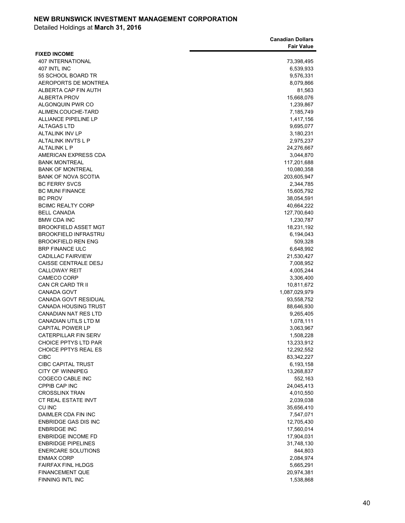|                                            | <b>Canadian Dollars</b> |
|--------------------------------------------|-------------------------|
|                                            | <b>Fair Value</b>       |
| <b>FIXED INCOME</b>                        |                         |
| <b>407 INTERNATIONAL</b>                   | 73,398,495              |
| 407 INTL INC                               | 6,539,933               |
| 55 SCHOOL BOARD TR                         | 9,576,331               |
| AEROPORTS DE MONTREA                       | 8,079,866               |
| ALBERTA CAP FIN AUTH                       | 81,563                  |
| <b>ALBERTA PROV</b>                        | 15,668,076              |
| ALGONQUIN PWR CO                           | 1,239,867               |
| ALIMEN.COUCHE-TARD                         | 7,185,749               |
| <b>ALLIANCE PIPELINE LP</b>                | 1,417,156               |
| <b>ALTAGAS LTD</b>                         | 9,695,077               |
| <b>ALTALINK INV LP</b>                     | 3,180,231               |
| ALTALINK INVTS L P                         | 2,975,237               |
| <b>ALTALINK L P</b>                        | 24,276,667              |
| AMERICAN EXPRESS CDA                       | 3,044,870               |
| <b>BANK MONTREAL</b>                       | 117,201,688             |
| <b>BANK OF MONTREAL</b>                    | 10,080,358              |
| <b>BANK OF NOVA SCOTIA</b>                 | 203,605,947             |
| <b>BC FERRY SVCS</b>                       |                         |
| <b>BC MUNI FINANCE</b>                     | 2,344,785               |
|                                            | 15,605,792              |
| <b>BC PROV</b><br><b>BCIMC REALTY CORP</b> | 38,054,591              |
|                                            | 40,664,222              |
| <b>BELL CANADA</b>                         | 127,700,640             |
| <b>BMW CDA INC</b>                         | 1,230,787               |
| <b>BROOKFIELD ASSET MGT</b>                | 18,231,192              |
| <b>BROOKFIELD INFRASTRU</b>                | 6,194,043               |
| <b>BROOKFIELD REN ENG</b>                  | 509,328                 |
| <b>BRP FINANCE ULC</b>                     | 6,648,992               |
| <b>CADILLAC FAIRVIEW</b>                   | 21,530,427              |
| CAISSE CENTRALE DESJ                       | 7,008,952               |
| <b>CALLOWAY REIT</b>                       | 4,005,244               |
| <b>CAMECO CORP</b>                         | 3,306,400               |
| CAN CR CARD TR II                          | 10,811,672              |
| <b>CANADA GOVT</b>                         | 1,087,029,979           |
| CANADA GOVT RESIDUAL                       | 93,558,752              |
| <b>CANADA HOUSING TRUST</b>                | 88,646,930              |
| <b>CANADIAN NAT RES LTD</b>                | 9,265,405               |
| CANADIAN UTILS LTD M                       | 1,078,111               |
| <b>CAPITAL POWER LP</b>                    | 3,063,967               |
| <b>CATERPILLAR FIN SERV</b>                | 1,508,228               |
| <b>CHOICE PPTYS LTD PAR</b>                | 13,233,912              |
| CHOICE PPTYS REAL ES                       | 12,292,552              |
| <b>CIBC</b>                                | 83,342,227              |
| <b>CIBC CAPITAL TRUST</b>                  | 6,193,158               |
| CITY OF WINNIPEG                           | 13,268,837              |
| COGECO CABLE INC                           | 552,163                 |
| CPPIB CAP INC                              | 24,045,413              |
| <b>CROSSLINX TRAN</b>                      | 4,010,550               |
| CT REAL ESTATE INVT                        | 2,039,038               |
| CU INC                                     | 35,656,410              |
| DAIMLER CDA FIN INC                        | 7,547,071               |
| <b>ENBRIDGE GAS DIS INC</b>                | 12,705,430              |
| <b>ENBRIDGE INC</b>                        | 17,560,014              |
| <b>ENBRIDGE INCOME FD</b>                  | 17,904,031              |
| <b>ENBRIDGE PIPELINES</b>                  | 31,748,130              |
| <b>ENERCARE SOLUTIONS</b>                  | 844,803                 |
| <b>ENMAX CORP</b>                          | 2,084,974               |
| <b>FAIRFAX FINL HLDGS</b>                  | 5,665,291               |
| <b>FINANCEMENT QUE</b>                     | 20,974,381              |
| FINNING INTL INC                           | 1,538,868               |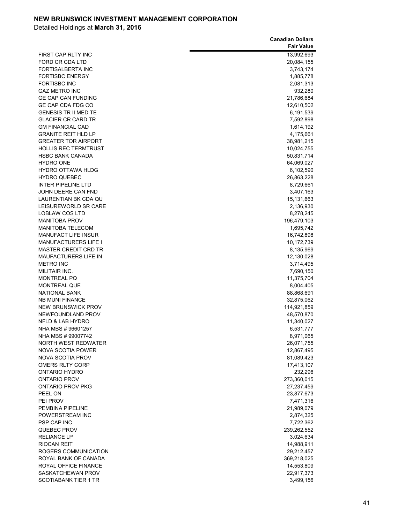|                             | <b>Canadian Dollars</b> |
|-----------------------------|-------------------------|
|                             | <b>Fair Value</b>       |
| FIRST CAP RLTY INC          | 13,992,693              |
| FORD CR CDA LTD             | 20,084,155              |
| <b>FORTISALBERTA INC</b>    | 3,743,174               |
| <b>FORTISBC ENERGY</b>      | 1,885,778               |
| <b>FORTISBC INC</b>         |                         |
|                             | 2,081,313               |
| <b>GAZ METRO INC</b>        | 932,280                 |
| <b>GE CAP CAN FUNDING</b>   | 21,786,684              |
| GE CAP CDA FDG CO           | 12,610,502              |
| <b>GENESIS TR II MED TE</b> | 6,191,539               |
| <b>GLACIER CR CARD TR</b>   | 7,592,898               |
| <b>GM FINANCIAL CAD</b>     | 1,614,192               |
| <b>GRANITE REIT HLD LP</b>  | 4,175,661               |
| <b>GREATER TOR AIRPORT</b>  | 38,981,215              |
| <b>HOLLIS REC TERMTRUST</b> | 10,024,755              |
| <b>HSBC BANK CANADA</b>     | 50,831,714              |
| <b>HYDRO ONE</b>            | 64,069,027              |
| <b>HYDRO OTTAWA HLDG</b>    | 6,102,590               |
| <b>HYDRO QUEBEC</b>         | 26,863,228              |
| <b>INTER PIPELINE LTD</b>   | 8,729,661               |
| JOHN DEERE CAN FND          | 3,407,163               |
| LAURENTIAN BK CDA QU        | 15,131,663              |
| LEISUREWORLD SR CARE        | 2,136,930               |
| <b>LOBLAW COS LTD</b>       | 8,278,245               |
| <b>MANITOBA PROV</b>        | 196,479,103             |
| <b>MANITOBA TELECOM</b>     | 1,695,742               |
| <b>MANUFACT LIFE INSUR</b>  | 16,742,898              |
| <b>MANUFACTURERS LIFE I</b> | 10,172,739              |
| <b>MASTER CREDIT CRD TR</b> | 8,135,969               |
| <b>MAUFACTURERS LIFE IN</b> | 12,130,028              |
| <b>METRO INC</b>            | 3,714,495               |
| MILITAIR INC.               | 7,690,150               |
| <b>MONTREAL PQ</b>          | 11,375,704              |
| <b>MONTREAL QUE</b>         | 8,004,405               |
| <b>NATIONAL BANK</b>        | 88,868,691              |
| <b>NB MUNI FINANCE</b>      | 32,875,062              |
| <b>NEW BRUNSWICK PROV</b>   | 114,921,859             |
| NEWFOUNDLAND PROV           | 48,570,870              |
| NFLD & LAB HYDRO            |                         |
|                             | 11,340,027              |
| NHA MBS #96601257           | 6,531,777               |
| NHA MBS # 99007742          | 8,971,065               |
| <b>NORTH WEST REDWATER</b>  | 26,071,755              |
| NOVA SCOTIA POWER           | 12,867,495              |
| <b>NOVA SCOTIA PROV</b>     | 81,089,423              |
| OMERS RLTY CORP             | 17,413,107              |
| ONTARIO HYDRO               | 232,296                 |
| <b>ONTARIO PROV</b>         | 273,360,015             |
| ONTARIO PROV PKG            | 27,237,459              |
| PEEL ON                     | 23,877,673              |
| PEI PROV                    | 7,471,316               |
| PEMBINA PIPELINE            | 21,989,079              |
| POWERSTREAM INC             | 2,874,325               |
| <b>PSP CAP INC</b>          | 7,722,362               |
| QUEBEC PROV                 | 239,262,552             |
| <b>RELIANCE LP</b>          | 3,024,634               |
| <b>RIOCAN REIT</b>          | 14,988,911              |
| ROGERS COMMUNICATION        | 29,212,457              |
| ROYAL BANK OF CANADA        | 369,218,025             |
| ROYAL OFFICE FINANCE        | 14,553,809              |
| SASKATCHEWAN PROV           | 22,917,373              |
| <b>SCOTIABANK TIER 1 TR</b> | 3,499,156               |